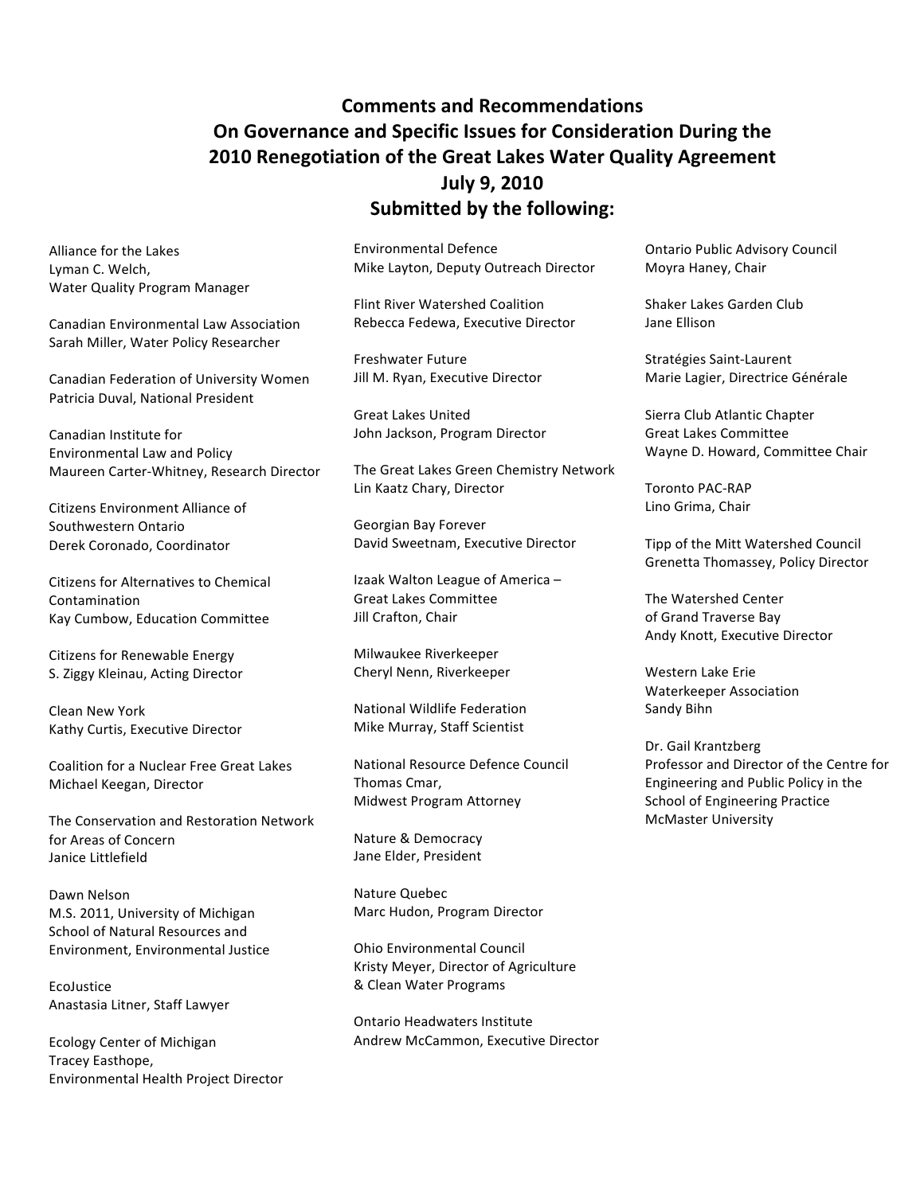# **Comments and Recommendations** On Governance and Specific Issues for Consideration During the 2010 Renegotiation of the Great Lakes Water Quality Agreement **July 9, 2010 Submitted by the following:**

Alliance for the Lakes Lyman C. Welch, **Water Quality Program Manager** 

**Canadian Environmental Law Association** Sarah Miller, Water Policy Researcher

Canadian Federation of University Women Patricia Duval, National President

Canadian Institute for **Environmental Law and Policy** Maureen Carter-Whitney, Research Director

**Citizens Environment Alliance of** Southwestern Ontario Derek Coronado, Coordinator

**Citizens for Alternatives to Chemical** Contamination Kay Cumbow, Education Committee

**Citizens for Renewable Energy** S. Ziggy Kleinau, Acting Director

Clean New York Kathy Curtis, Executive Director

**Coalition for a Nuclear Free Great Lakes** Michael Keegan, Director

The Conservation and Restoration Network for Areas of Concern Janice Littlefield

Dawn Nelson M.S. 2011, University of Michigan School of Natural Resources and Environment, Environmental Justice

EcoJustice Anastasia Litner, Staff Lawyer

**Ecology Center of Michigan** Tracey Easthope, Environmental Health Project Director **Environmental Defence** Mike Layton, Deputy Outreach Director

**Flint River Watershed Coalition** Rebecca Fedewa, Executive Director

**Freshwater Future** Jill M. Ryan, Executive Director

**Great Lakes United** John Jackson, Program Director

The Great Lakes Green Chemistry Network Lin Kaatz Chary, Director

Georgian Bay Forever David Sweetnam, Executive Director

Izaak Walton League of America -**Great Lakes Committee** Jill Crafton, Chair

Milwaukee Riverkeeper Cheryl Nenn, Riverkeeper

National Wildlife Federation Mike Murray, Staff Scientist

National Resource Defence Council Thomas Cmar, Midwest Program Attorney

Nature & Democracy Jane Elder, President

Nature Quebec Marc Hudon, Program Director

**Ohio Environmental Council** Kristy Meyer, Director of Agriculture & Clean Water Programs

Ontario Headwaters Institute Andrew McCammon, Executive Director **Ontario Public Advisory Council** Moyra Haney, Chair

Shaker Lakes Garden Club Jane Ellison

Stratégies Saint-Laurent Marie Lagier, Directrice Générale

Sierra Club Atlantic Chapter **Great Lakes Committee** Wayne D. Howard, Committee Chair

**Toronto PAC-RAP** Lino Grima, Chair

Tipp of the Mitt Watershed Council Grenetta Thomassey, Policy Director

The Watershed Center of Grand Traverse Bay Andy Knott, Executive Director

Western Lake Erie **Waterkeeper Association** Sandy Bihn

Dr. Gail Krantzberg Professor and Director of the Centre for Engineering and Public Policy in the **School of Engineering Practice McMaster University**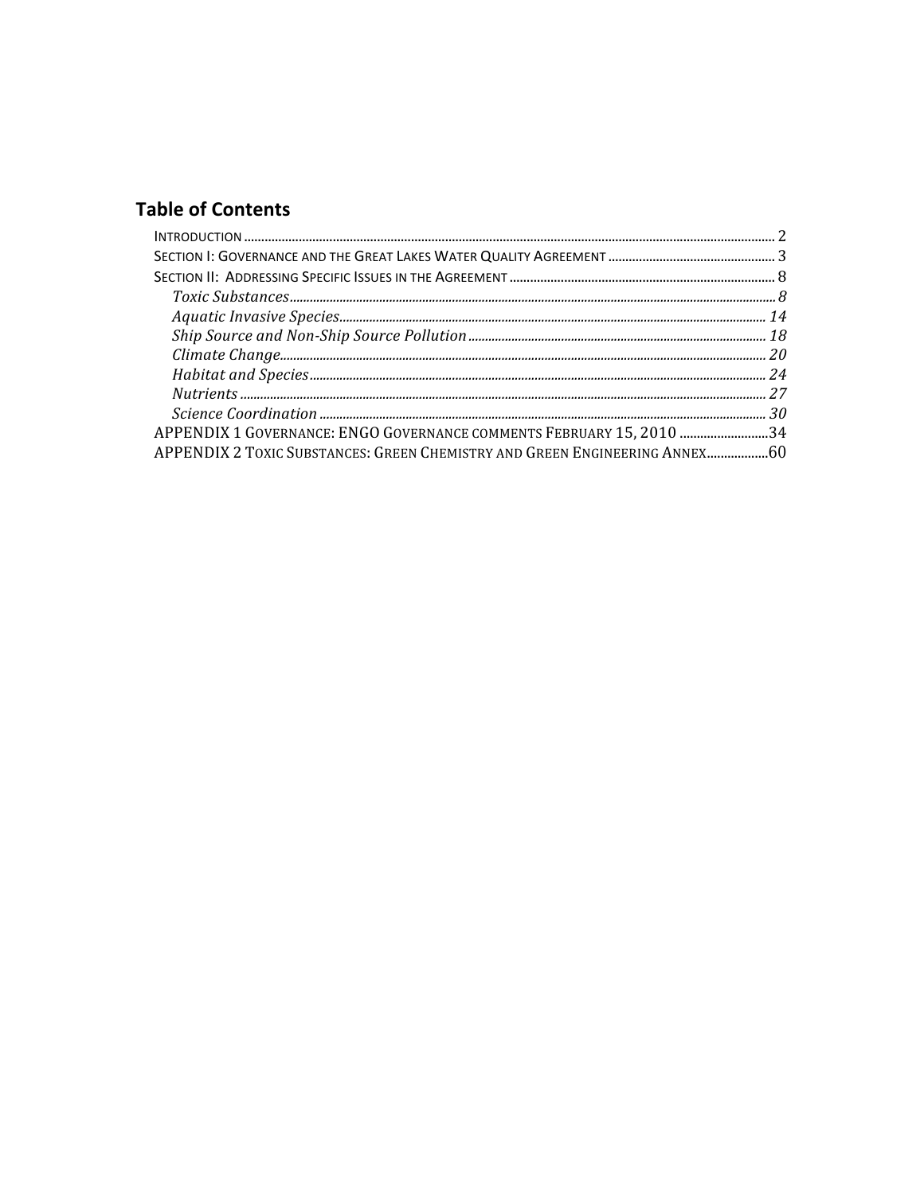# **Table of Contents**

| APPENDIX 1 GOVERNANCE: ENGO GOVERNANCE COMMENTS FEBRUARY 15, 2010 34        |  |
|-----------------------------------------------------------------------------|--|
| APPENDIX 2 TOXIC SUBSTANCES: GREEN CHEMISTRY AND GREEN ENGINEERING ANNEX 60 |  |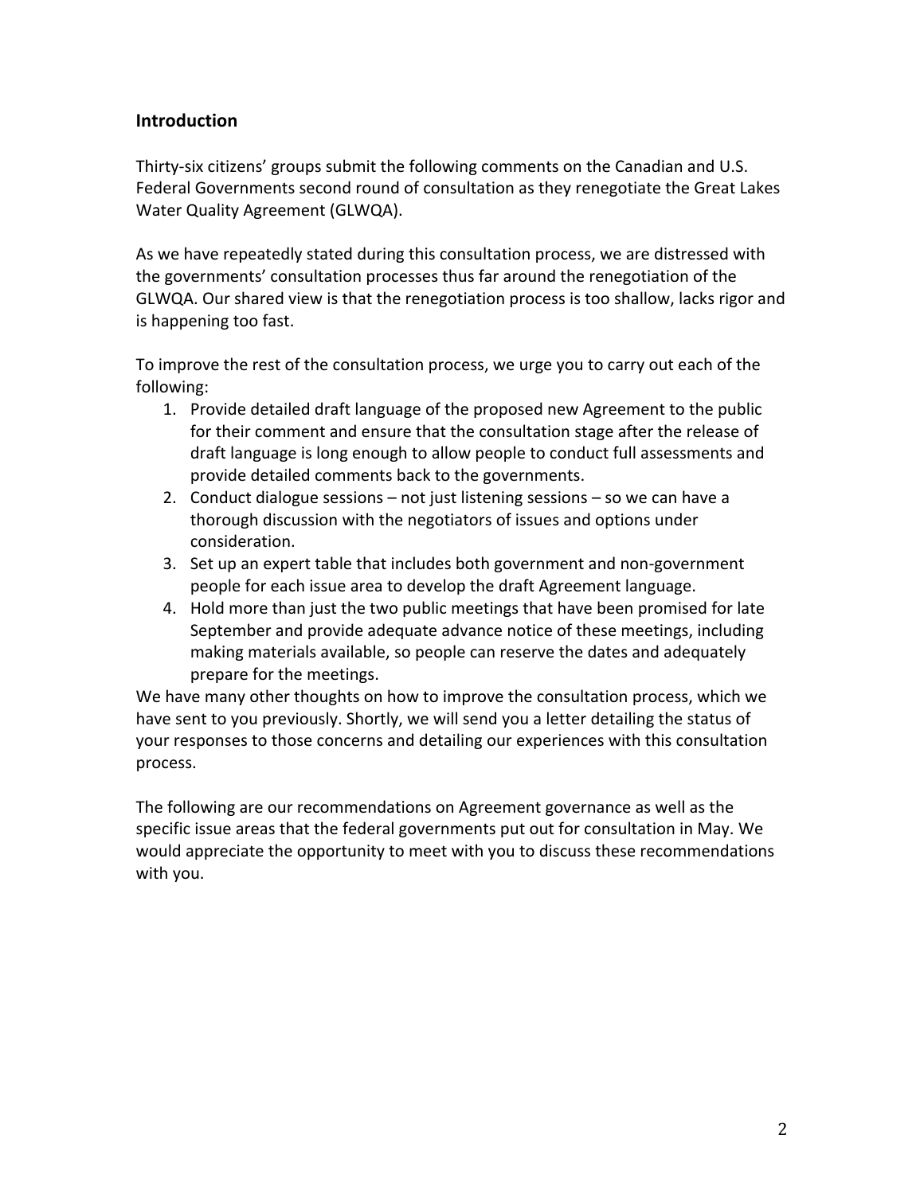# **Introduction**

Thirty-six citizens' groups submit the following comments on the Canadian and U.S. Federal Governments second round of consultation as they renegotiate the Great Lakes Water Quality Agreement (GLWQA).

As we have repeatedly stated during this consultation process, we are distressed with the governments' consultation processes thus far around the renegotiation of the GLWQA. Our shared view is that the renegotiation process is too shallow, lacks rigor and is happening too fast.

To improve the rest of the consultation process, we urge you to carry out each of the following:

- 1. Provide detailed draft language of the proposed new Agreement to the public for their comment and ensure that the consultation stage after the release of draft language is long enough to allow people to conduct full assessments and provide detailed comments back to the governments.
- 2. Conduct dialogue sessions not just listening sessions so we can have a thorough discussion with the negotiators of issues and options under consideration.
- 3. Set up an expert table that includes both government and non-government people for each issue area to develop the draft Agreement language.
- 4. Hold more than just the two public meetings that have been promised for late September and provide adequate advance notice of these meetings, including making materials available, so people can reserve the dates and adequately prepare for the meetings.

We have many other thoughts on how to improve the consultation process, which we have sent to you previously. Shortly, we will send you a letter detailing the status of your responses to those concerns and detailing our experiences with this consultation process.

The following are our recommendations on Agreement governance as well as the specific issue areas that the federal governments put out for consultation in May. We would appreciate the opportunity to meet with you to discuss these recommendations with you.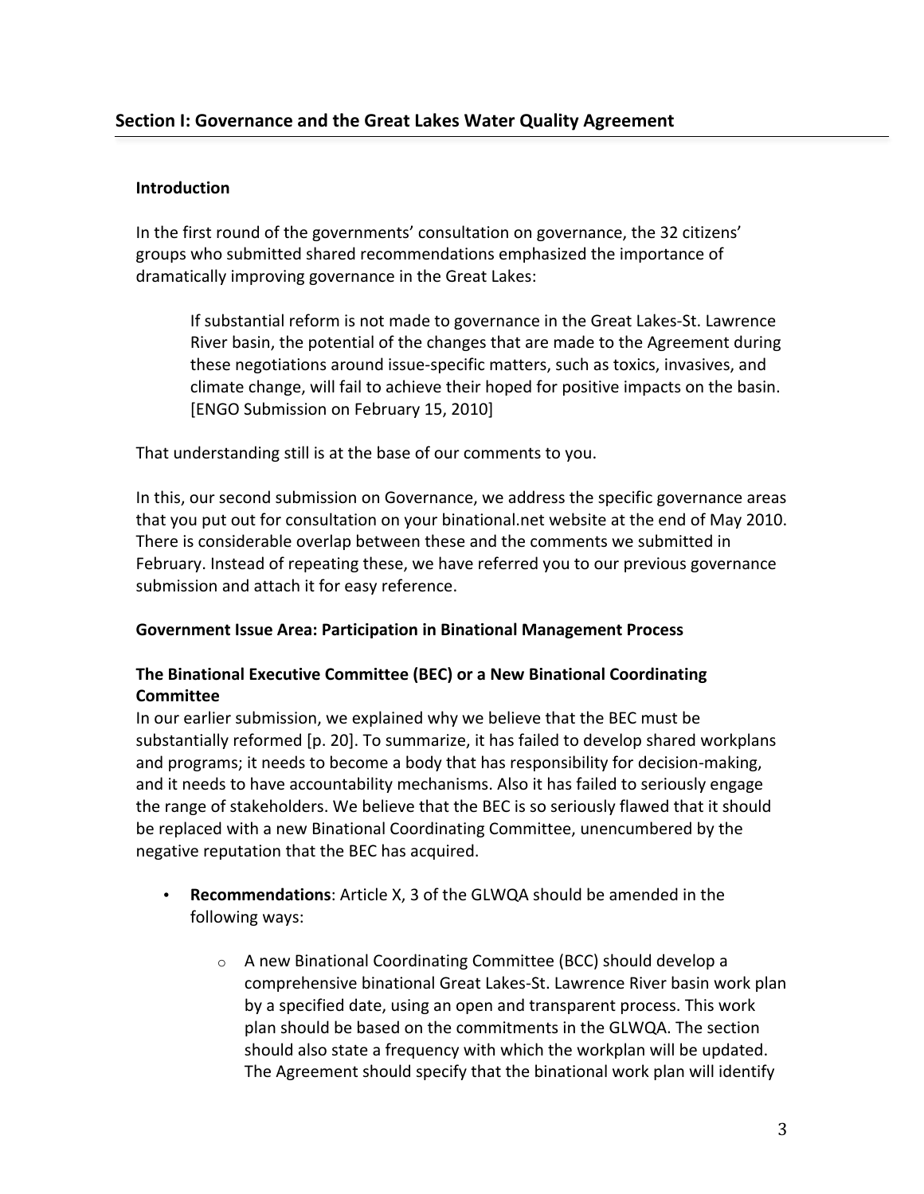### **Introduction**

In the first round of the governments' consultation on governance, the 32 citizens' groups who submitted shared recommendations emphasized the importance of dramatically improving governance in the Great Lakes:

If substantial reform is not made to governance in the Great Lakes-St. Lawrence River basin, the potential of the changes that are made to the Agreement during these negotiations around issue-specific matters, such as toxics, invasives, and climate change, will fail to achieve their hoped for positive impacts on the basin. [ENGO Submission on February 15, 2010]

That understanding still is at the base of our comments to you.

In this, our second submission on Governance, we address the specific governance areas that you put out for consultation on your binational.net website at the end of May 2010. There is considerable overlap between these and the comments we submitted in February. Instead of repeating these, we have referred you to our previous governance submission and attach it for easy reference.

### **Government Issue Area: Participation in Binational Management Process**

# The Binational Executive Committee (BEC) or a New Binational Coordinating **Committee**

In our earlier submission, we explained why we believe that the BEC must be substantially reformed [p. 20]. To summarize, it has failed to develop shared workplans and programs; it needs to become a body that has responsibility for decision-making, and it needs to have accountability mechanisms. Also it has failed to seriously engage the range of stakeholders. We believe that the BEC is so seriously flawed that it should be replaced with a new Binational Coordinating Committee, unencumbered by the negative reputation that the BEC has acquired.

- Recommendations: Article X, 3 of the GLWQA should be amended in the following ways:
	- o A new Binational Coordinating Committee (BCC) should develop a comprehensive binational Great Lakes-St. Lawrence River basin work plan by a specified date, using an open and transparent process. This work plan should be based on the commitments in the GLWQA. The section should also state a frequency with which the workplan will be updated. The Agreement should specify that the binational work plan will identify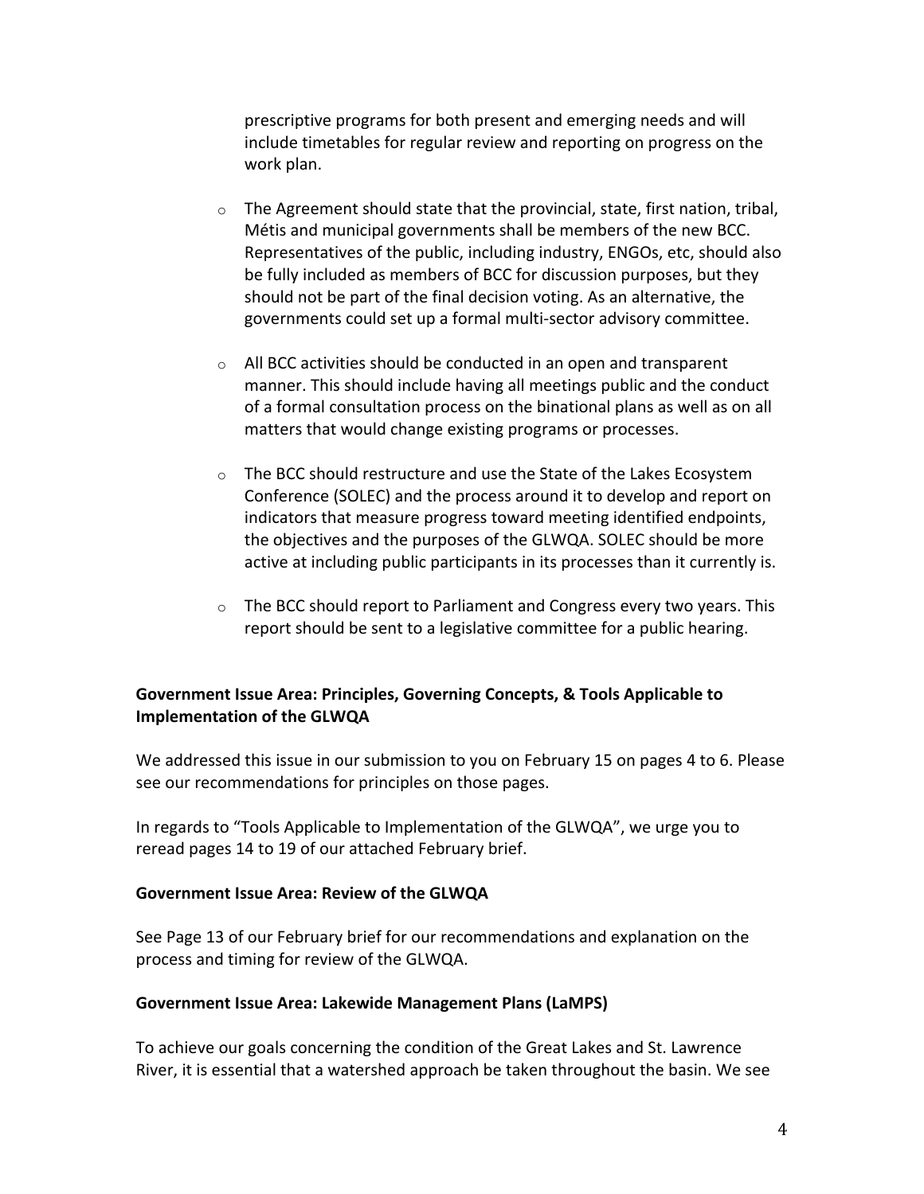prescriptive programs for both present and emerging needs and will include timetables for regular review and reporting on progress on the work plan.

- $\circ$  The Agreement should state that the provincial, state, first nation, tribal, Métis and municipal governments shall be members of the new BCC. Representatives of the public, including industry, ENGOs, etc, should also be fully included as members of BCC for discussion purposes, but they should not be part of the final decision voting. As an alternative, the governments could set up a formal multi-sector advisory committee.
- $\circ$  All BCC activities should be conducted in an open and transparent manner. This should include having all meetings public and the conduct of a formal consultation process on the binational plans as well as on all matters that would change existing programs or processes.
- o The BCC should restructure and use the State of the Lakes Ecosystem Conference (SOLEC) and the process around it to develop and report on indicators that measure progress toward meeting identified endpoints, the objectives and the purposes of the GLWQA. SOLEC should be more active at including public participants in its processes than it currently is.
- o The BCC should report to Parliament and Congress every two years. This report should be sent to a legislative committee for a public hearing.

### Government Issue Area: Principles, Governing Concepts, & Tools Applicable to **Implementation of the GLWQA**

We addressed this issue in our submission to you on February 15 on pages 4 to 6. Please see our recommendations for principles on those pages.

In regards to "Tools Applicable to Implementation of the GLWQA", we urge you to reread pages 14 to 19 of our attached February brief.

### **Government Issue Area: Review of the GLWQA**

See Page 13 of our February brief for our recommendations and explanation on the process and timing for review of the GLWQA.

### **Government Issue Area: Lakewide Management Plans (LaMPS)**

To achieve our goals concerning the condition of the Great Lakes and St. Lawrence River, it is essential that a watershed approach be taken throughout the basin. We see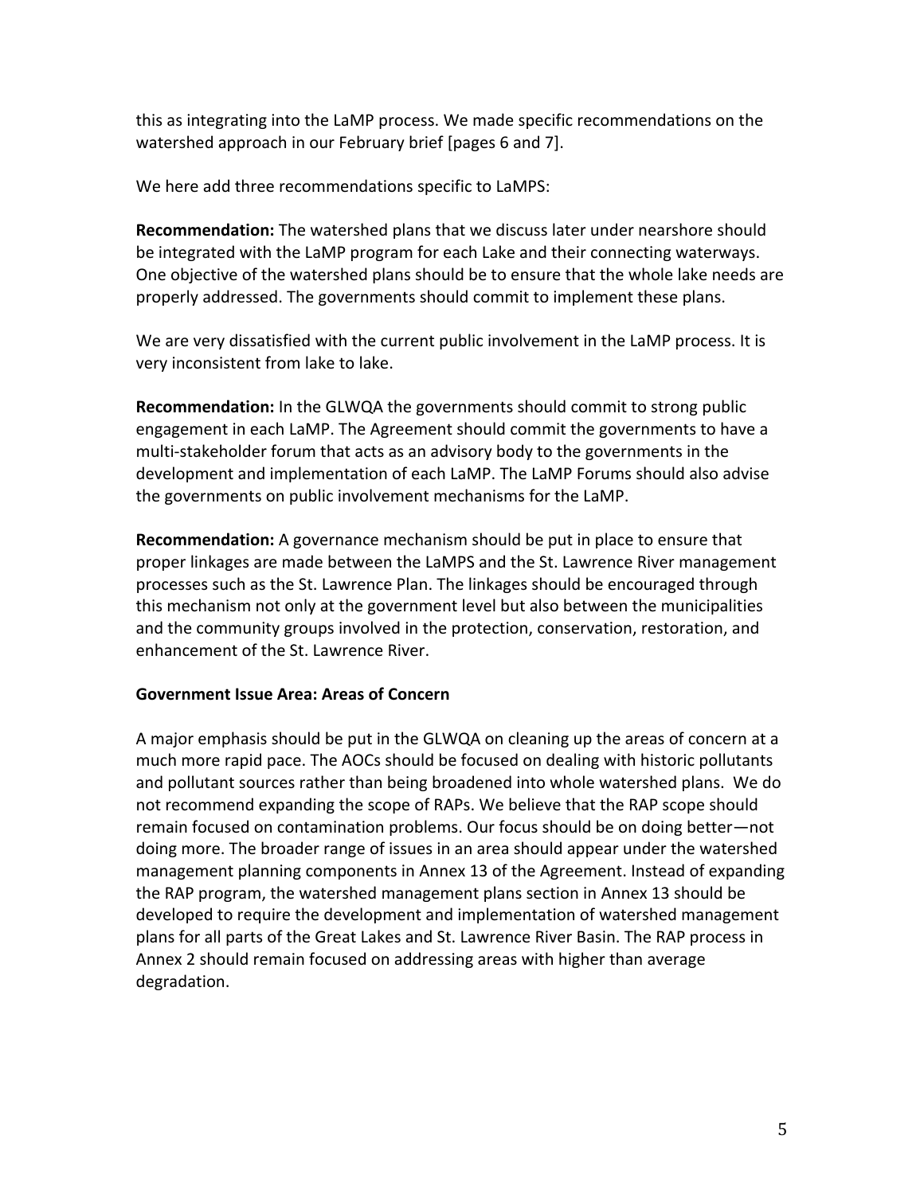this as integrating into the LaMP process. We made specific recommendations on the watershed approach in our February brief [pages 6 and 7].

We here add three recommendations specific to LaMPS:

Recommendation: The watershed plans that we discuss later under nearshore should be integrated with the LaMP program for each Lake and their connecting waterways. One objective of the watershed plans should be to ensure that the whole lake needs are properly addressed. The governments should commit to implement these plans.

We are very dissatisfied with the current public involvement in the LaMP process. It is very inconsistent from lake to lake.

Recommendation: In the GLWQA the governments should commit to strong public engagement in each LaMP. The Agreement should commit the governments to have a multi-stakeholder forum that acts as an advisory body to the governments in the development and implementation of each LaMP. The LaMP Forums should also advise the governments on public involvement mechanisms for the LaMP.

Recommendation: A governance mechanism should be put in place to ensure that proper linkages are made between the LaMPS and the St. Lawrence River management processes such as the St. Lawrence Plan. The linkages should be encouraged through this mechanism not only at the government level but also between the municipalities and the community groups involved in the protection, conservation, restoration, and enhancement of the St. Lawrence River.

### Government Issue Area: Areas of Concern

A major emphasis should be put in the GLWQA on cleaning up the areas of concern at a much more rapid pace. The AOCs should be focused on dealing with historic pollutants and pollutant sources rather than being broadened into whole watershed plans. We do not recommend expanding the scope of RAPs. We believe that the RAP scope should remain focused on contamination problems. Our focus should be on doing better-not doing more. The broader range of issues in an area should appear under the watershed management planning components in Annex 13 of the Agreement. Instead of expanding the RAP program, the watershed management plans section in Annex 13 should be developed to require the development and implementation of watershed management plans for all parts of the Great Lakes and St. Lawrence River Basin. The RAP process in Annex 2 should remain focused on addressing areas with higher than average degradation.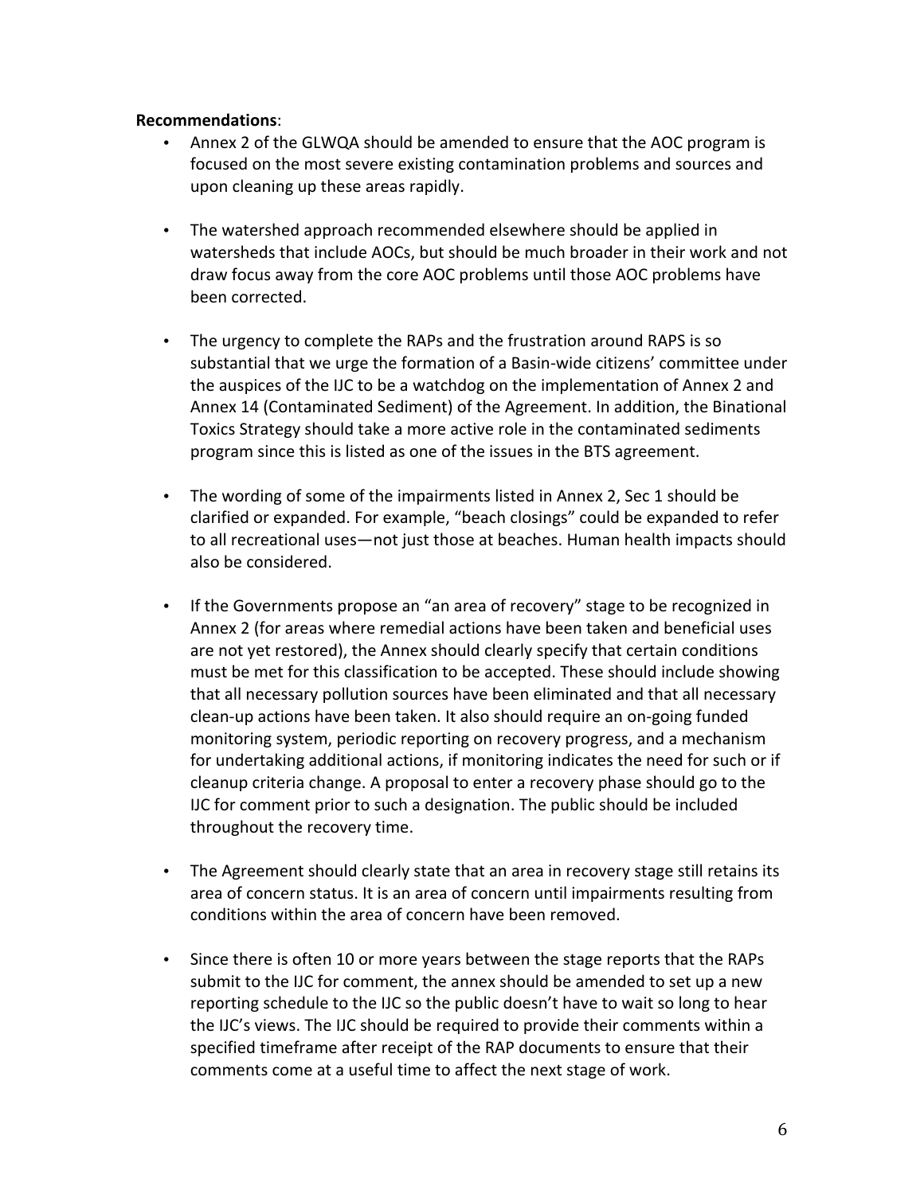#### **Recommendations:**

- Annex 2 of the GLWQA should be amended to ensure that the AOC program is focused on the most severe existing contamination problems and sources and upon cleaning up these areas rapidly.
- The watershed approach recommended elsewhere should be applied in watersheds that include AOCs, but should be much broader in their work and not draw focus away from the core AOC problems until those AOC problems have been corrected.
- The urgency to complete the RAPs and the frustration around RAPS is so substantial that we urge the formation of a Basin-wide citizens' committee under the auspices of the IJC to be a watchdog on the implementation of Annex 2 and Annex 14 (Contaminated Sediment) of the Agreement. In addition, the Binational Toxics Strategy should take a more active role in the contaminated sediments program since this is listed as one of the issues in the BTS agreement.
- The wording of some of the impairments listed in Annex 2, Sec 1 should be clarified or expanded. For example, "beach closings" could be expanded to refer to all recreational uses—not just those at beaches. Human health impacts should also be considered.
- If the Governments propose an "an area of recovery" stage to be recognized in Annex 2 (for areas where remedial actions have been taken and beneficial uses are not yet restored), the Annex should clearly specify that certain conditions must be met for this classification to be accepted. These should include showing that all necessary pollution sources have been eliminated and that all necessary clean-up actions have been taken. It also should require an on-going funded monitoring system, periodic reporting on recovery progress, and a mechanism for undertaking additional actions, if monitoring indicates the need for such or if cleanup criteria change. A proposal to enter a recovery phase should go to the IJC for comment prior to such a designation. The public should be included throughout the recovery time.
- The Agreement should clearly state that an area in recovery stage still retains its area of concern status. It is an area of concern until impairments resulting from conditions within the area of concern have been removed.
- Since there is often 10 or more years between the stage reports that the RAPs submit to the IJC for comment, the annex should be amended to set up a new reporting schedule to the IJC so the public doesn't have to wait so long to hear the IJC's views. The IJC should be required to provide their comments within a specified timeframe after receipt of the RAP documents to ensure that their comments come at a useful time to affect the next stage of work.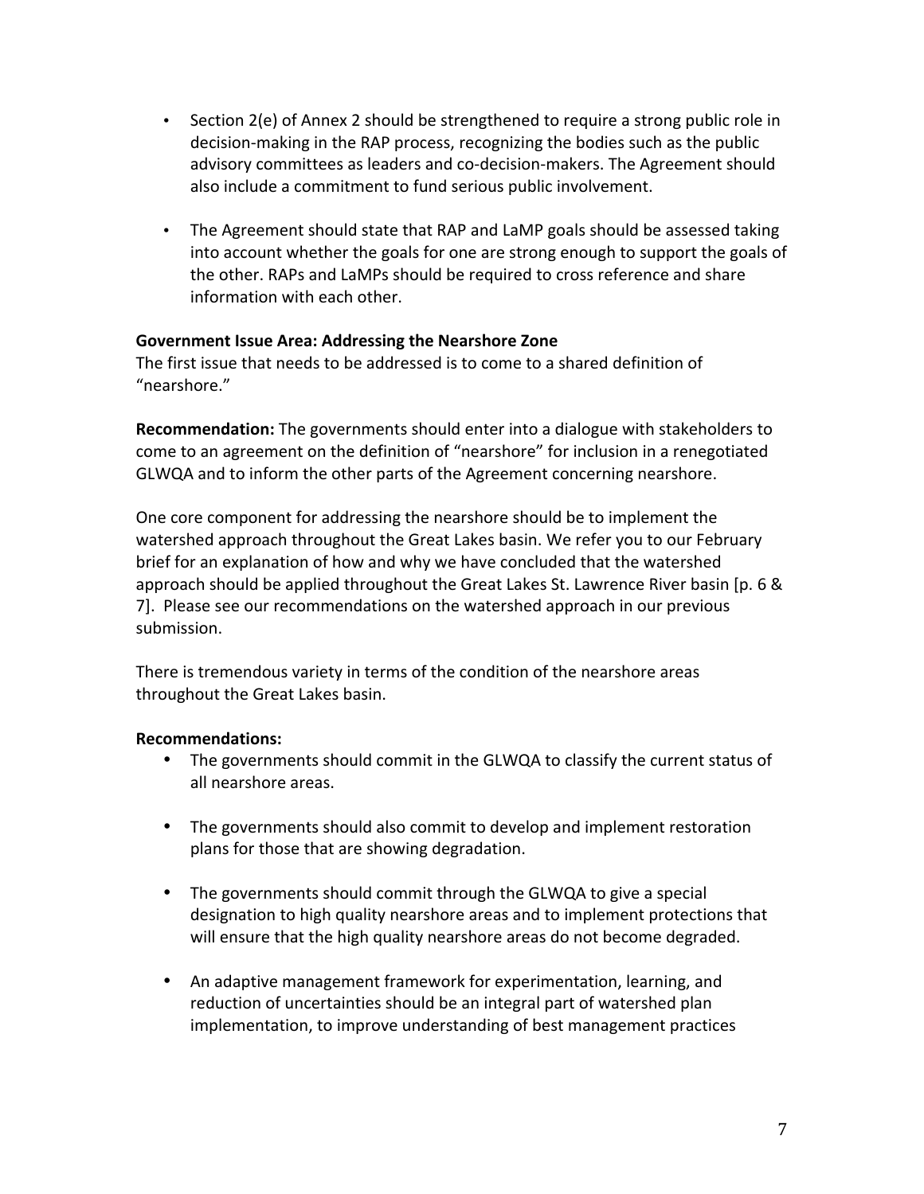- Section 2(e) of Annex 2 should be strengthened to require a strong public role in decision-making in the RAP process, recognizing the bodies such as the public advisory committees as leaders and co-decision-makers. The Agreement should also include a commitment to fund serious public involvement.
- The Agreement should state that RAP and LaMP goals should be assessed taking into account whether the goals for one are strong enough to support the goals of the other. RAPs and LaMPs should be required to cross reference and share information with each other.

### Government Issue Area: Addressing the Nearshore Zone

The first issue that needs to be addressed is to come to a shared definition of "nearshore."

Recommendation: The governments should enter into a dialogue with stakeholders to come to an agreement on the definition of "nearshore" for inclusion in a renegotiated GLWQA and to inform the other parts of the Agreement concerning nearshore.

One core component for addressing the nearshore should be to implement the watershed approach throughout the Great Lakes basin. We refer you to our February brief for an explanation of how and why we have concluded that the watershed approach should be applied throughout the Great Lakes St. Lawrence River basin [p. 6 & 7]. Please see our recommendations on the watershed approach in our previous submission.

There is tremendous variety in terms of the condition of the nearshore areas throughout the Great Lakes basin.

### **Recommendations:**

- The governments should commit in the GLWQA to classify the current status of all nearshore areas.
- The governments should also commit to develop and implement restoration plans for those that are showing degradation.
- The governments should commit through the GLWQA to give a special designation to high quality nearshore areas and to implement protections that will ensure that the high quality nearshore areas do not become degraded.
- An adaptive management framework for experimentation, learning, and reduction of uncertainties should be an integral part of watershed plan implementation, to improve understanding of best management practices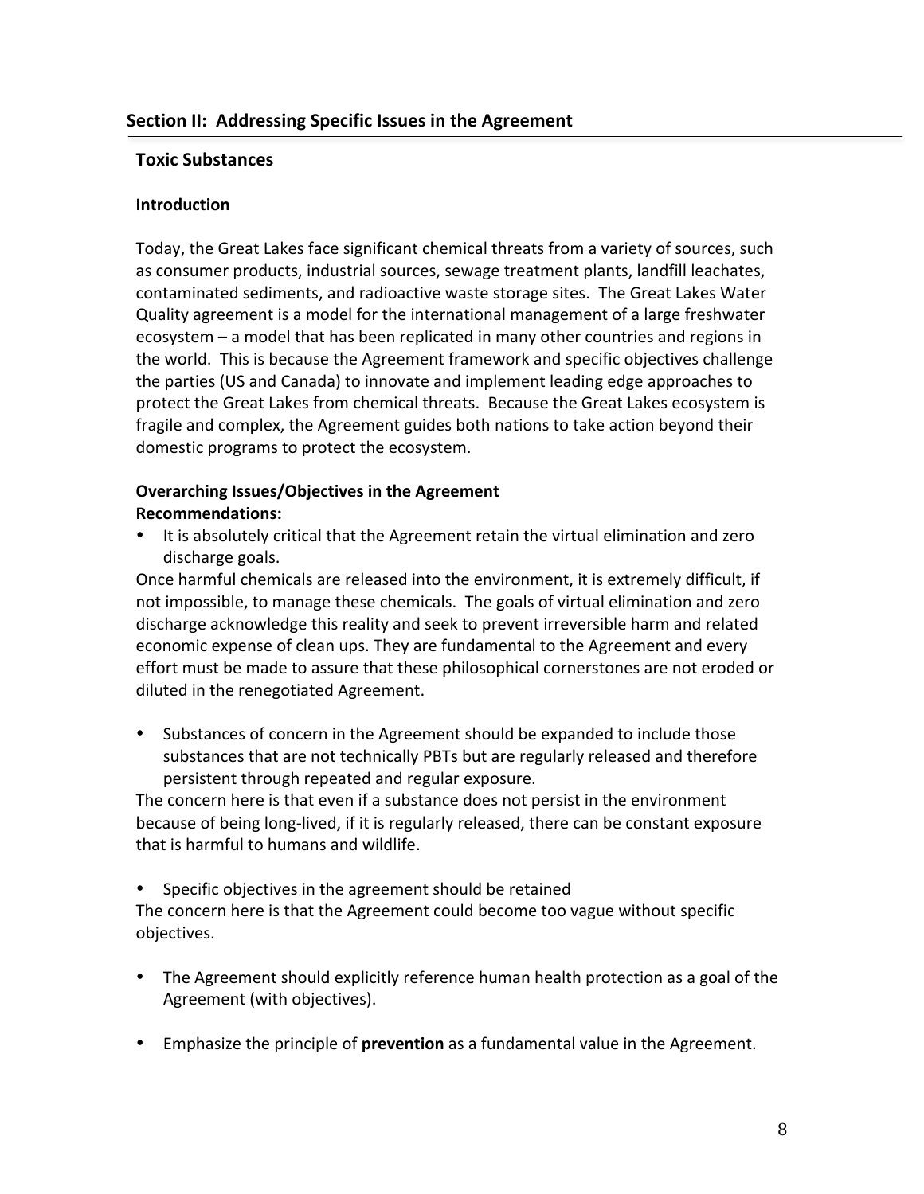### **Toxic Substances**

### **Introduction**

Today, the Great Lakes face significant chemical threats from a variety of sources, such as consumer products, industrial sources, sewage treatment plants, landfill leachates, contaminated sediments, and radioactive waste storage sites. The Great Lakes Water Quality agreement is a model for the international management of a large freshwater ecosystem – a model that has been replicated in many other countries and regions in the world. This is because the Agreement framework and specific objectives challenge the parties (US and Canada) to innovate and implement leading edge approaches to protect the Great Lakes from chemical threats. Because the Great Lakes ecosystem is fragile and complex, the Agreement guides both nations to take action beyond their domestic programs to protect the ecosystem.

## **Overarching Issues/Objectives in the Agreement Recommendations:**

 $\bullet$ It is absolutely critical that the Agreement retain the virtual elimination and zero discharge goals.

Once harmful chemicals are released into the environment, it is extremely difficult, if not impossible, to manage these chemicals. The goals of virtual elimination and zero discharge acknowledge this reality and seek to prevent irreversible harm and related economic expense of clean ups. They are fundamental to the Agreement and every effort must be made to assure that these philosophical cornerstones are not eroded or diluted in the renegotiated Agreement.

• Substances of concern in the Agreement should be expanded to include those substances that are not technically PBTs but are regularly released and therefore persistent through repeated and regular exposure.

The concern here is that even if a substance does not persist in the environment because of being long-lived, if it is regularly released, there can be constant exposure that is harmful to humans and wildlife.

Specific objectives in the agreement should be retained

The concern here is that the Agreement could become too vague without specific objectives.

- The Agreement should explicitly reference human health protection as a goal of the Agreement (with objectives).
- Emphasize the principle of prevention as a fundamental value in the Agreement.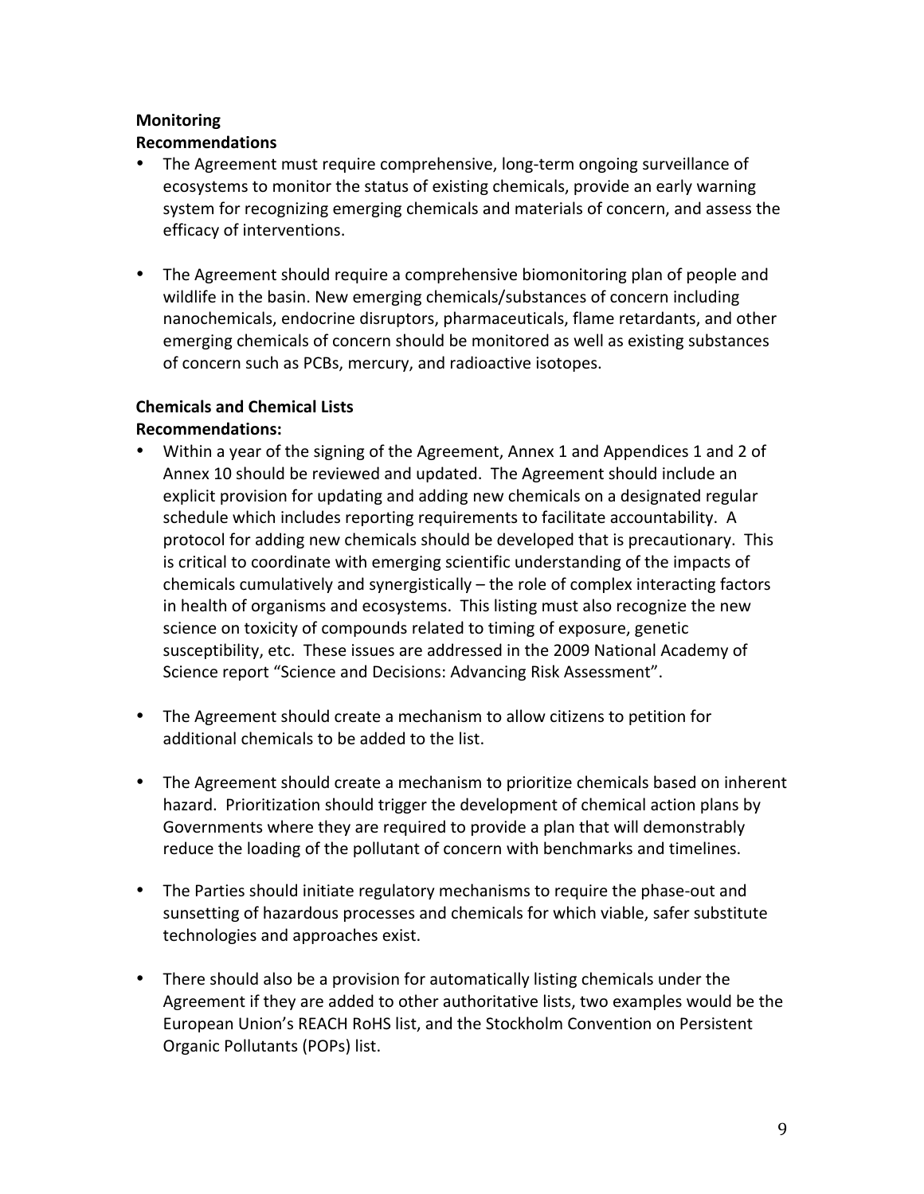### **Monitoring**

### **Recommendations**

- The Agreement must require comprehensive, long-term ongoing surveillance of ecosystems to monitor the status of existing chemicals, provide an early warning system for recognizing emerging chemicals and materials of concern, and assess the efficacy of interventions.
- The Agreement should require a comprehensive biomonitoring plan of people and wildlife in the basin. New emerging chemicals/substances of concern including nanochemicals, endocrine disruptors, pharmaceuticals, flame retardants, and other emerging chemicals of concern should be monitored as well as existing substances of concern such as PCBs, mercury, and radioactive isotopes.

# **Chemicals and Chemical Lists**

### **Recommendations:**

- Within a year of the signing of the Agreement, Annex 1 and Appendices 1 and 2 of Annex 10 should be reviewed and updated. The Agreement should include an explicit provision for updating and adding new chemicals on a designated regular schedule which includes reporting requirements to facilitate accountability. A protocol for adding new chemicals should be developed that is precautionary. This is critical to coordinate with emerging scientific understanding of the impacts of chemicals cumulatively and synergistically – the role of complex interacting factors in health of organisms and ecosystems. This listing must also recognize the new science on toxicity of compounds related to timing of exposure, genetic susceptibility, etc. These issues are addressed in the 2009 National Academy of Science report "Science and Decisions: Advancing Risk Assessment".
- The Agreement should create a mechanism to allow citizens to petition for additional chemicals to be added to the list.
- The Agreement should create a mechanism to prioritize chemicals based on inherent hazard. Prioritization should trigger the development of chemical action plans by Governments where they are required to provide a plan that will demonstrably reduce the loading of the pollutant of concern with benchmarks and timelines.
- The Parties should initiate regulatory mechanisms to require the phase-out and sunsetting of hazardous processes and chemicals for which viable, safer substitute technologies and approaches exist.
- There should also be a provision for automatically listing chemicals under the Agreement if they are added to other authoritative lists, two examples would be the European Union's REACH RoHS list, and the Stockholm Convention on Persistent Organic Pollutants (POPs) list.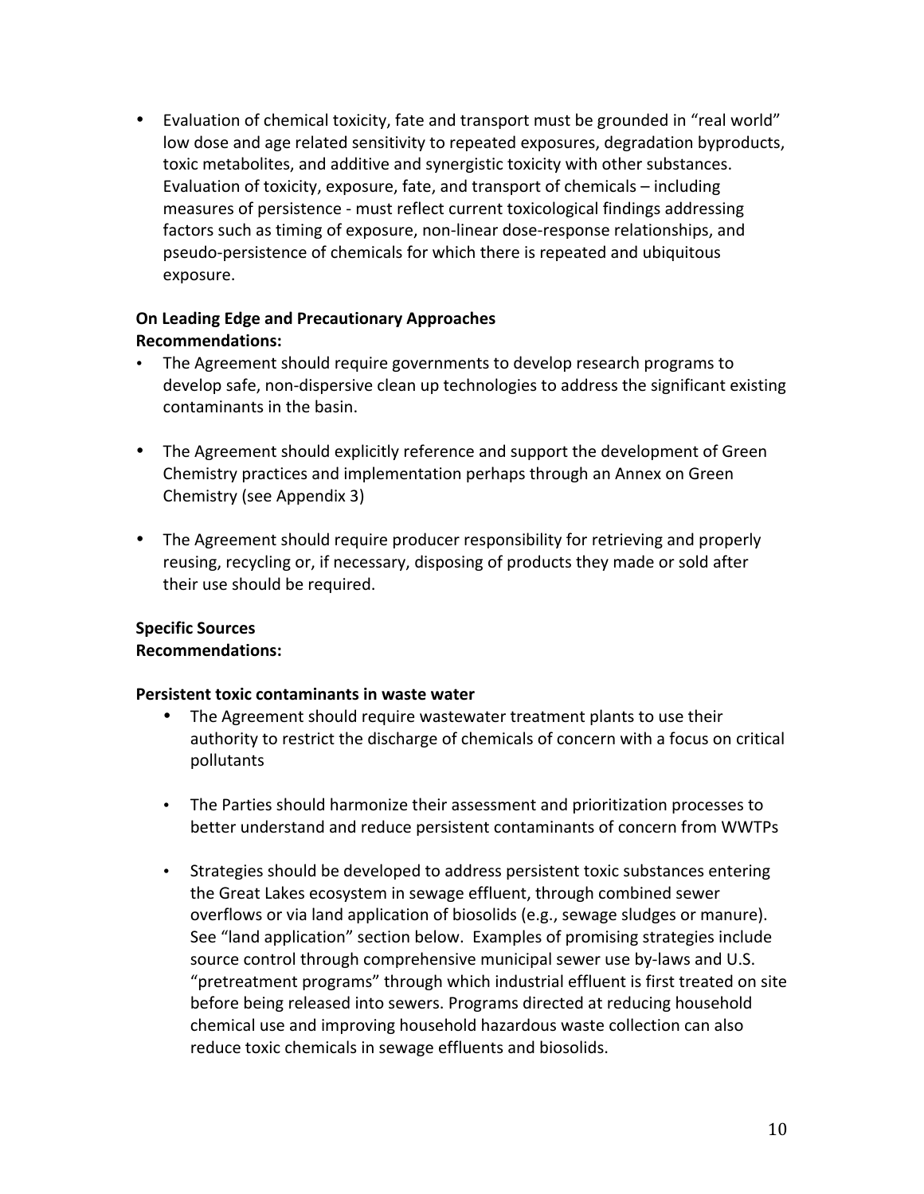• Evaluation of chemical toxicity, fate and transport must be grounded in "real world" low dose and age related sensitivity to repeated exposures, degradation byproducts, toxic metabolites, and additive and synergistic toxicity with other substances. Evaluation of toxicity, exposure, fate, and transport of chemicals – including measures of persistence - must reflect current toxicological findings addressing factors such as timing of exposure, non-linear dose-response relationships, and pseudo-persistence of chemicals for which there is repeated and ubiquitous exposure.

## On Leading Edge and Precautionary Approaches **Recommendations:**

- The Agreement should require governments to develop research programs to develop safe, non-dispersive clean up technologies to address the significant existing contaminants in the basin.
- The Agreement should explicitly reference and support the development of Green Chemistry practices and implementation perhaps through an Annex on Green Chemistry (see Appendix 3)
- The Agreement should require producer responsibility for retrieving and properly reusing, recycling or, if necessary, disposing of products they made or sold after their use should be required.

# **Specific Sources**

# **Recommendations:**

### Persistent toxic contaminants in waste water

- The Agreement should require wastewater treatment plants to use their authority to restrict the discharge of chemicals of concern with a focus on critical pollutants
- The Parties should harmonize their assessment and prioritization processes to better understand and reduce persistent contaminants of concern from WWTPs
- $\bullet$ Strategies should be developed to address persistent toxic substances entering the Great Lakes ecosystem in sewage effluent, through combined sewer overflows or via land application of biosolids (e.g., sewage sludges or manure). See "land application" section below. Examples of promising strategies include source control through comprehensive municipal sewer use by-laws and U.S. "pretreatment programs" through which industrial effluent is first treated on site before being released into sewers. Programs directed at reducing household chemical use and improving household hazardous waste collection can also reduce toxic chemicals in sewage effluents and biosolids.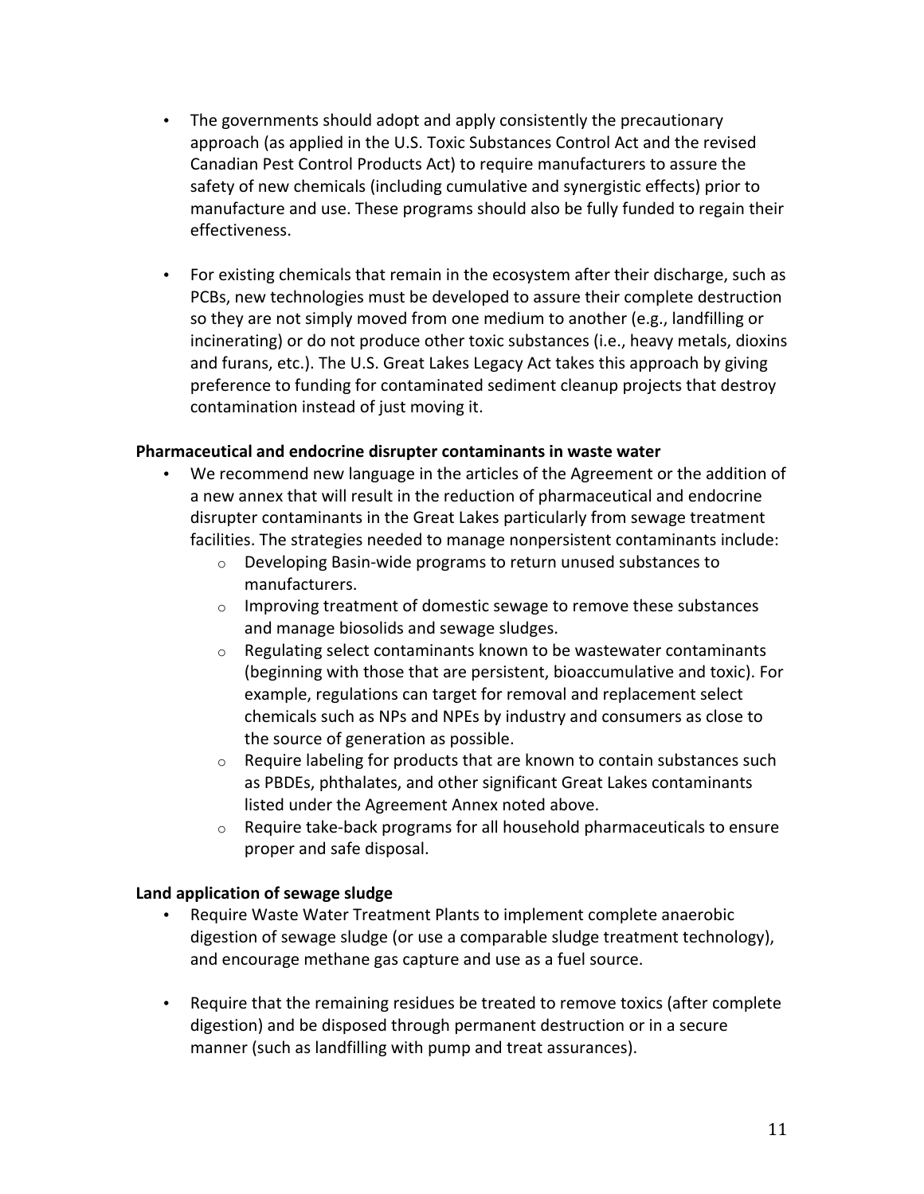- The governments should adopt and apply consistently the precautionary approach (as applied in the U.S. Toxic Substances Control Act and the revised Canadian Pest Control Products Act) to require manufacturers to assure the safety of new chemicals (including cumulative and synergistic effects) prior to manufacture and use. These programs should also be fully funded to regain their effectiveness.
- For existing chemicals that remain in the ecosystem after their discharge, such as PCBs, new technologies must be developed to assure their complete destruction so they are not simply moved from one medium to another (e.g., landfilling or incinerating) or do not produce other toxic substances (i.e., heavy metals, dioxins and furans, etc.). The U.S. Great Lakes Legacy Act takes this approach by giving preference to funding for contaminated sediment cleanup projects that destroy contamination instead of just moving it.

### Pharmaceutical and endocrine disrupter contaminants in waste water

- We recommend new language in the articles of the Agreement or the addition of a new annex that will result in the reduction of pharmaceutical and endocrine disrupter contaminants in the Great Lakes particularly from sewage treatment facilities. The strategies needed to manage nonpersistent contaminants include:
	- Developing Basin-wide programs to return unused substances to manufacturers.
	- o Improving treatment of domestic sewage to remove these substances and manage biosolids and sewage sludges.
	- Regulating select contaminants known to be wastewater contaminants  $\circ$ (beginning with those that are persistent, bioaccumulative and toxic). For example, regulations can target for removal and replacement select chemicals such as NPs and NPEs by industry and consumers as close to the source of generation as possible.
	- $\circ$ Require labeling for products that are known to contain substances such as PBDEs, phthalates, and other significant Great Lakes contaminants listed under the Agreement Annex noted above.
	- Require take-back programs for all household pharmaceuticals to ensure  $\circ$ proper and safe disposal.

### Land application of sewage sludge

- Require Waste Water Treatment Plants to implement complete anaerobic digestion of sewage sludge (or use a comparable sludge treatment technology), and encourage methane gas capture and use as a fuel source.
- Require that the remaining residues be treated to remove toxics (after complete digestion) and be disposed through permanent destruction or in a secure manner (such as landfilling with pump and treat assurances).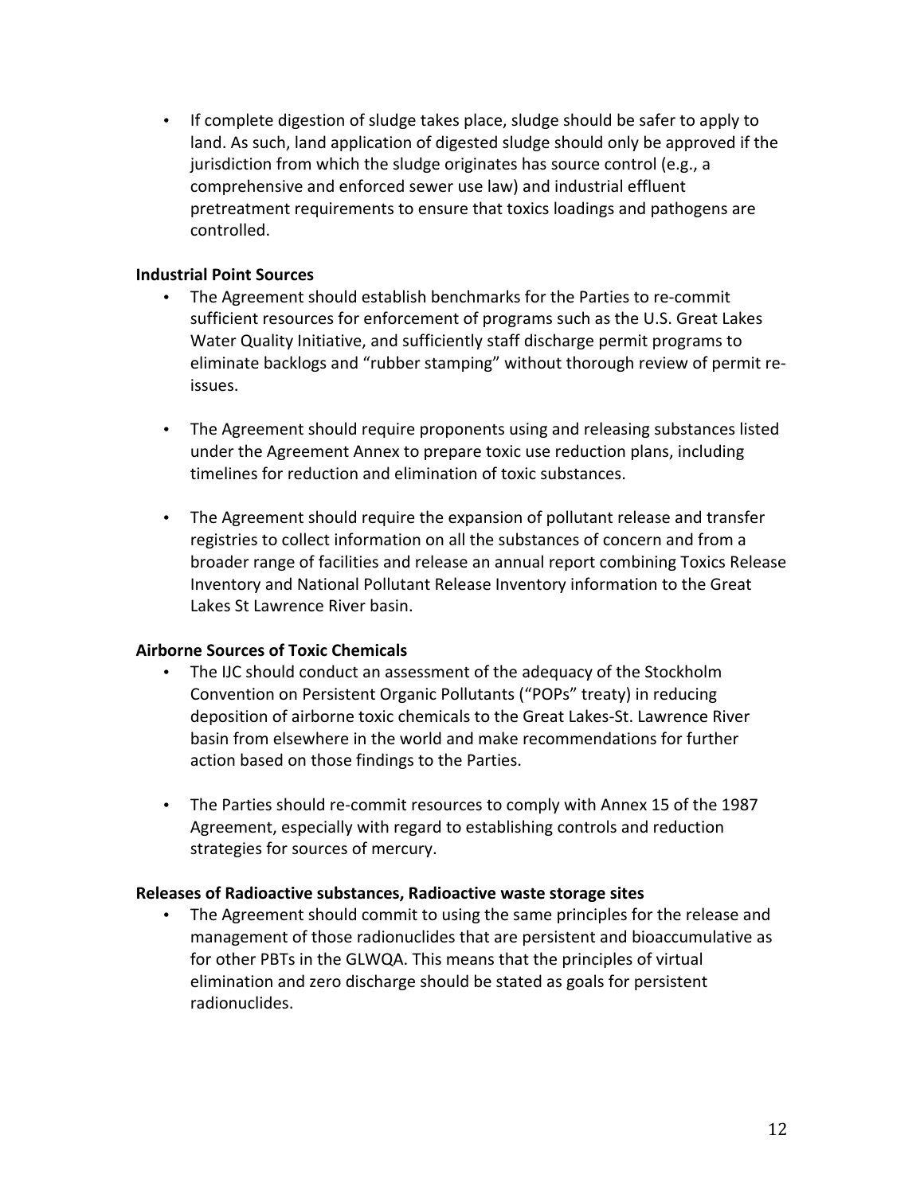• If complete digestion of sludge takes place, sludge should be safer to apply to land. As such, land application of digested sludge should only be approved if the jurisdiction from which the sludge originates has source control (e.g., a comprehensive and enforced sewer use law) and industrial effluent pretreatment requirements to ensure that toxics loadings and pathogens are controlled.

### **Industrial Point Sources**

- The Agreement should establish benchmarks for the Parties to re-commit  $\bullet$  . sufficient resources for enforcement of programs such as the U.S. Great Lakes Water Quality Initiative, and sufficiently staff discharge permit programs to eliminate backlogs and "rubber stamping" without thorough review of permit reissues.
- The Agreement should require proponents using and releasing substances listed under the Agreement Annex to prepare toxic use reduction plans, including timelines for reduction and elimination of toxic substances.
- The Agreement should require the expansion of pollutant release and transfer registries to collect information on all the substances of concern and from a broader range of facilities and release an annual report combining Toxics Release Inventory and National Pollutant Release Inventory information to the Great Lakes St Lawrence River basin.

### **Airborne Sources of Toxic Chemicals**

- The IJC should conduct an assessment of the adequacy of the Stockholm Convention on Persistent Organic Pollutants ("POPs" treaty) in reducing deposition of airborne toxic chemicals to the Great Lakes-St. Lawrence River basin from elsewhere in the world and make recommendations for further action based on those findings to the Parties.
- The Parties should re-commit resources to comply with Annex 15 of the 1987 Agreement, especially with regard to establishing controls and reduction strategies for sources of mercury.

### Releases of Radioactive substances, Radioactive waste storage sites

• The Agreement should commit to using the same principles for the release and management of those radionuclides that are persistent and bioaccumulative as for other PBTs in the GLWQA. This means that the principles of virtual elimination and zero discharge should be stated as goals for persistent radionuclides.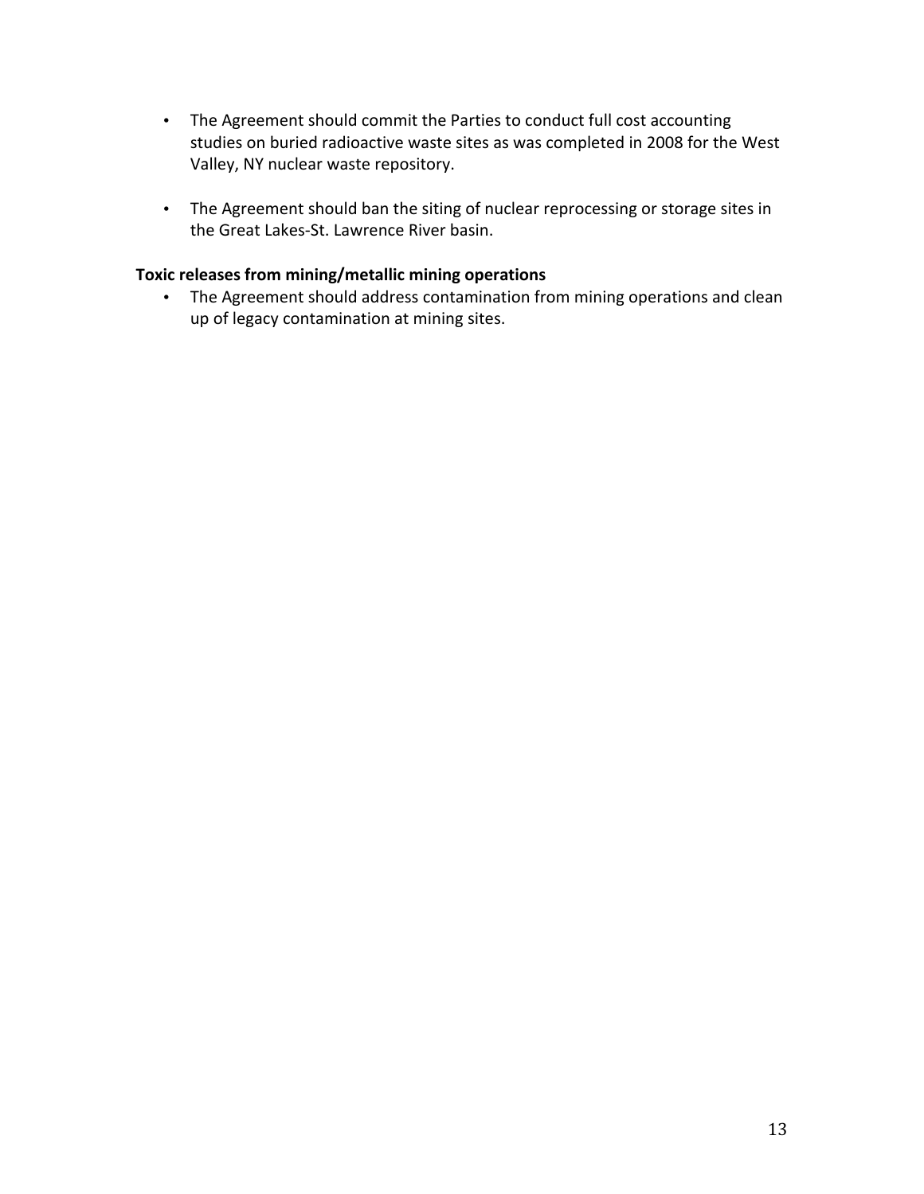- The Agreement should commit the Parties to conduct full cost accounting studies on buried radioactive waste sites as was completed in 2008 for the West Valley, NY nuclear waste repository.
- The Agreement should ban the siting of nuclear reprocessing or storage sites in the Great Lakes-St. Lawrence River basin.

### Toxic releases from mining/metallic mining operations

• The Agreement should address contamination from mining operations and clean up of legacy contamination at mining sites.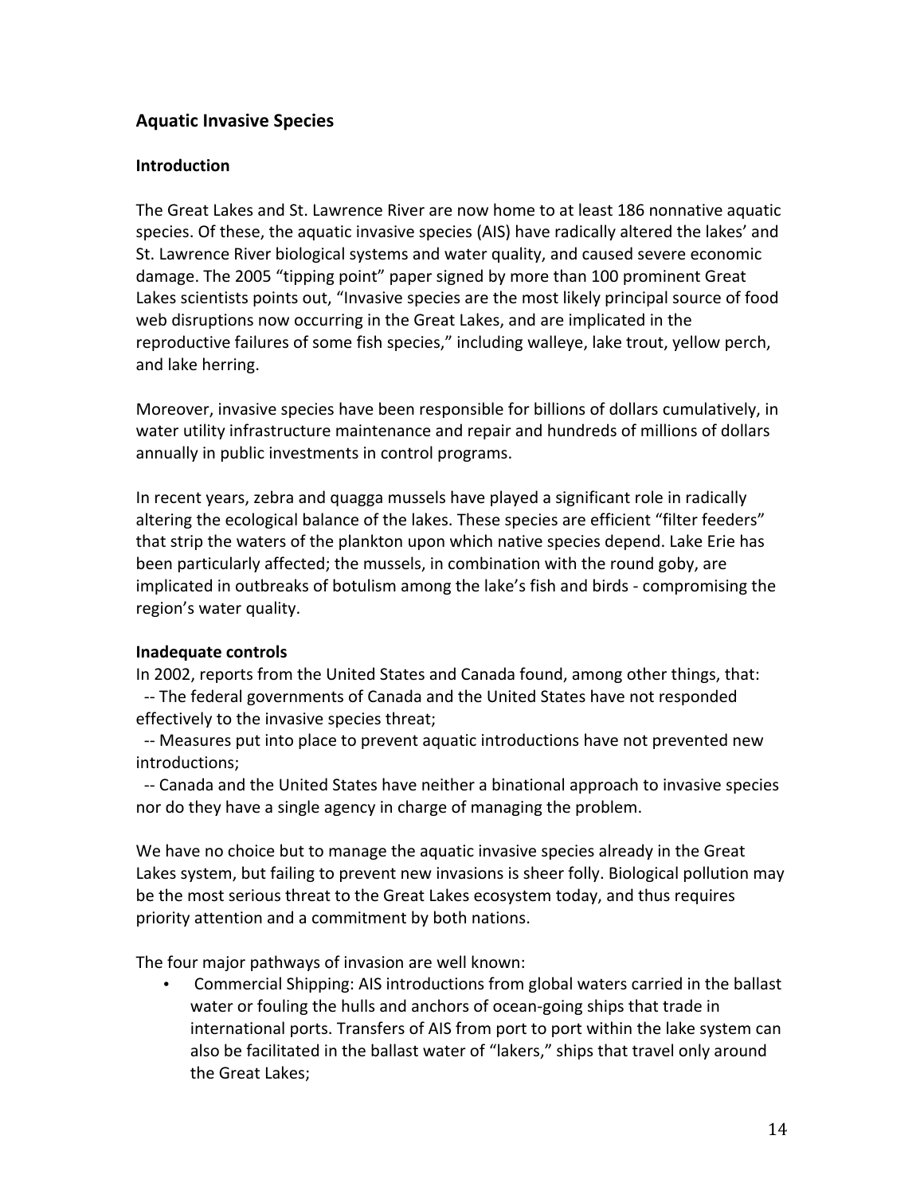# **Aquatic Invasive Species**

### **Introduction**

The Great Lakes and St. Lawrence River are now home to at least 186 nonnative aquatic species. Of these, the aquatic invasive species (AIS) have radically altered the lakes' and St. Lawrence River biological systems and water quality, and caused severe economic damage. The 2005 "tipping point" paper signed by more than 100 prominent Great Lakes scientists points out, "Invasive species are the most likely principal source of food web disruptions now occurring in the Great Lakes, and are implicated in the reproductive failures of some fish species," including walleye, lake trout, yellow perch, and lake herring.

Moreover, invasive species have been responsible for billions of dollars cumulatively, in water utility infrastructure maintenance and repair and hundreds of millions of dollars annually in public investments in control programs.

In recent years, zebra and quagga mussels have played a significant role in radically altering the ecological balance of the lakes. These species are efficient "filter feeders" that strip the waters of the plankton upon which native species depend. Lake Erie has been particularly affected; the mussels, in combination with the round goby, are implicated in outbreaks of botulism among the lake's fish and birds - compromising the region's water quality.

### Inadequate controls

In 2002, reports from the United States and Canada found, among other things, that: -- The federal governments of Canada and the United States have not responded effectively to the invasive species threat;

-- Measures put into place to prevent aquatic introductions have not prevented new introductions;

-- Canada and the United States have neither a binational approach to invasive species nor do they have a single agency in charge of managing the problem.

We have no choice but to manage the aquatic invasive species already in the Great Lakes system, but failing to prevent new invasions is sheer folly. Biological pollution may be the most serious threat to the Great Lakes ecosystem today, and thus requires priority attention and a commitment by both nations.

The four major pathways of invasion are well known:

Commercial Shipping: AIS introductions from global waters carried in the ballast water or fouling the hulls and anchors of ocean-going ships that trade in international ports. Transfers of AIS from port to port within the lake system can also be facilitated in the ballast water of "lakers," ships that travel only around the Great Lakes;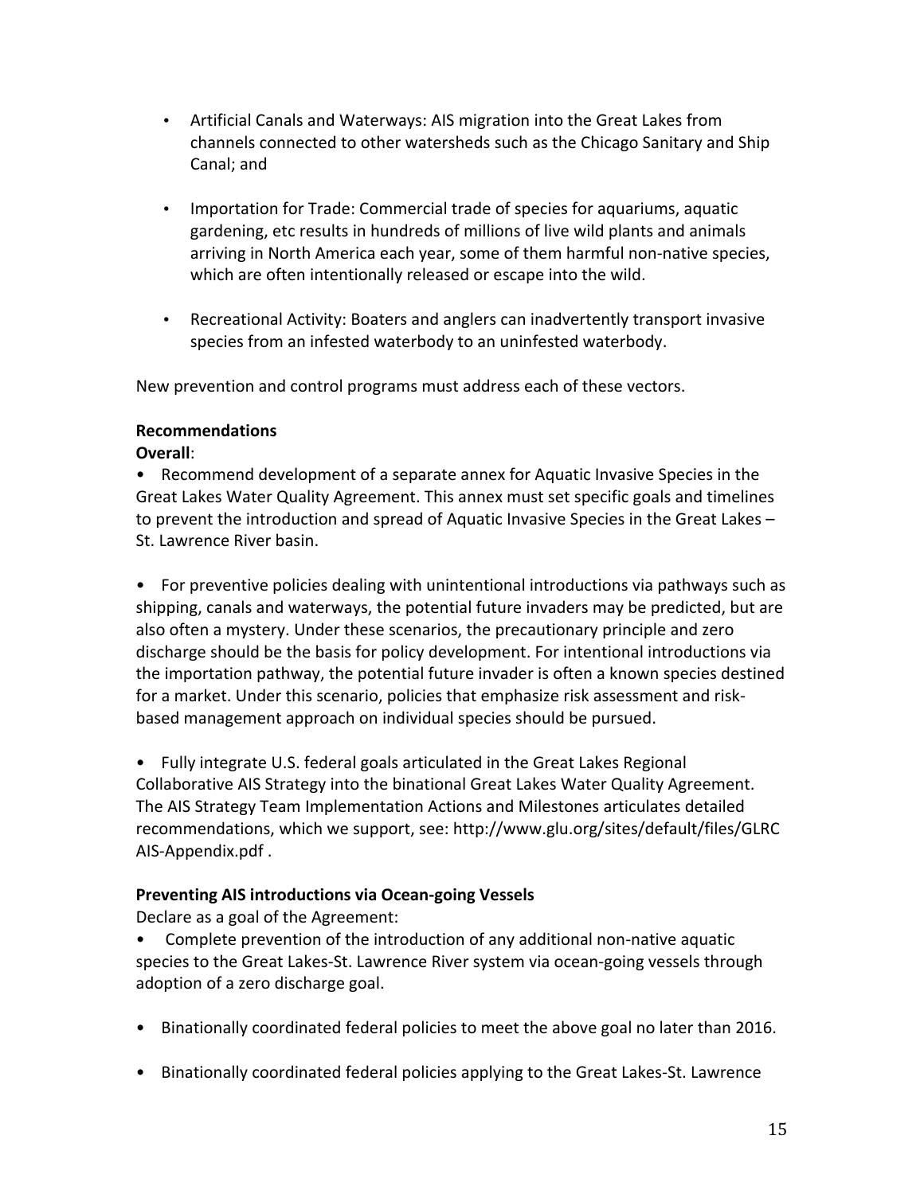- Artificial Canals and Waterways: AIS migration into the Great Lakes from channels connected to other watersheds such as the Chicago Sanitary and Ship Canal; and
- Importation for Trade: Commercial trade of species for aquariums, aquatic gardening, etc results in hundreds of millions of live wild plants and animals arriving in North America each year, some of them harmful non-native species, which are often intentionally released or escape into the wild.
- Recreational Activity: Boaters and anglers can inadvertently transport invasive species from an infested waterbody to an uninfested waterbody.

New prevention and control programs must address each of these vectors.

### **Recommendations**

Overall:

• Recommend development of a separate annex for Aquatic Invasive Species in the Great Lakes Water Quality Agreement. This annex must set specific goals and timelines to prevent the introduction and spread of Aquatic Invasive Species in the Great Lakes -St. Lawrence River basin.

• For preventive policies dealing with unintentional introductions via pathways such as shipping, canals and waterways, the potential future invaders may be predicted, but are also often a mystery. Under these scenarios, the precautionary principle and zero discharge should be the basis for policy development. For intentional introductions via the importation pathway, the potential future invader is often a known species destined for a market. Under this scenario, policies that emphasize risk assessment and riskbased management approach on individual species should be pursued.

• Fully integrate U.S. federal goals articulated in the Great Lakes Regional Collaborative AIS Strategy into the binational Great Lakes Water Quality Agreement. The AIS Strategy Team Implementation Actions and Milestones articulates detailed recommendations, which we support, see: http://www.glu.org/sites/default/files/GLRC AIS-Appendix.pdf.

# **Preventing AIS introductions via Ocean-going Vessels**

Declare as a goal of the Agreement:

• Complete prevention of the introduction of any additional non-native aquatic species to the Great Lakes-St. Lawrence River system via ocean-going vessels through adoption of a zero discharge goal.

- Binationally coordinated federal policies to meet the above goal no later than 2016.
- Binationally coordinated federal policies applying to the Great Lakes-St. Lawrence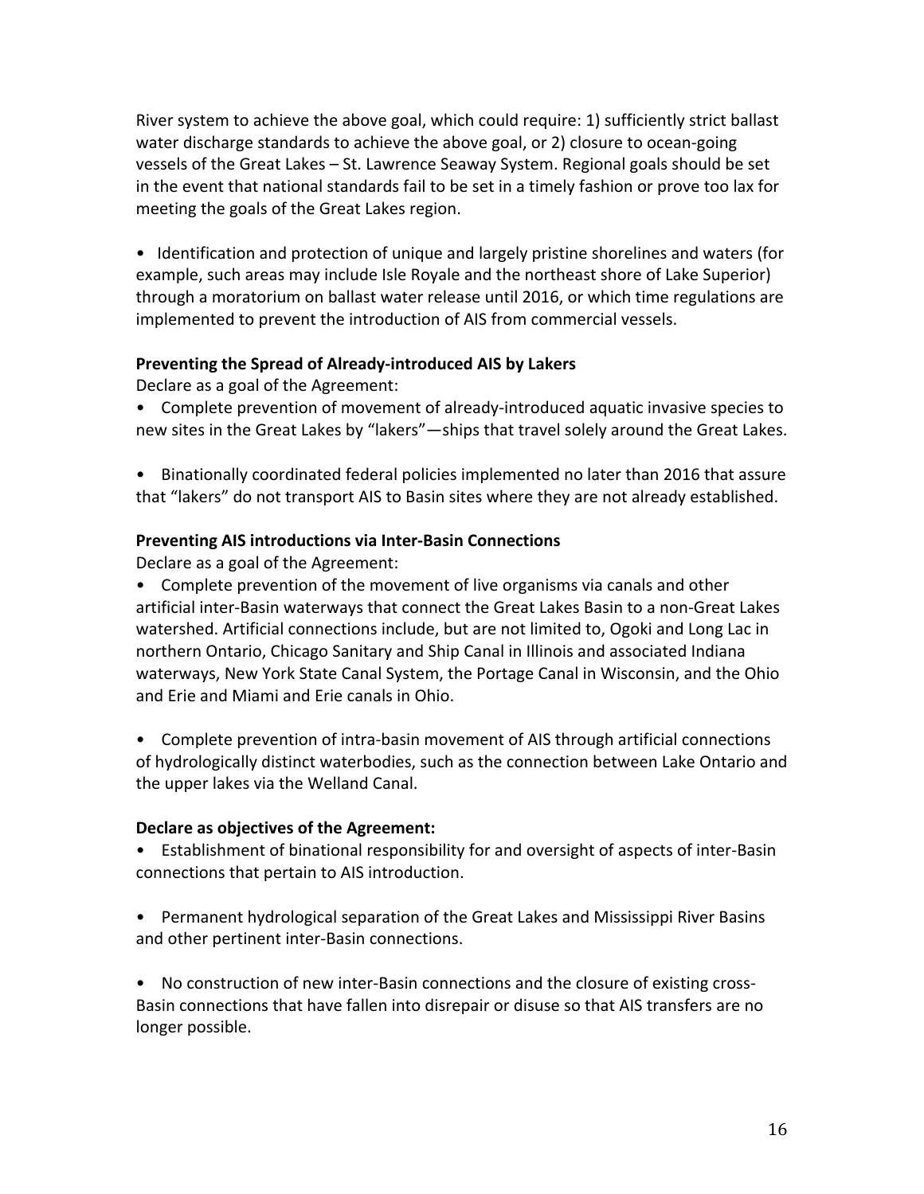River system to achieve the above goal, which could require: 1) sufficiently strict ballast water discharge standards to achieve the above goal, or 2) closure to ocean-going vessels of the Great Lakes - St. Lawrence Seaway System. Regional goals should be set in the event that national standards fail to be set in a timely fashion or prove too lax for meeting the goals of the Great Lakes region.

• Identification and protection of unique and largely pristine shorelines and waters (for example, such areas may include Isle Royale and the northeast shore of Lake Superior) through a moratorium on ballast water release until 2016, or which time regulations are implemented to prevent the introduction of AIS from commercial vessels.

### Preventing the Spread of Already-introduced AIS by Lakers

Declare as a goal of the Agreement:

- Complete prevention of movement of already-introduced aquatic invasive species to new sites in the Great Lakes by "lakers"—ships that travel solely around the Great Lakes.
- Binationally coordinated federal policies implemented no later than 2016 that assure that "lakers" do not transport AIS to Basin sites where they are not already established.

### **Preventing AIS introductions via Inter-Basin Connections**

Declare as a goal of the Agreement:

• Complete prevention of the movement of live organisms via canals and other artificial inter-Basin waterways that connect the Great Lakes Basin to a non-Great Lakes watershed. Artificial connections include, but are not limited to, Ogoki and Long Lac in northern Ontario, Chicago Sanitary and Ship Canal in Illinois and associated Indiana waterways, New York State Canal System, the Portage Canal in Wisconsin, and the Ohio and Erie and Miami and Erie canals in Ohio.

• Complete prevention of intra-basin movement of AIS through artificial connections of hydrologically distinct waterbodies, such as the connection between Lake Ontario and the upper lakes via the Welland Canal.

### Declare as objectives of the Agreement:

• Establishment of binational responsibility for and oversight of aspects of inter-Basin connections that pertain to AIS introduction.

• Permanent hydrological separation of the Great Lakes and Mississippi River Basins and other pertinent inter-Basin connections.

• No construction of new inter-Basin connections and the closure of existing cross-Basin connections that have fallen into disrepair or disuse so that AIS transfers are no longer possible.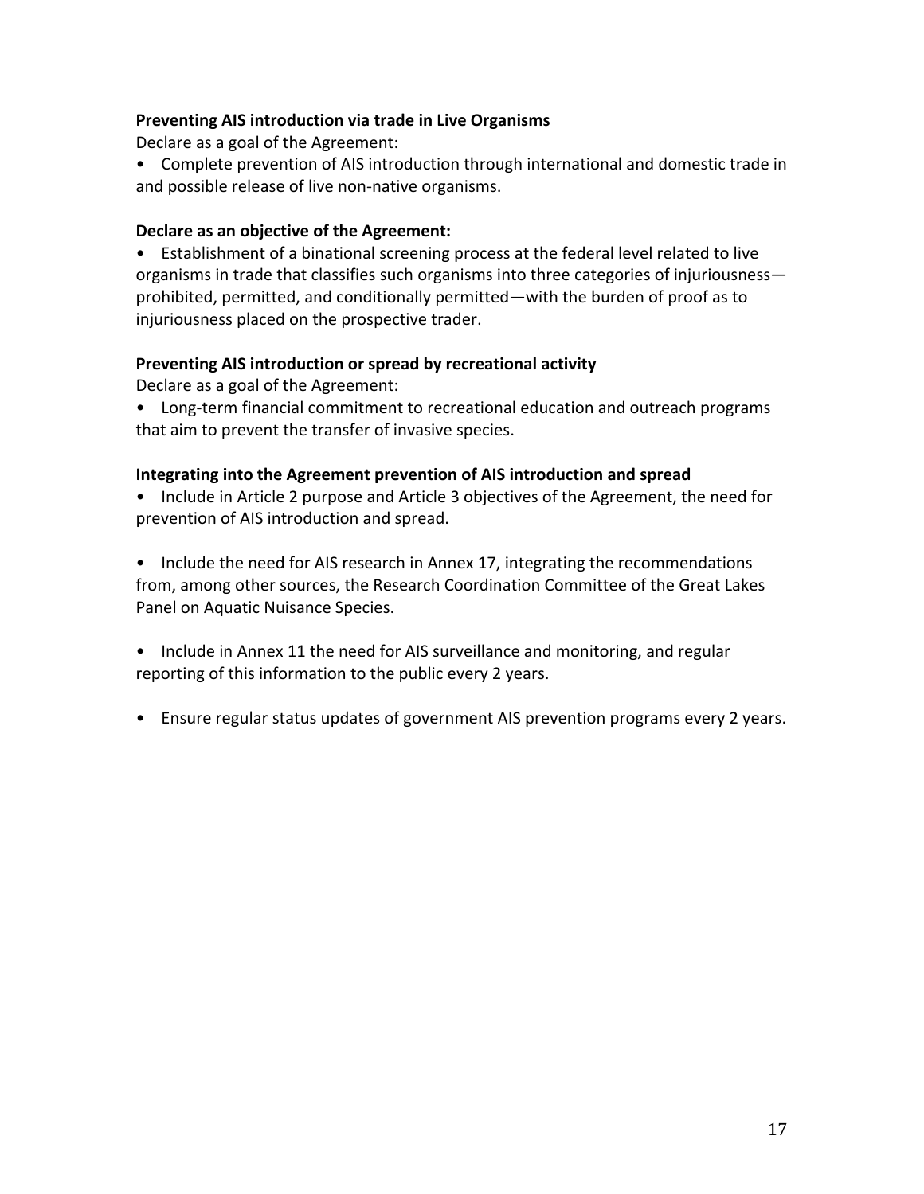### **Preventing AIS introduction via trade in Live Organisms**

Declare as a goal of the Agreement:

• Complete prevention of AIS introduction through international and domestic trade in and possible release of live non-native organisms.

### Declare as an objective of the Agreement:

• Establishment of a binational screening process at the federal level related to live organisms in trade that classifies such organisms into three categories of injuriousnessprohibited, permitted, and conditionally permitted—with the burden of proof as to injuriousness placed on the prospective trader.

### Preventing AIS introduction or spread by recreational activity

Declare as a goal of the Agreement:

• Long-term financial commitment to recreational education and outreach programs that aim to prevent the transfer of invasive species.

### Integrating into the Agreement prevention of AIS introduction and spread

• Include in Article 2 purpose and Article 3 objectives of the Agreement, the need for prevention of AIS introduction and spread.

• Include the need for AIS research in Annex 17, integrating the recommendations from, among other sources, the Research Coordination Committee of the Great Lakes Panel on Aquatic Nuisance Species.

• Include in Annex 11 the need for AIS surveillance and monitoring, and regular reporting of this information to the public every 2 years.

• Ensure regular status updates of government AIS prevention programs every 2 years.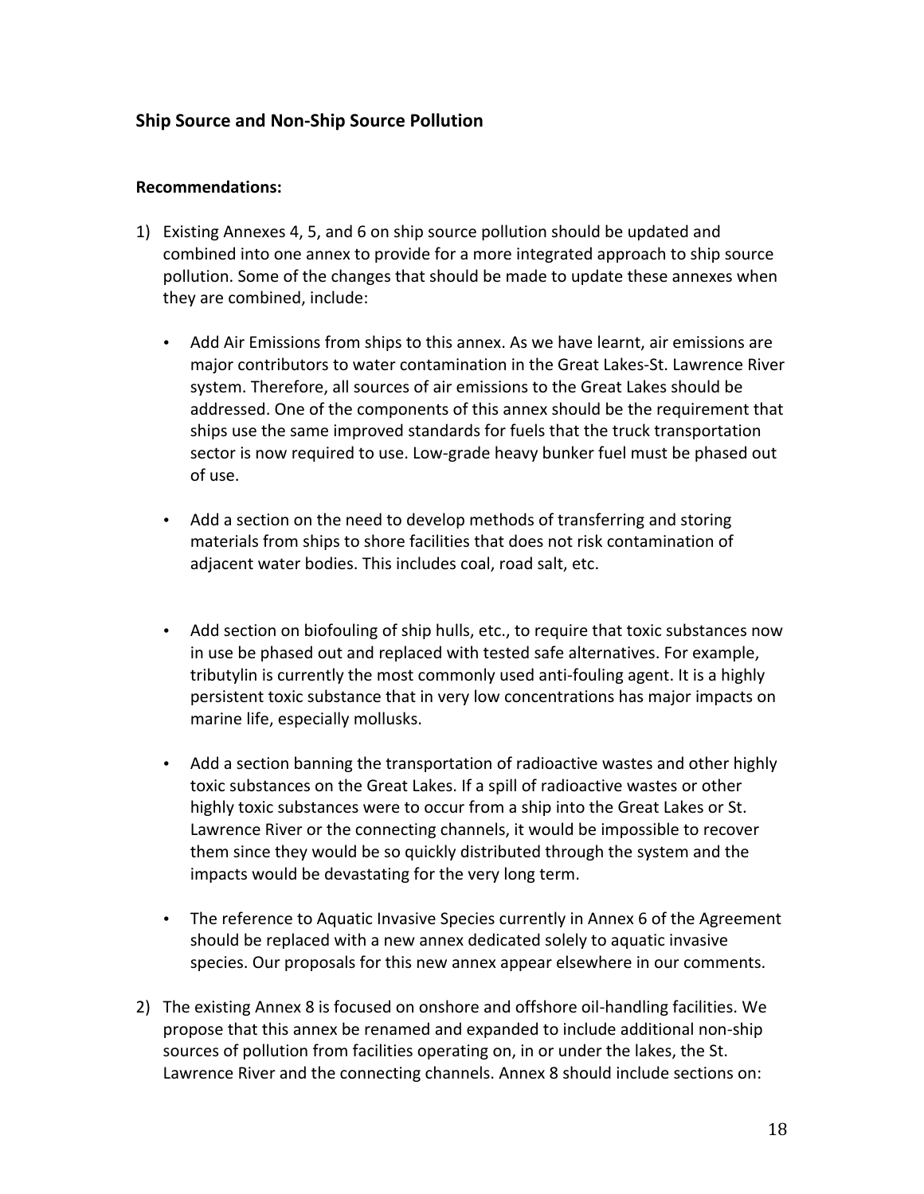## **Ship Source and Non-Ship Source Pollution**

### **Recommendations:**

- 1) Existing Annexes 4, 5, and 6 on ship source pollution should be updated and combined into one annex to provide for a more integrated approach to ship source pollution. Some of the changes that should be made to update these annexes when they are combined, include:
	- Add Air Emissions from ships to this annex. As we have learnt, air emissions are major contributors to water contamination in the Great Lakes-St. Lawrence River system. Therefore, all sources of air emissions to the Great Lakes should be addressed. One of the components of this annex should be the requirement that ships use the same improved standards for fuels that the truck transportation sector is now required to use. Low-grade heavy bunker fuel must be phased out of use.
	- Add a section on the need to develop methods of transferring and storing materials from ships to shore facilities that does not risk contamination of adjacent water bodies. This includes coal, road salt, etc.
	- Add section on biofouling of ship hulls, etc., to require that toxic substances now in use be phased out and replaced with tested safe alternatives. For example, tributylin is currently the most commonly used anti-fouling agent. It is a highly persistent toxic substance that in very low concentrations has major impacts on marine life, especially mollusks.
	- Add a section banning the transportation of radioactive wastes and other highly toxic substances on the Great Lakes. If a spill of radioactive wastes or other highly toxic substances were to occur from a ship into the Great Lakes or St. Lawrence River or the connecting channels, it would be impossible to recover them since they would be so quickly distributed through the system and the impacts would be devastating for the very long term.
	- The reference to Aquatic Invasive Species currently in Annex 6 of the Agreement should be replaced with a new annex dedicated solely to aquatic invasive species. Our proposals for this new annex appear elsewhere in our comments.
- 2) The existing Annex 8 is focused on onshore and offshore oil-handling facilities. We propose that this annex be renamed and expanded to include additional non-ship sources of pollution from facilities operating on, in or under the lakes, the St. Lawrence River and the connecting channels. Annex 8 should include sections on: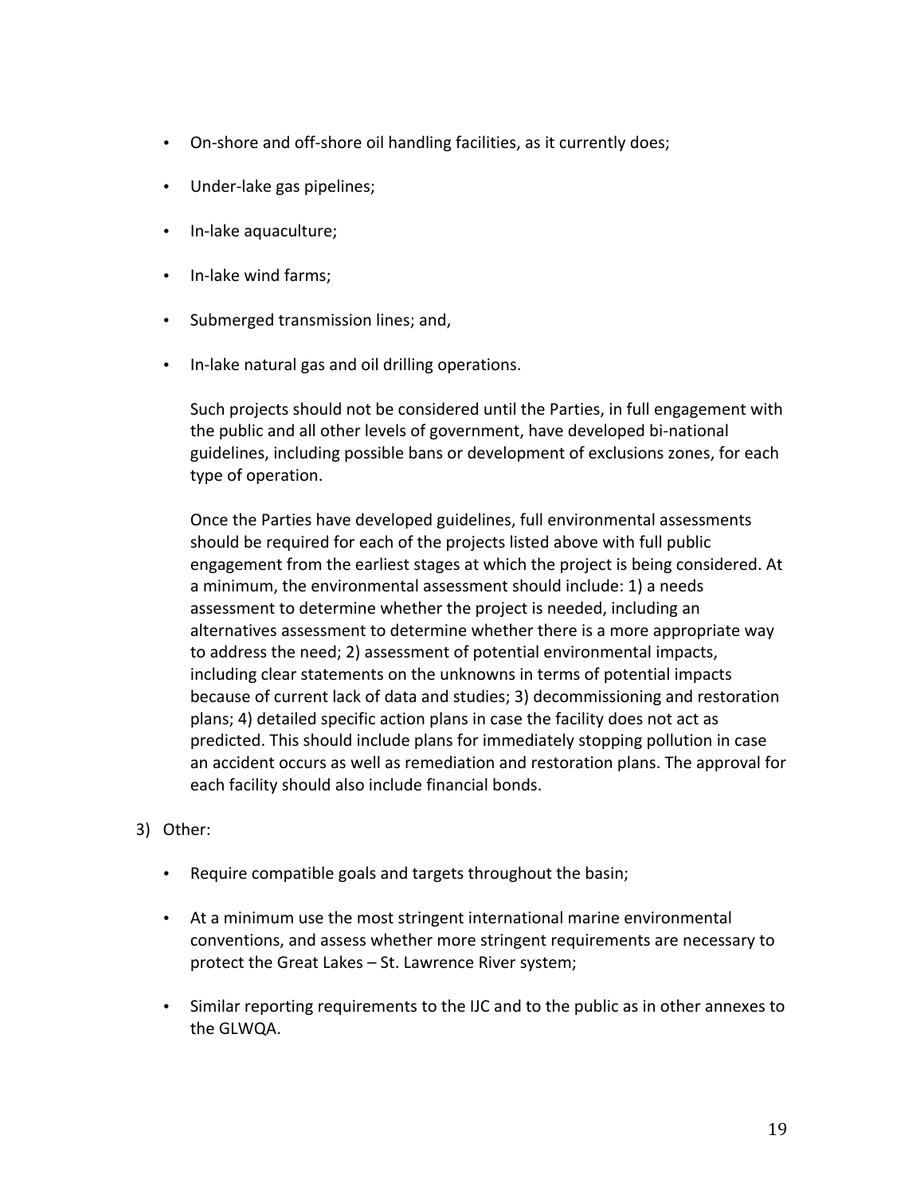- On-shore and off-shore oil handling facilities, as it currently does;
- Under-lake gas pipelines;
- In-lake aquaculture;
- In-lake wind farms;
- Submerged transmission lines; and,
- In-lake natural gas and oil drilling operations.

Such projects should not be considered until the Parties, in full engagement with the public and all other levels of government, have developed bi-national guidelines, including possible bans or development of exclusions zones, for each type of operation.

Once the Parties have developed guidelines, full environmental assessments should be required for each of the projects listed above with full public engagement from the earliest stages at which the project is being considered. At a minimum, the environmental assessment should include: 1) a needs assessment to determine whether the project is needed, including an alternatives assessment to determine whether there is a more appropriate way to address the need; 2) assessment of potential environmental impacts, including clear statements on the unknowns in terms of potential impacts because of current lack of data and studies; 3) decommissioning and restoration plans; 4) detailed specific action plans in case the facility does not act as predicted. This should include plans for immediately stopping pollution in case an accident occurs as well as remediation and restoration plans. The approval for each facility should also include financial bonds.

### 3) Other:

- Require compatible goals and targets throughout the basin;
- At a minimum use the most stringent international marine environmental conventions, and assess whether more stringent requirements are necessary to protect the Great Lakes - St. Lawrence River system;
- Similar reporting requirements to the IJC and to the public as in other annexes to the GLWQA.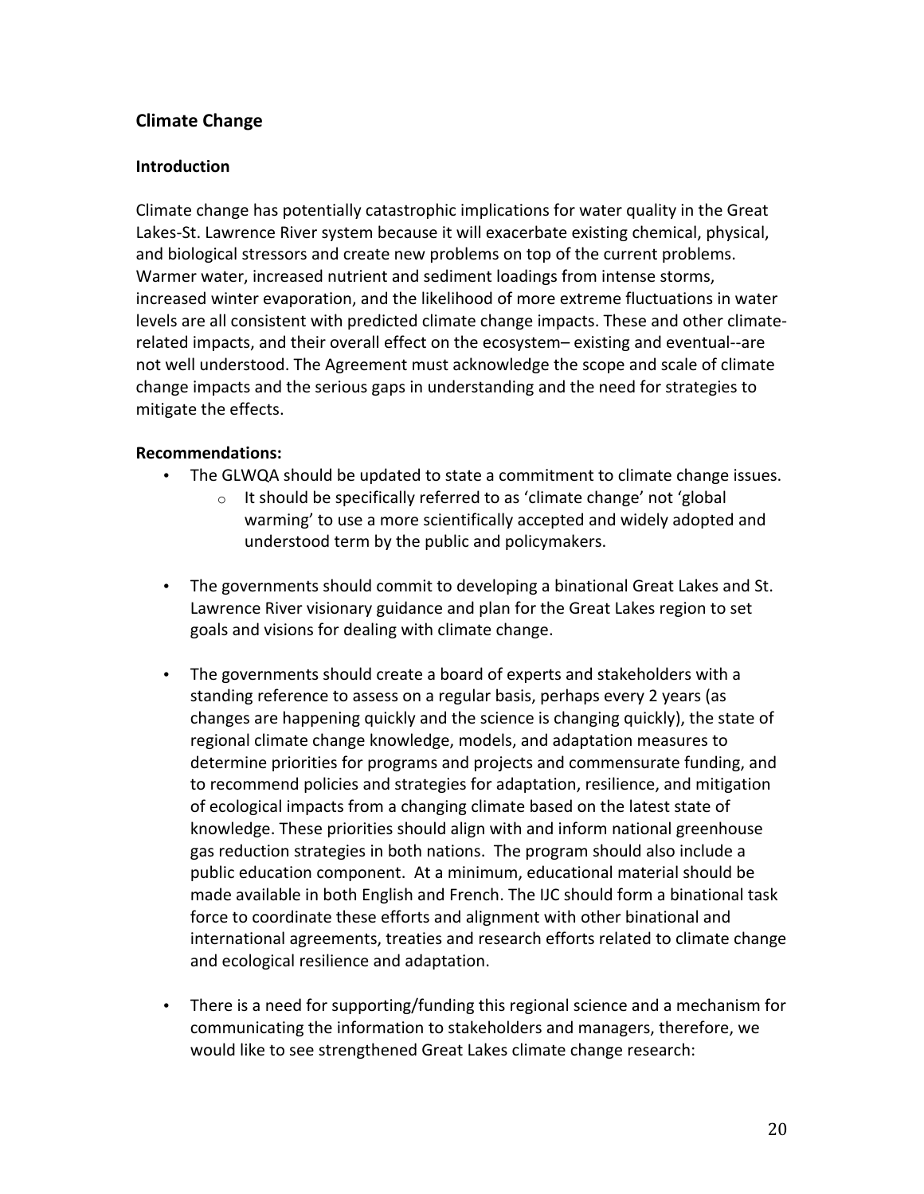# **Climate Change**

### **Introduction**

Climate change has potentially catastrophic implications for water quality in the Great Lakes-St. Lawrence River system because it will exacerbate existing chemical, physical, and biological stressors and create new problems on top of the current problems. Warmer water, increased nutrient and sediment loadings from intense storms, increased winter evaporation, and the likelihood of more extreme fluctuations in water levels are all consistent with predicted climate change impacts. These and other climaterelated impacts, and their overall effect on the ecosystem– existing and eventual--are not well understood. The Agreement must acknowledge the scope and scale of climate change impacts and the serious gaps in understanding and the need for strategies to mitigate the effects.

### **Recommendations:**

- The GLWQA should be updated to state a commitment to climate change issues.
	- It should be specifically referred to as 'climate change' not 'global  $\circ$ warming' to use a more scientifically accepted and widely adopted and understood term by the public and policymakers.
- The governments should commit to developing a binational Great Lakes and St. Lawrence River visionary guidance and plan for the Great Lakes region to set goals and visions for dealing with climate change.
- The governments should create a board of experts and stakeholders with a standing reference to assess on a regular basis, perhaps every 2 years (as changes are happening quickly and the science is changing quickly), the state of regional climate change knowledge, models, and adaptation measures to determine priorities for programs and projects and commensurate funding, and to recommend policies and strategies for adaptation, resilience, and mitigation of ecological impacts from a changing climate based on the latest state of knowledge. These priorities should align with and inform national greenhouse gas reduction strategies in both nations. The program should also include a public education component. At a minimum, educational material should be made available in both English and French. The IJC should form a binational task force to coordinate these efforts and alignment with other binational and international agreements, treaties and research efforts related to climate change and ecological resilience and adaptation.
- There is a need for supporting/funding this regional science and a mechanism for communicating the information to stakeholders and managers, therefore, we would like to see strengthened Great Lakes climate change research: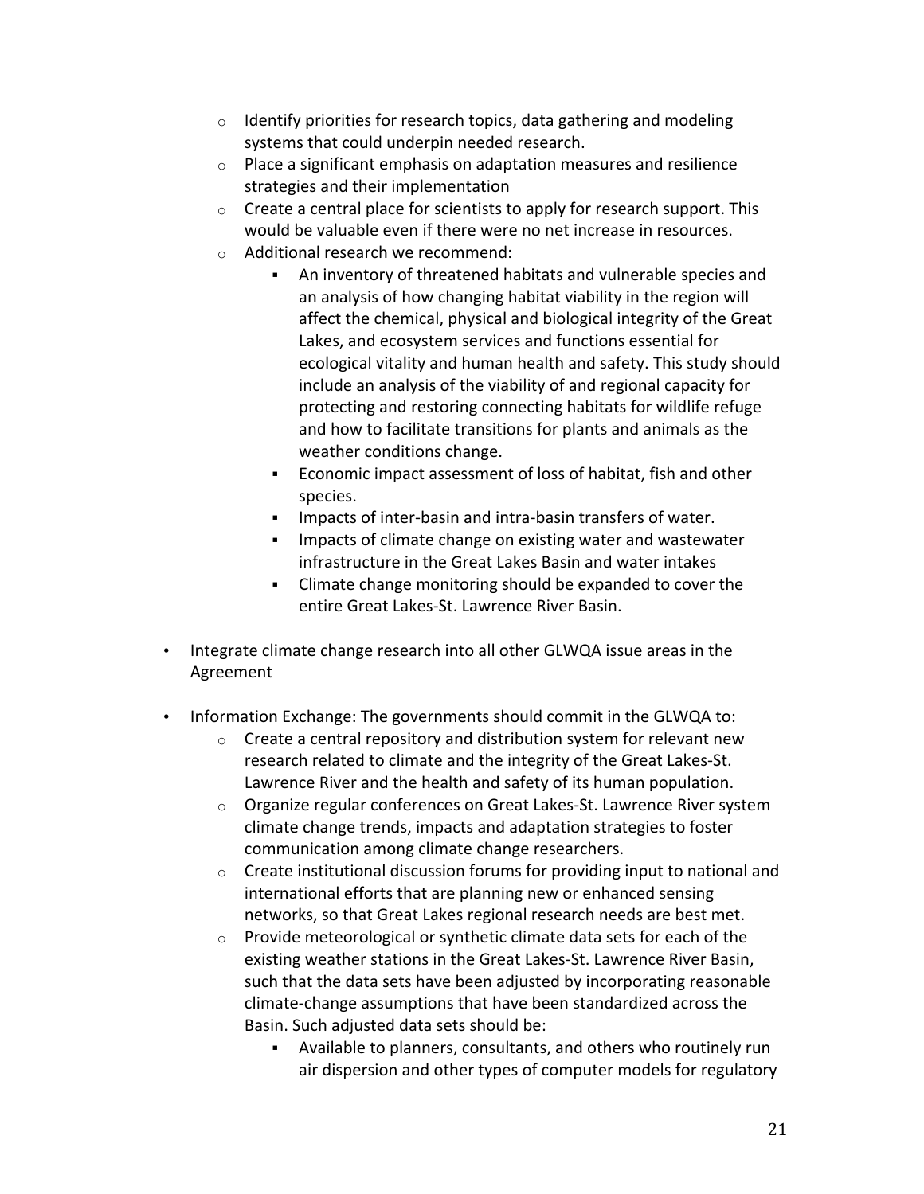- Identify priorities for research topics, data gathering and modeling  $\circ$ systems that could underpin needed research.
- Place a significant emphasis on adaptation measures and resilience  $\circ$ strategies and their implementation
- o Create a central place for scientists to apply for research support. This would be valuable even if there were no net increase in resources.
- o Additional research we recommend:
	- An inventory of threatened habitats and vulnerable species and an analysis of how changing habitat viability in the region will affect the chemical, physical and biological integrity of the Great Lakes, and ecosystem services and functions essential for ecological vitality and human health and safety. This study should include an analysis of the viability of and regional capacity for protecting and restoring connecting habitats for wildlife refuge and how to facilitate transitions for plants and animals as the weather conditions change.
	- Economic impact assessment of loss of habitat, fish and other species.
	- Impacts of inter-basin and intra-basin transfers of water.
	- Impacts of climate change on existing water and wastewater infrastructure in the Great Lakes Basin and water intakes
	- Climate change monitoring should be expanded to cover the entire Great Lakes-St. Lawrence River Basin.
- . Integrate climate change research into all other GLWQA issue areas in the Agreement
- Information Exchange: The governments should commit in the GLWQA to:
	- o Create a central repository and distribution system for relevant new research related to climate and the integrity of the Great Lakes-St. Lawrence River and the health and safety of its human population.
	- o Organize regular conferences on Great Lakes-St. Lawrence River system climate change trends, impacts and adaptation strategies to foster communication among climate change researchers.
	- $\circ$  Create institutional discussion forums for providing input to national and international efforts that are planning new or enhanced sensing networks, so that Great Lakes regional research needs are best met.
	- Provide meteorological or synthetic climate data sets for each of the  $\circ$ existing weather stations in the Great Lakes-St. Lawrence River Basin, such that the data sets have been adjusted by incorporating reasonable climate-change assumptions that have been standardized across the Basin. Such adjusted data sets should be:
		- Available to planners, consultants, and others who routinely run air dispersion and other types of computer models for regulatory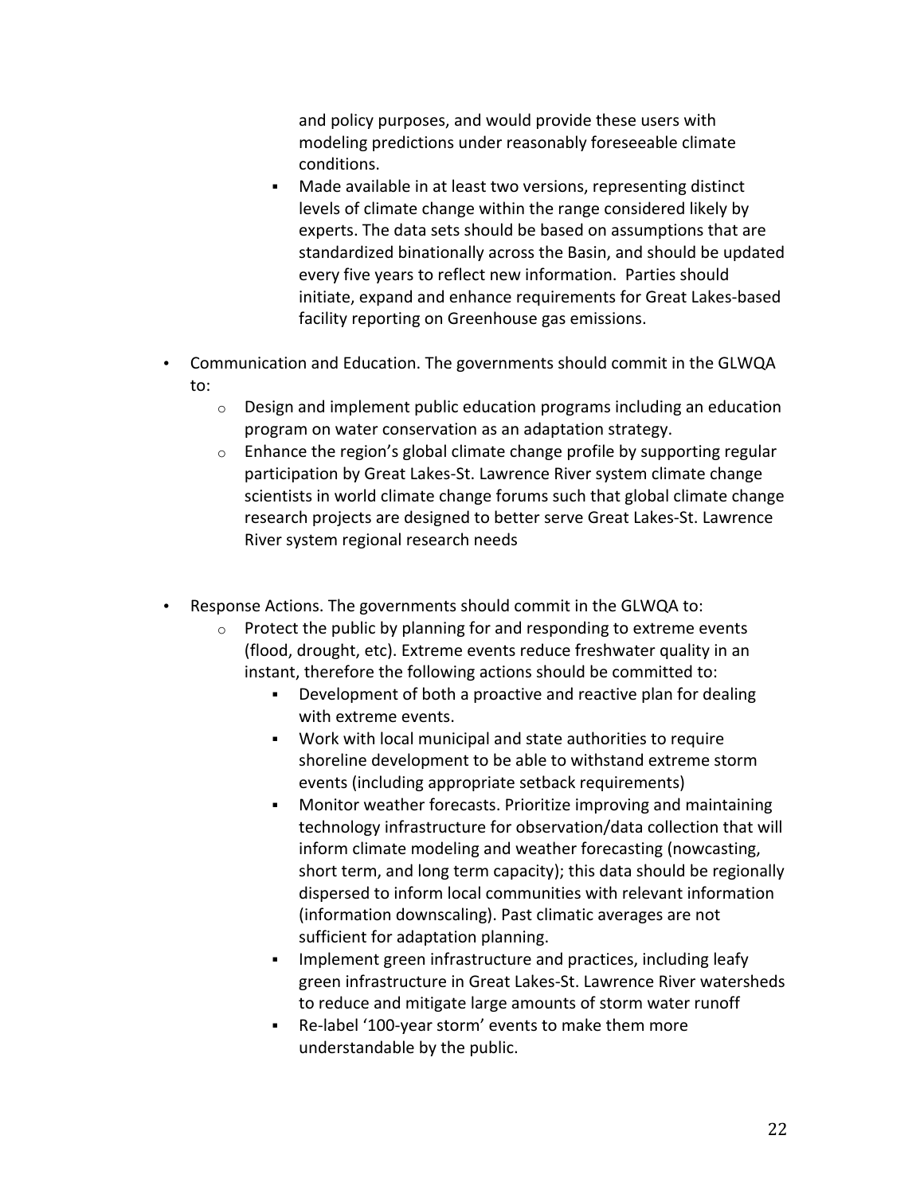and policy purposes, and would provide these users with modeling predictions under reasonably foreseeable climate conditions.

- Made available in at least two versions, representing distinct  $\mathbf{r}$ levels of climate change within the range considered likely by experts. The data sets should be based on assumptions that are standardized binationally across the Basin, and should be updated every five years to reflect new information. Parties should initiate, expand and enhance requirements for Great Lakes-based facility reporting on Greenhouse gas emissions.
- Communication and Education. The governments should commit in the GLWQA to:
	- $\circ$ Design and implement public education programs including an education program on water conservation as an adaptation strategy.
	- Enhance the region's global climate change profile by supporting regular  $\circ$ participation by Great Lakes-St. Lawrence River system climate change scientists in world climate change forums such that global climate change research projects are designed to better serve Great Lakes-St. Lawrence River system regional research needs
- Response Actions. The governments should commit in the GLWQA to:
	- Protect the public by planning for and responding to extreme events  $\circ$ (flood, drought, etc). Extreme events reduce freshwater quality in an instant, therefore the following actions should be committed to:
		- Development of both a proactive and reactive plan for dealing  $\mathbf{r}$ with extreme events.
		- Work with local municipal and state authorities to require shoreline development to be able to withstand extreme storm events (including appropriate setback requirements)
		- Monitor weather forecasts. Prioritize improving and maintaining technology infrastructure for observation/data collection that will inform climate modeling and weather forecasting (nowcasting, short term, and long term capacity); this data should be regionally dispersed to inform local communities with relevant information (information downscaling). Past climatic averages are not sufficient for adaptation planning.
		- Implement green infrastructure and practices, including leafy green infrastructure in Great Lakes-St. Lawrence River watersheds to reduce and mitigate large amounts of storm water runoff
		- Re-label '100-year storm' events to make them more understandable by the public.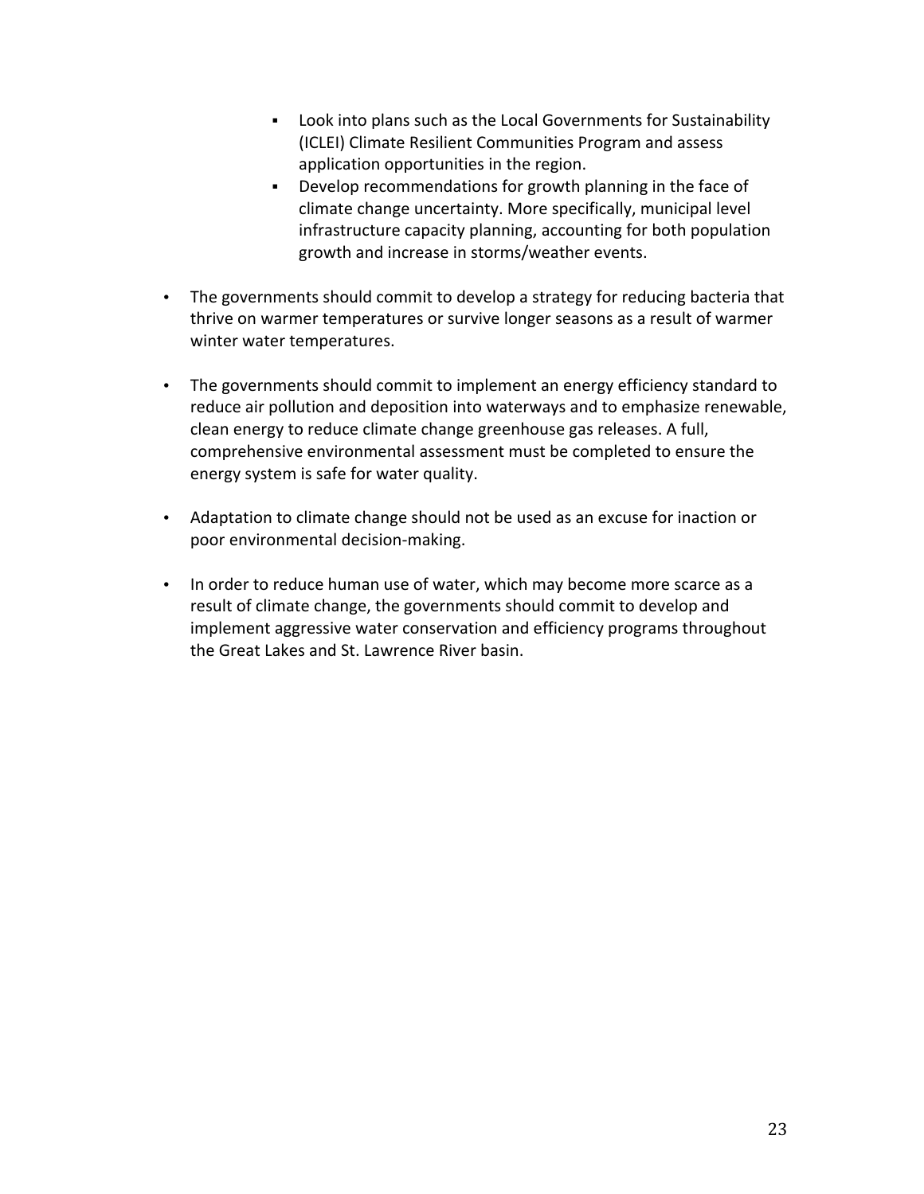- Look into plans such as the Local Governments for Sustainability (ICLEI) Climate Resilient Communities Program and assess application opportunities in the region.
- $\mathbf{r}$ Develop recommendations for growth planning in the face of climate change uncertainty. More specifically, municipal level infrastructure capacity planning, accounting for both population growth and increase in storms/weather events.
- The governments should commit to develop a strategy for reducing bacteria that thrive on warmer temperatures or survive longer seasons as a result of warmer winter water temperatures.
- The governments should commit to implement an energy efficiency standard to reduce air pollution and deposition into waterways and to emphasize renewable, clean energy to reduce climate change greenhouse gas releases. A full, comprehensive environmental assessment must be completed to ensure the energy system is safe for water quality.
- Adaptation to climate change should not be used as an excuse for inaction or poor environmental decision-making.
- In order to reduce human use of water, which may become more scarce as a result of climate change, the governments should commit to develop and implement aggressive water conservation and efficiency programs throughout the Great Lakes and St. Lawrence River basin.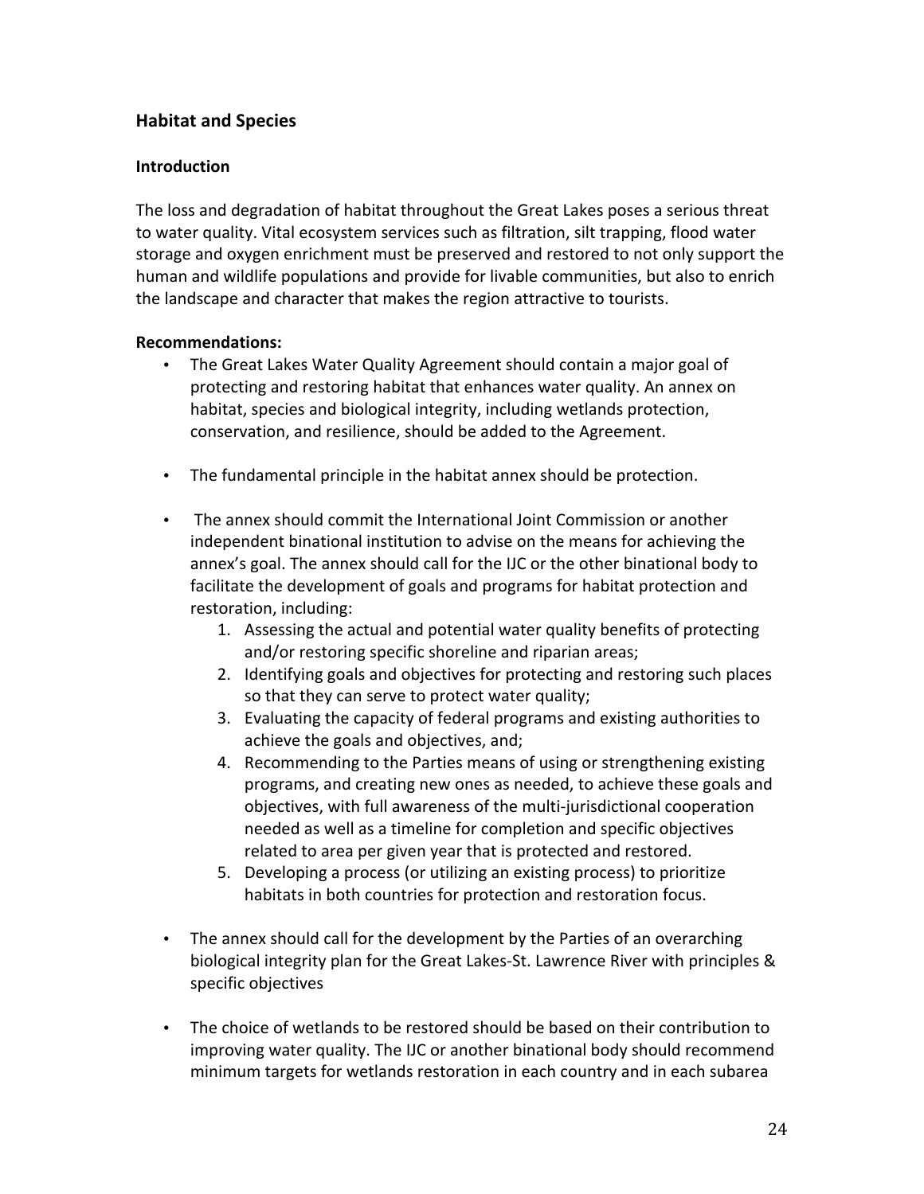# **Habitat and Species**

### **Introduction**

The loss and degradation of habitat throughout the Great Lakes poses a serious threat to water quality. Vital ecosystem services such as filtration, silt trapping, flood water storage and oxygen enrichment must be preserved and restored to not only support the human and wildlife populations and provide for livable communities, but also to enrich the landscape and character that makes the region attractive to tourists.

### **Recommendations:**

- The Great Lakes Water Quality Agreement should contain a major goal of protecting and restoring habitat that enhances water quality. An annex on habitat, species and biological integrity, including wetlands protection, conservation, and resilience, should be added to the Agreement.
- The fundamental principle in the habitat annex should be protection.
- The annex should commit the International Joint Commission or another independent binational institution to advise on the means for achieving the annex's goal. The annex should call for the IJC or the other binational body to facilitate the development of goals and programs for habitat protection and restoration, including:
	- 1. Assessing the actual and potential water quality benefits of protecting and/or restoring specific shoreline and riparian areas;
	- 2. Identifying goals and objectives for protecting and restoring such places so that they can serve to protect water quality;
	- 3. Evaluating the capacity of federal programs and existing authorities to achieve the goals and objectives, and;
	- 4. Recommending to the Parties means of using or strengthening existing programs, and creating new ones as needed, to achieve these goals and objectives, with full awareness of the multi-jurisdictional cooperation needed as well as a timeline for completion and specific objectives related to area per given year that is protected and restored.
	- 5. Developing a process (or utilizing an existing process) to prioritize habitats in both countries for protection and restoration focus.
- The annex should call for the development by the Parties of an overarching biological integrity plan for the Great Lakes-St. Lawrence River with principles & specific objectives
- The choice of wetlands to be restored should be based on their contribution to improving water quality. The IJC or another binational body should recommend minimum targets for wetlands restoration in each country and in each subarea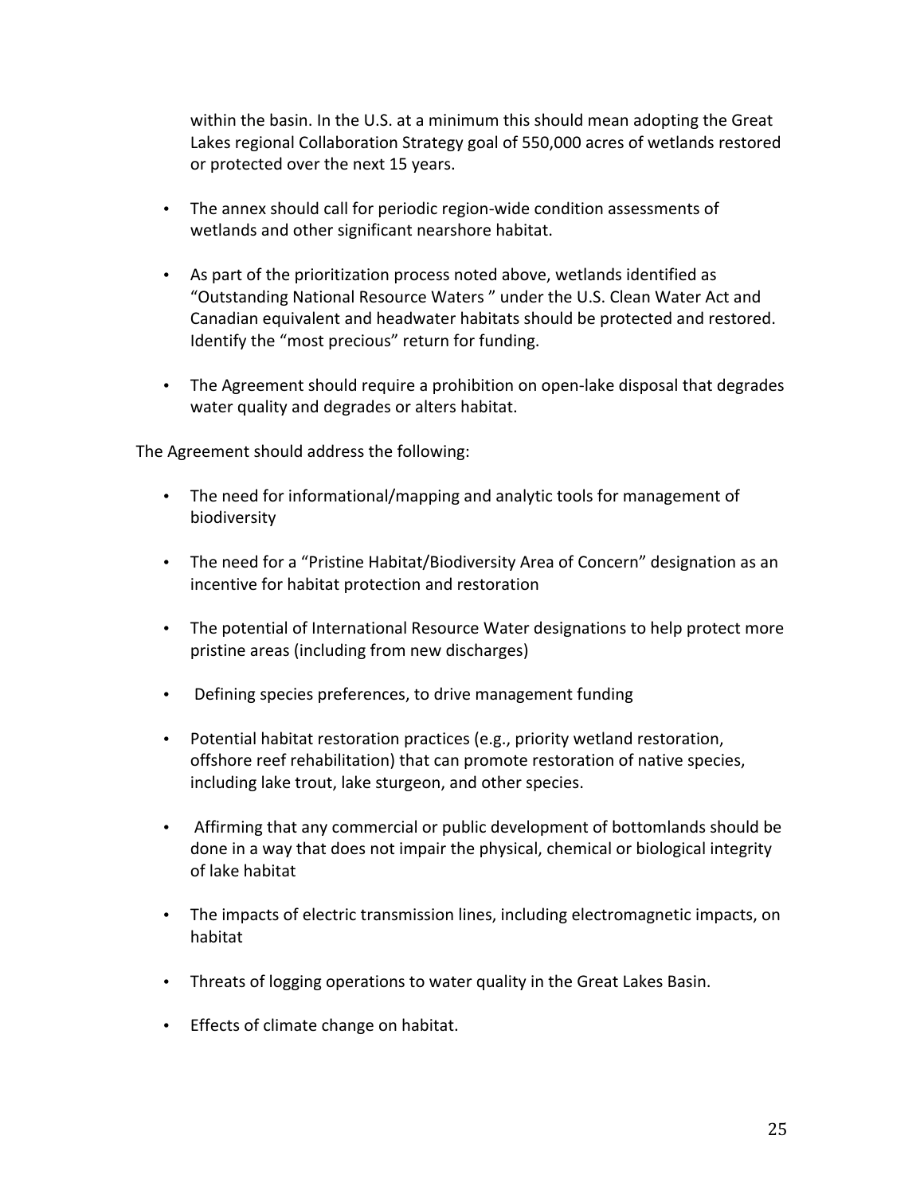within the basin. In the U.S. at a minimum this should mean adopting the Great Lakes regional Collaboration Strategy goal of 550,000 acres of wetlands restored or protected over the next 15 years.

- The annex should call for periodic region-wide condition assessments of wetlands and other significant nearshore habitat.
- As part of the prioritization process noted above, wetlands identified as "Outstanding National Resource Waters" under the U.S. Clean Water Act and Canadian equivalent and headwater habitats should be protected and restored. Identify the "most precious" return for funding.
- The Agreement should require a prohibition on open-lake disposal that degrades water quality and degrades or alters habitat.

The Agreement should address the following:

- The need for informational/mapping and analytic tools for management of biodiversity
- The need for a "Pristine Habitat/Biodiversity Area of Concern" designation as an incentive for habitat protection and restoration
- The potential of International Resource Water designations to help protect more pristine areas (including from new discharges)
- Defining species preferences, to drive management funding
- Potential habitat restoration practices (e.g., priority wetland restoration, offshore reef rehabilitation) that can promote restoration of native species, including lake trout, lake sturgeon, and other species.
- Affirming that any commercial or public development of bottomlands should be done in a way that does not impair the physical, chemical or biological integrity of lake habitat
- The impacts of electric transmission lines, including electromagnetic impacts, on habitat
- Threats of logging operations to water quality in the Great Lakes Basin.
- Effects of climate change on habitat.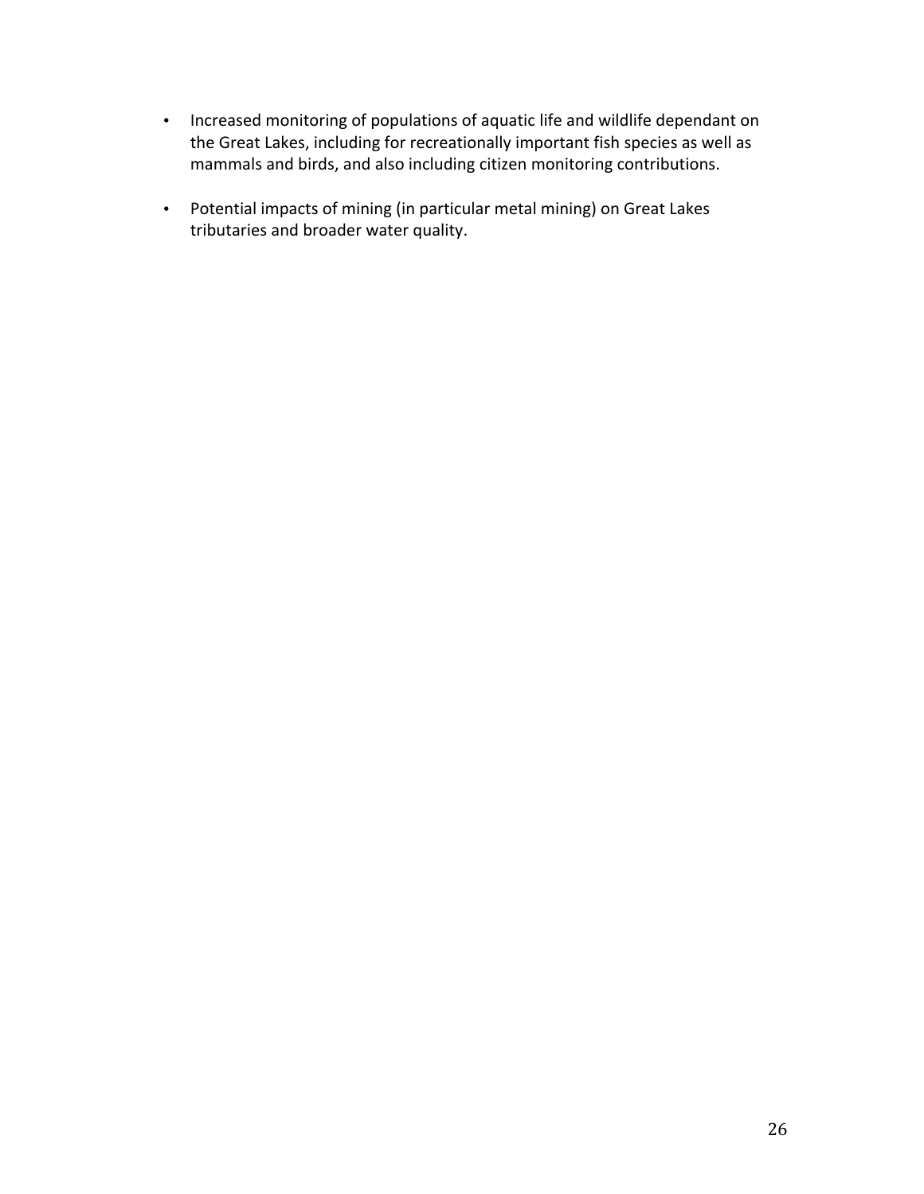- Increased monitoring of populations of aquatic life and wildlife dependant on the Great Lakes, including for recreationally important fish species as well as mammals and birds, and also including citizen monitoring contributions.
- Potential impacts of mining (in particular metal mining) on Great Lakes tributaries and broader water quality.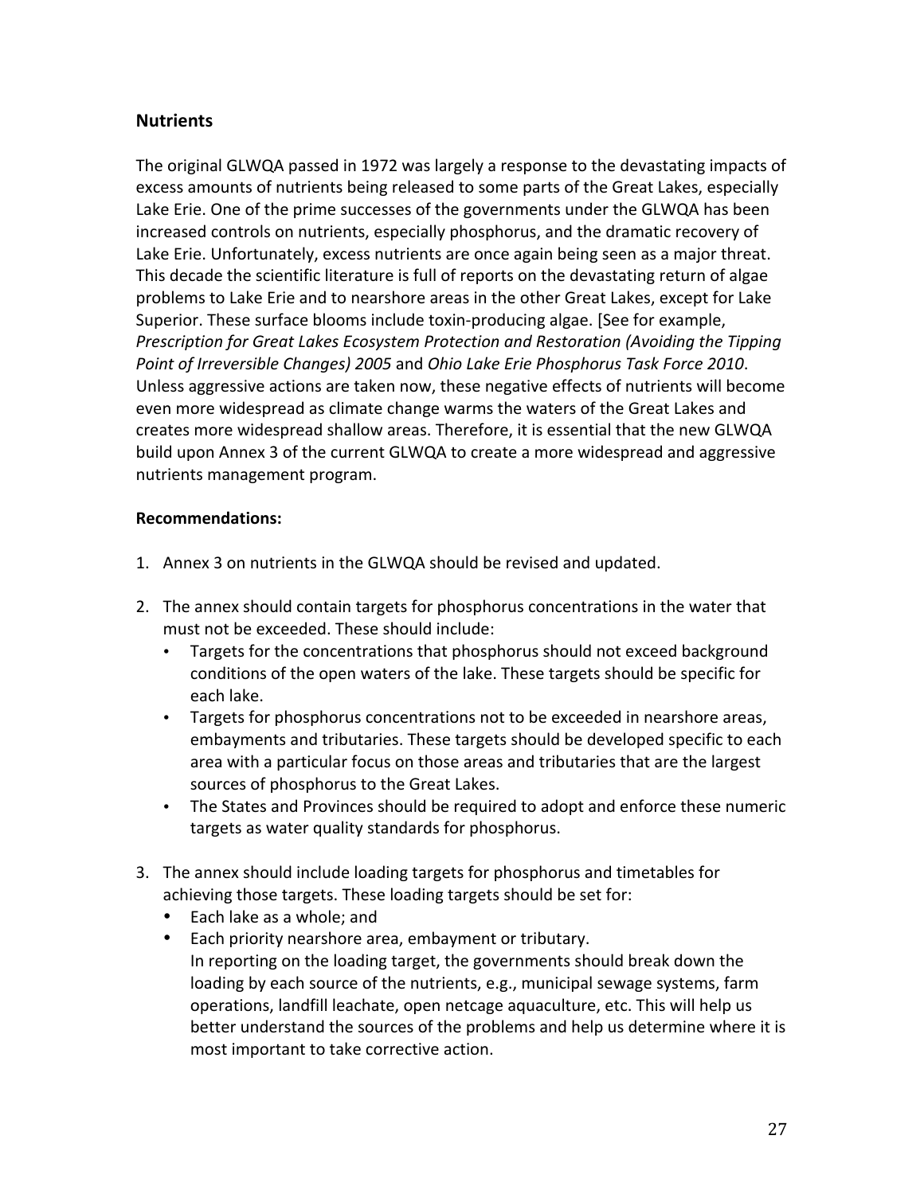# **Nutrients**

The original GLWQA passed in 1972 was largely a response to the devastating impacts of excess amounts of nutrients being released to some parts of the Great Lakes, especially Lake Erie. One of the prime successes of the governments under the GLWQA has been increased controls on nutrients, especially phosphorus, and the dramatic recovery of Lake Erie. Unfortunately, excess nutrients are once again being seen as a major threat. This decade the scientific literature is full of reports on the devastating return of algae problems to Lake Erie and to nearshore areas in the other Great Lakes, except for Lake Superior. These surface blooms include toxin-producing algae. [See for example, Prescription for Great Lakes Ecosystem Protection and Restoration (Avoiding the Tipping Point of Irreversible Changes) 2005 and Ohio Lake Erie Phosphorus Task Force 2010. Unless aggressive actions are taken now, these negative effects of nutrients will become even more widespread as climate change warms the waters of the Great Lakes and creates more widespread shallow areas. Therefore, it is essential that the new GLWQA build upon Annex 3 of the current GLWQA to create a more widespread and aggressive nutrients management program.

### **Recommendations:**

- 1. Annex 3 on nutrients in the GLWQA should be revised and updated.
- 2. The annex should contain targets for phosphorus concentrations in the water that must not be exceeded. These should include:
	- Targets for the concentrations that phosphorus should not exceed background conditions of the open waters of the lake. These targets should be specific for each lake.
	- Targets for phosphorus concentrations not to be exceeded in nearshore areas, embayments and tributaries. These targets should be developed specific to each area with a particular focus on those areas and tributaries that are the largest sources of phosphorus to the Great Lakes.
	- The States and Provinces should be required to adopt and enforce these numeric targets as water quality standards for phosphorus.
- 3. The annex should include loading targets for phosphorus and timetables for achieving those targets. These loading targets should be set for:
	- Each lake as a whole; and
	- Each priority nearshore area, embayment or tributary. In reporting on the loading target, the governments should break down the loading by each source of the nutrients, e.g., municipal sewage systems, farm operations, landfill leachate, open netcage aquaculture, etc. This will help us better understand the sources of the problems and help us determine where it is most important to take corrective action.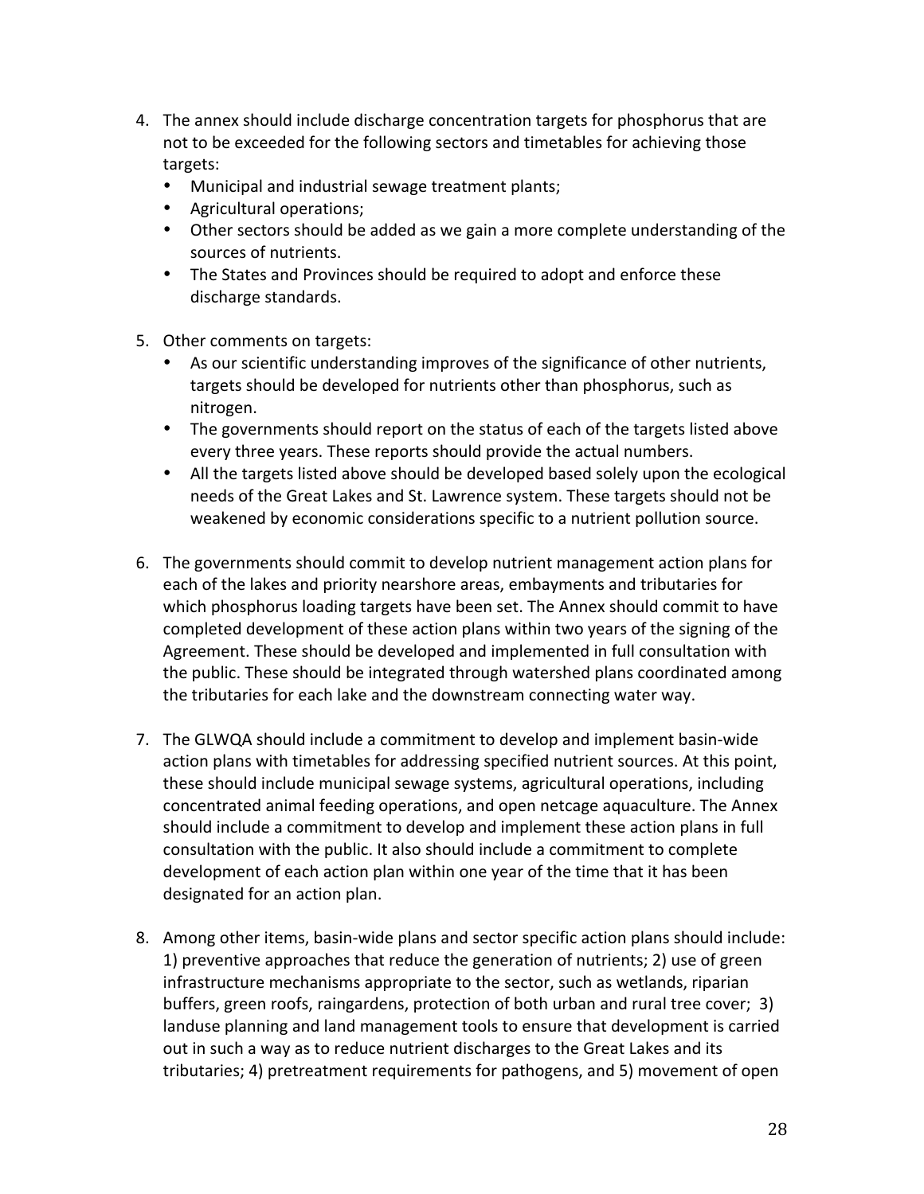- 4. The annex should include discharge concentration targets for phosphorus that are not to be exceeded for the following sectors and timetables for achieving those targets:
	- Municipal and industrial sewage treatment plants;
	- Agricultural operations;
	- Other sectors should be added as we gain a more complete understanding of the sources of nutrients.
	- The States and Provinces should be required to adopt and enforce these discharge standards.
- 5. Other comments on targets:
	- As our scientific understanding improves of the significance of other nutrients, targets should be developed for nutrients other than phosphorus, such as nitrogen.
	- The governments should report on the status of each of the targets listed above every three years. These reports should provide the actual numbers.
	- All the targets listed above should be developed based solely upon the ecological needs of the Great Lakes and St. Lawrence system. These targets should not be weakened by economic considerations specific to a nutrient pollution source.
- 6. The governments should commit to develop nutrient management action plans for each of the lakes and priority nearshore areas, embayments and tributaries for which phosphorus loading targets have been set. The Annex should commit to have completed development of these action plans within two years of the signing of the Agreement. These should be developed and implemented in full consultation with the public. These should be integrated through watershed plans coordinated among the tributaries for each lake and the downstream connecting water way.
- 7. The GLWQA should include a commitment to develop and implement basin-wide action plans with timetables for addressing specified nutrient sources. At this point, these should include municipal sewage systems, agricultural operations, including concentrated animal feeding operations, and open netcage aquaculture. The Annex should include a commitment to develop and implement these action plans in full consultation with the public. It also should include a commitment to complete development of each action plan within one year of the time that it has been designated for an action plan.
- 8. Among other items, basin-wide plans and sector specific action plans should include: 1) preventive approaches that reduce the generation of nutrients; 2) use of green infrastructure mechanisms appropriate to the sector, such as wetlands, riparian buffers, green roofs, raingardens, protection of both urban and rural tree cover; 3) landuse planning and land management tools to ensure that development is carried out in such a way as to reduce nutrient discharges to the Great Lakes and its tributaries; 4) pretreatment requirements for pathogens, and 5) movement of open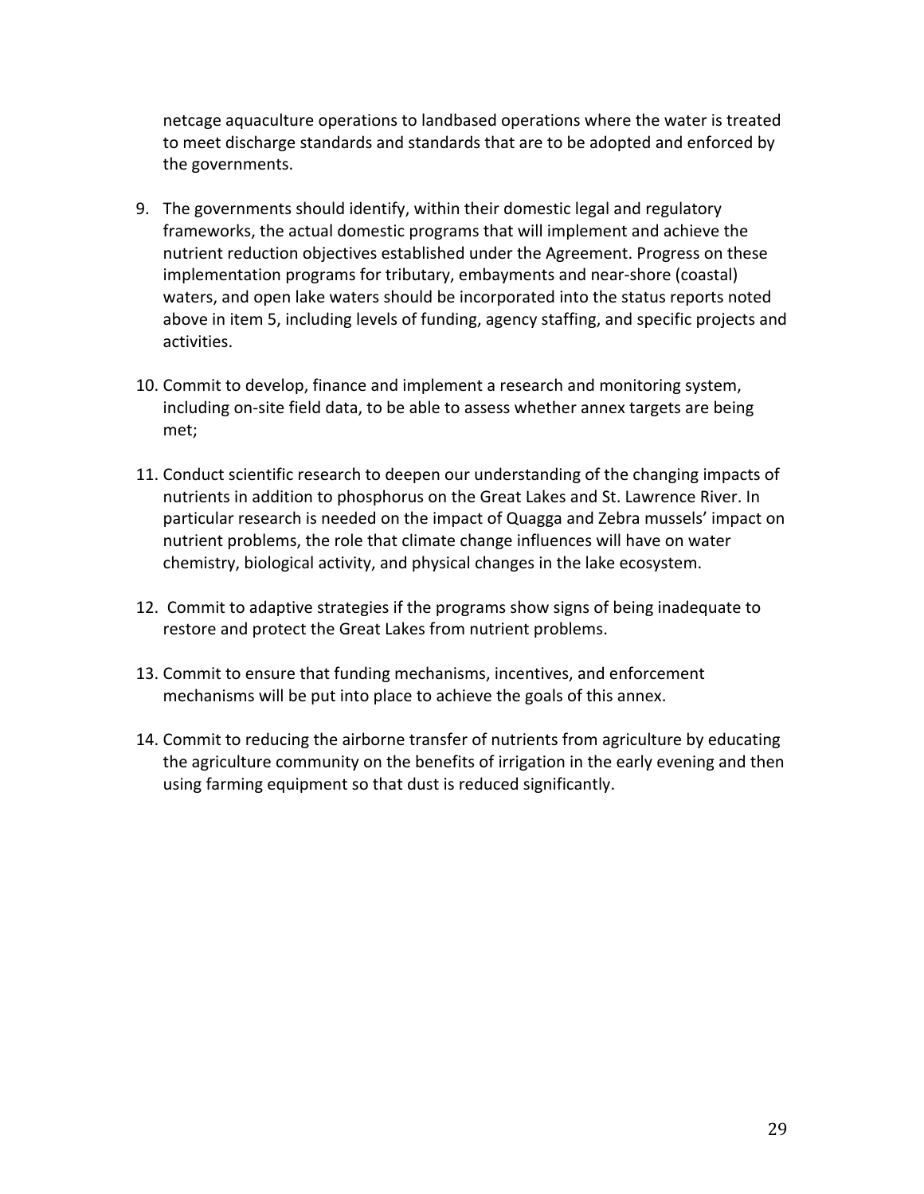netcage aquaculture operations to landbased operations where the water is treated to meet discharge standards and standards that are to be adopted and enforced by the governments.

- 9. The governments should identify, within their domestic legal and regulatory frameworks, the actual domestic programs that will implement and achieve the nutrient reduction objectives established under the Agreement. Progress on these implementation programs for tributary, embayments and near-shore (coastal) waters, and open lake waters should be incorporated into the status reports noted above in item 5, including levels of funding, agency staffing, and specific projects and activities.
- 10. Commit to develop, finance and implement a research and monitoring system, including on-site field data, to be able to assess whether annex targets are being met;
- 11. Conduct scientific research to deepen our understanding of the changing impacts of nutrients in addition to phosphorus on the Great Lakes and St. Lawrence River. In particular research is needed on the impact of Quagga and Zebra mussels' impact on nutrient problems, the role that climate change influences will have on water chemistry, biological activity, and physical changes in the lake ecosystem.
- 12. Commit to adaptive strategies if the programs show signs of being inadequate to restore and protect the Great Lakes from nutrient problems.
- 13. Commit to ensure that funding mechanisms, incentives, and enforcement mechanisms will be put into place to achieve the goals of this annex.
- 14. Commit to reducing the airborne transfer of nutrients from agriculture by educating the agriculture community on the benefits of irrigation in the early evening and then using farming equipment so that dust is reduced significantly.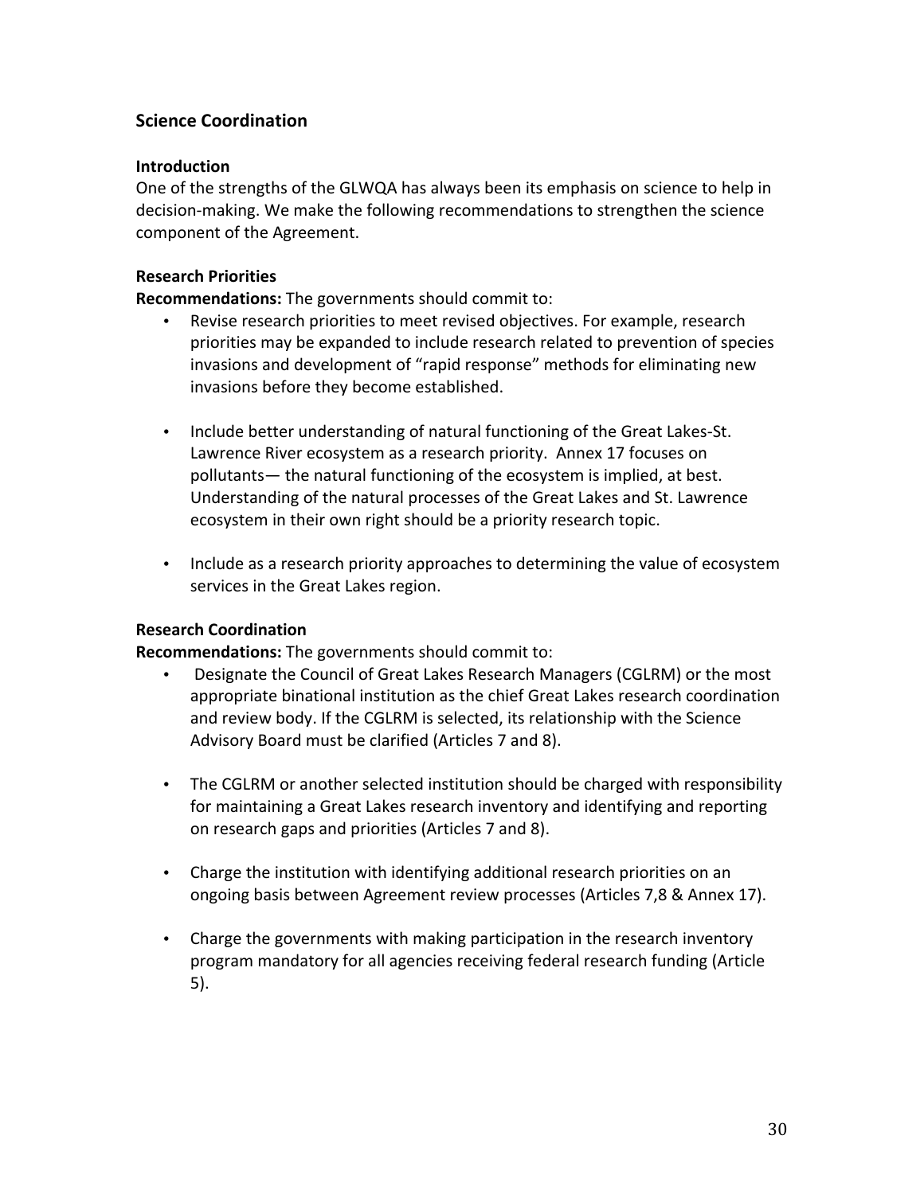# **Science Coordination**

### **Introduction**

One of the strengths of the GLWQA has always been its emphasis on science to help in decision-making. We make the following recommendations to strengthen the science component of the Agreement.

### **Research Priorities**

Recommendations: The governments should commit to:

- Revise research priorities to meet revised objectives. For example, research priorities may be expanded to include research related to prevention of species invasions and development of "rapid response" methods for eliminating new invasions before they become established.
- . Include better understanding of natural functioning of the Great Lakes-St. Lawrence River ecosystem as a research priority. Annex 17 focuses on pollutants— the natural functioning of the ecosystem is implied, at best. Understanding of the natural processes of the Great Lakes and St. Lawrence ecosystem in their own right should be a priority research topic.
- Include as a research priority approaches to determining the value of ecosystem services in the Great Lakes region.

### **Research Coordination**

**Recommendations:** The governments should commit to:

- Designate the Council of Great Lakes Research Managers (CGLRM) or the most  $\bullet$  . appropriate binational institution as the chief Great Lakes research coordination and review body. If the CGLRM is selected, its relationship with the Science Advisory Board must be clarified (Articles 7 and 8).
- The CGLRM or another selected institution should be charged with responsibility for maintaining a Great Lakes research inventory and identifying and reporting on research gaps and priorities (Articles 7 and 8).
- Charge the institution with identifying additional research priorities on an ongoing basis between Agreement review processes (Articles 7,8 & Annex 17).
- Charge the governments with making participation in the research inventory program mandatory for all agencies receiving federal research funding (Article  $5).$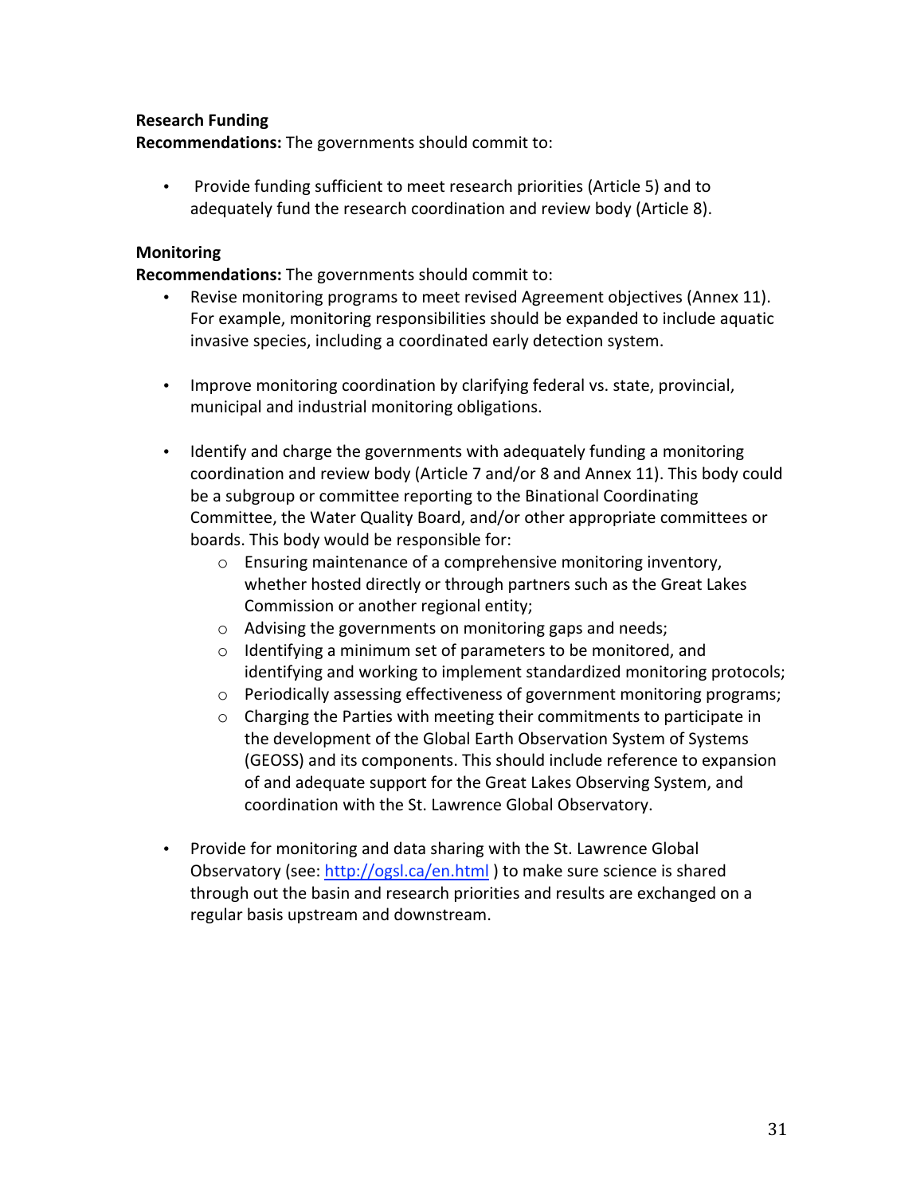### **Research Funding**

Recommendations: The governments should commit to:

Provide funding sufficient to meet research priorities (Article 5) and to  $\bullet$ adequately fund the research coordination and review body (Article 8).

### **Monitoring**

**Recommendations:** The governments should commit to:

- Revise monitoring programs to meet revised Agreement objectives (Annex 11). For example, monitoring responsibilities should be expanded to include aquatic invasive species, including a coordinated early detection system.
- Improve monitoring coordination by clarifying federal vs. state, provincial, municipal and industrial monitoring obligations.
- Identify and charge the governments with adequately funding a monitoring coordination and review body (Article 7 and/or 8 and Annex 11). This body could be a subgroup or committee reporting to the Binational Coordinating Committee, the Water Quality Board, and/or other appropriate committees or boards. This body would be responsible for:
	- o Ensuring maintenance of a comprehensive monitoring inventory, whether hosted directly or through partners such as the Great Lakes Commission or another regional entity;
	- $\circ$  Advising the governments on monitoring gaps and needs;
	- o Identifying a minimum set of parameters to be monitored, and identifying and working to implement standardized monitoring protocols;
	- o Periodically assessing effectiveness of government monitoring programs;
	- o Charging the Parties with meeting their commitments to participate in the development of the Global Earth Observation System of Systems (GEOSS) and its components. This should include reference to expansion of and adequate support for the Great Lakes Observing System, and coordination with the St. Lawrence Global Observatory.
- Provide for monitoring and data sharing with the St. Lawrence Global Observatory (see: http://ogsl.ca/en.html) to make sure science is shared through out the basin and research priorities and results are exchanged on a regular basis upstream and downstream.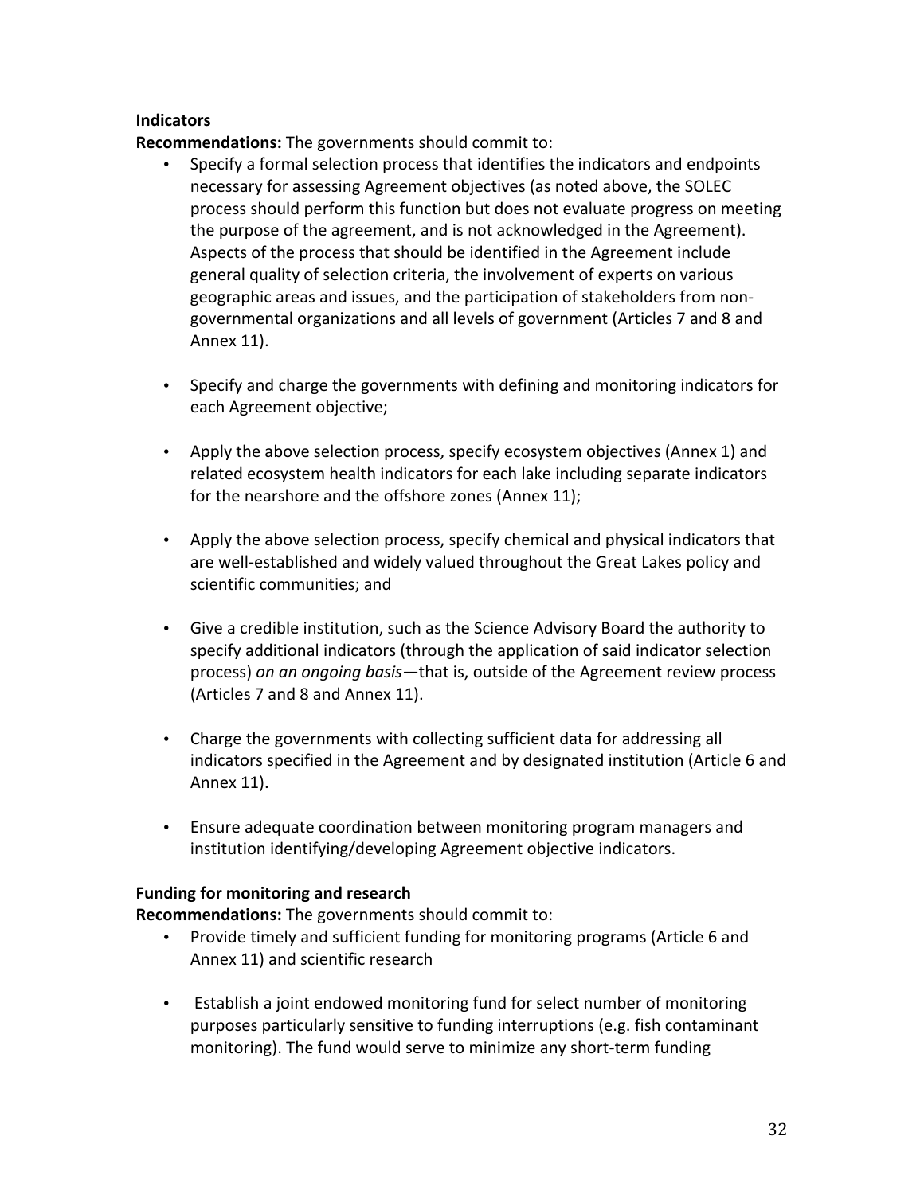### **Indicators**

**Recommendations:** The governments should commit to:

- Specify a formal selection process that identifies the indicators and endpoints  $\bullet$ necessary for assessing Agreement objectives (as noted above, the SOLEC process should perform this function but does not evaluate progress on meeting the purpose of the agreement, and is not acknowledged in the Agreement). Aspects of the process that should be identified in the Agreement include general quality of selection criteria, the involvement of experts on various geographic areas and issues, and the participation of stakeholders from nongovernmental organizations and all levels of government (Articles 7 and 8 and Annex 11).
- Specify and charge the governments with defining and monitoring indicators for each Agreement objective;
- Apply the above selection process, specify ecosystem objectives (Annex 1) and related ecosystem health indicators for each lake including separate indicators for the nearshore and the offshore zones (Annex 11);
- Apply the above selection process, specify chemical and physical indicators that are well-established and widely valued throughout the Great Lakes policy and scientific communities; and
- Give a credible institution, such as the Science Advisory Board the authority to specify additional indicators (through the application of said indicator selection process) on an ongoing basis—that is, outside of the Agreement review process (Articles 7 and 8 and Annex 11).
- Charge the governments with collecting sufficient data for addressing all indicators specified in the Agreement and by designated institution (Article 6 and Annex 11).
- Ensure adequate coordination between monitoring program managers and institution identifying/developing Agreement objective indicators.

### **Funding for monitoring and research**

Recommendations: The governments should commit to:

- Provide timely and sufficient funding for monitoring programs (Article 6 and Annex 11) and scientific research
- Establish a joint endowed monitoring fund for select number of monitoring purposes particularly sensitive to funding interruptions (e.g. fish contaminant monitoring). The fund would serve to minimize any short-term funding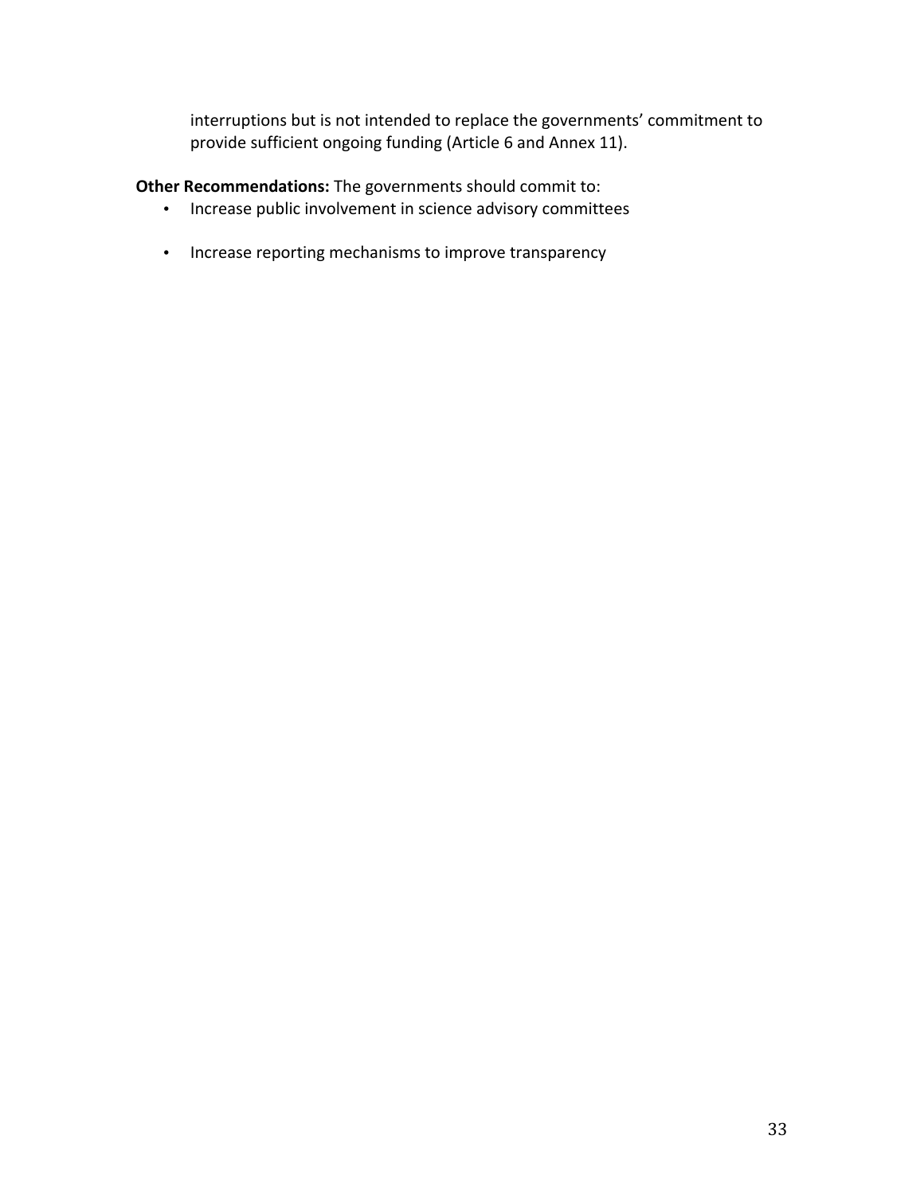interruptions but is not intended to replace the governments' commitment to provide sufficient ongoing funding (Article 6 and Annex 11).

Other Recommendations: The governments should commit to:

- Increase public involvement in science advisory committees
- Increase reporting mechanisms to improve transparency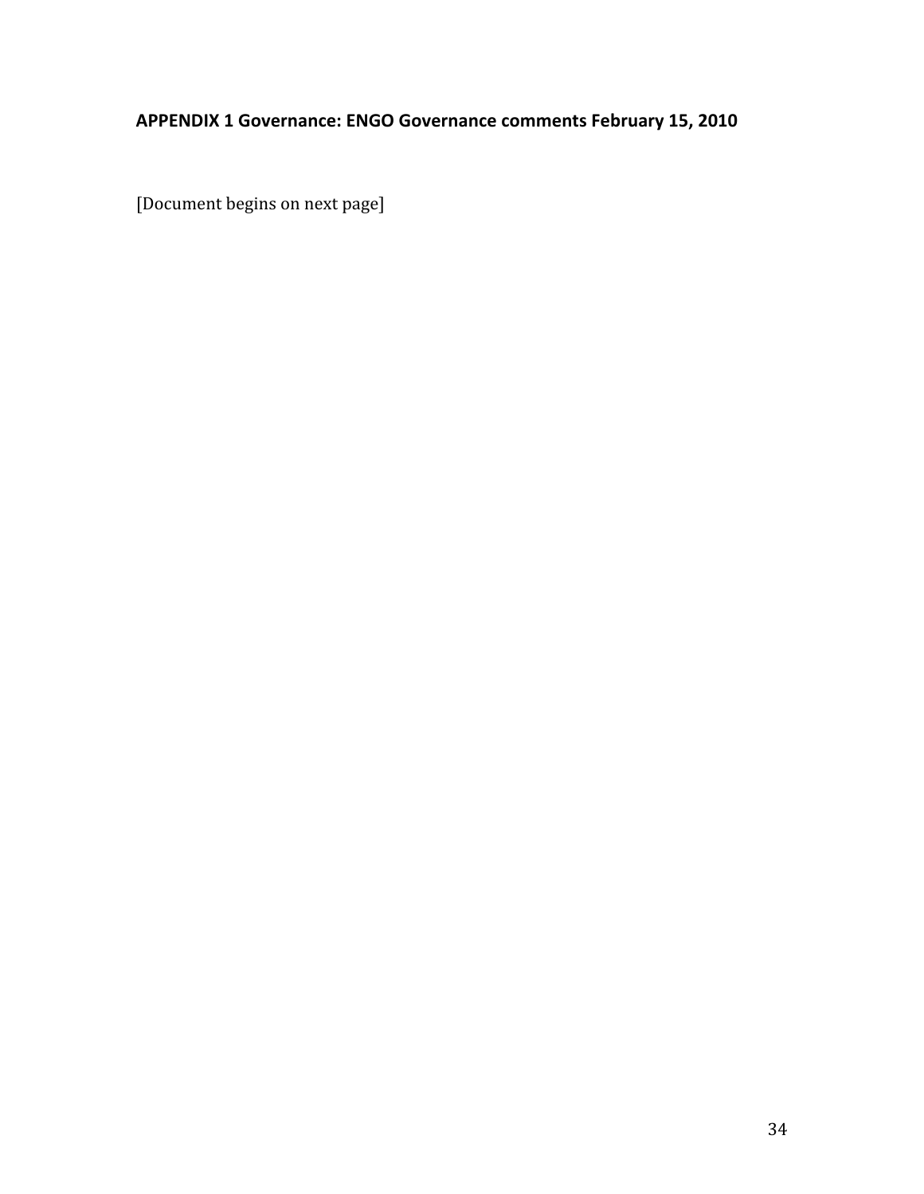# APPENDIX 1 Governance: ENGO Governance comments February 15, 2010

[Document begins on next page]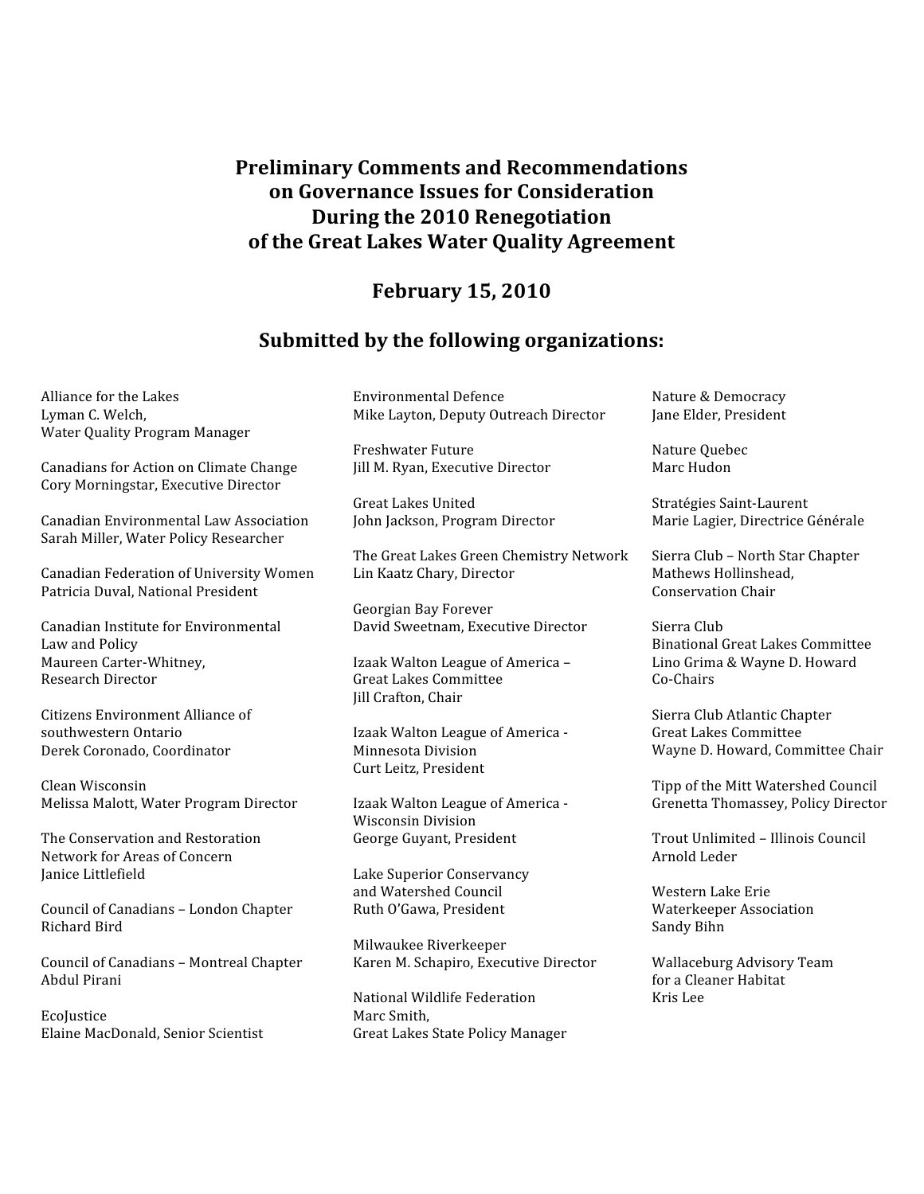# **Preliminary Comments and Recommendations** on Governance Issues for Consideration During the 2010 Renegotiation of the Great Lakes Water Quality Agreement

# **February 15, 2010**

### Submitted by the following organizations:

Alliance for the Lakes Lyman C. Welch, Water Quality Program Manager

Canadians for Action on Climate Change Cory Morningstar, Executive Director

Canadian Environmental Law Association Sarah Miller, Water Policy Researcher

Canadian Federation of University Women Patricia Duval, National President

Canadian Institute for Environmental Law and Policy Maureen Carter-Whitney, **Research Director** 

Citizens Environment Alliance of southwestern Ontario Derek Coronado, Coordinator

Clean Wisconsin Melissa Malott, Water Program Director

The Conservation and Restoration Network for Areas of Concern Janice Littlefield

Council of Canadians - London Chapter Richard Bird

Council of Canadians - Montreal Chapter Abdul Pirani

Ecolustice Elaine MacDonald, Senior Scientist Environmental Defence Mike Layton, Deputy Outreach Director

**Freshwater Future** Jill M. Ryan, Executive Director

**Great Lakes United** John Jackson, Program Director

The Great Lakes Green Chemistry Network Lin Kaatz Chary, Director

Georgian Bay Forever David Sweetnam, Executive Director

Izaak Walton League of America -**Great Lakes Committee** Jill Crafton, Chair

Izaak Walton League of America -Minnesota Division Curt Leitz. President

Izaak Walton League of America -Wisconsin Division George Guyant, President

Lake Superior Conservancy and Watershed Council Ruth O'Gawa, President

Milwaukee Riverkeeper Karen M. Schapiro, Executive Director

National Wildlife Federation Marc Smith. **Great Lakes State Policy Manager**  Nature & Democracy Jane Elder, President

Nature Quebec Marc Hudon

Stratégies Saint-Laurent Marie Lagier, Directrice Générale

Sierra Club - North Star Chapter Mathews Hollinshead, **Conservation Chair** 

Sierra Club **Binational Great Lakes Committee** Lino Grima & Wayne D. Howard Co-Chairs

Sierra Club Atlantic Chapter **Great Lakes Committee** Wayne D. Howard, Committee Chair

Tipp of the Mitt Watershed Council Grenetta Thomassey, Policy Director

Trout Unlimited - Illinois Council Arnold Leder

Western Lake Erie **Waterkeeper Association** Sandy Bihn

Wallaceburg Advisory Team for a Cleaner Habitat Kris Lee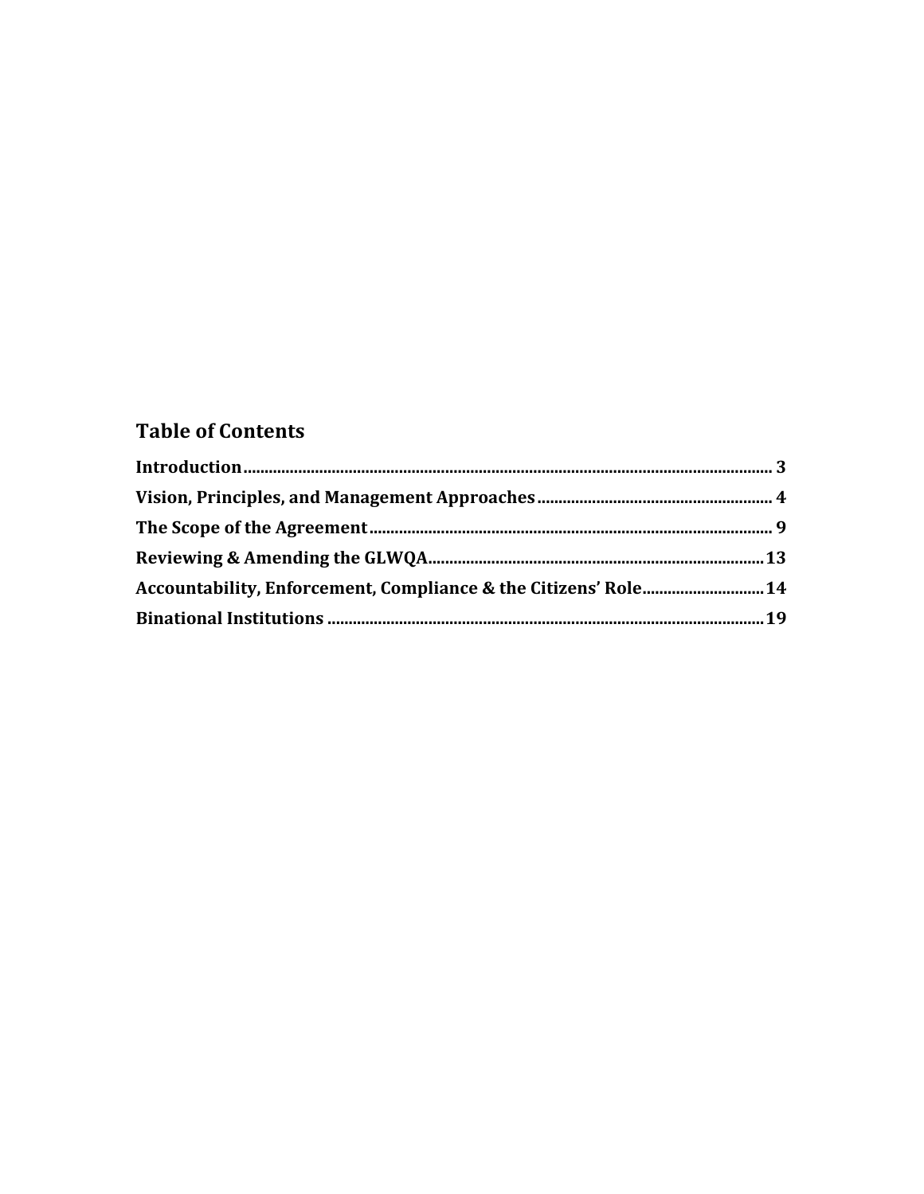# **Table of Contents**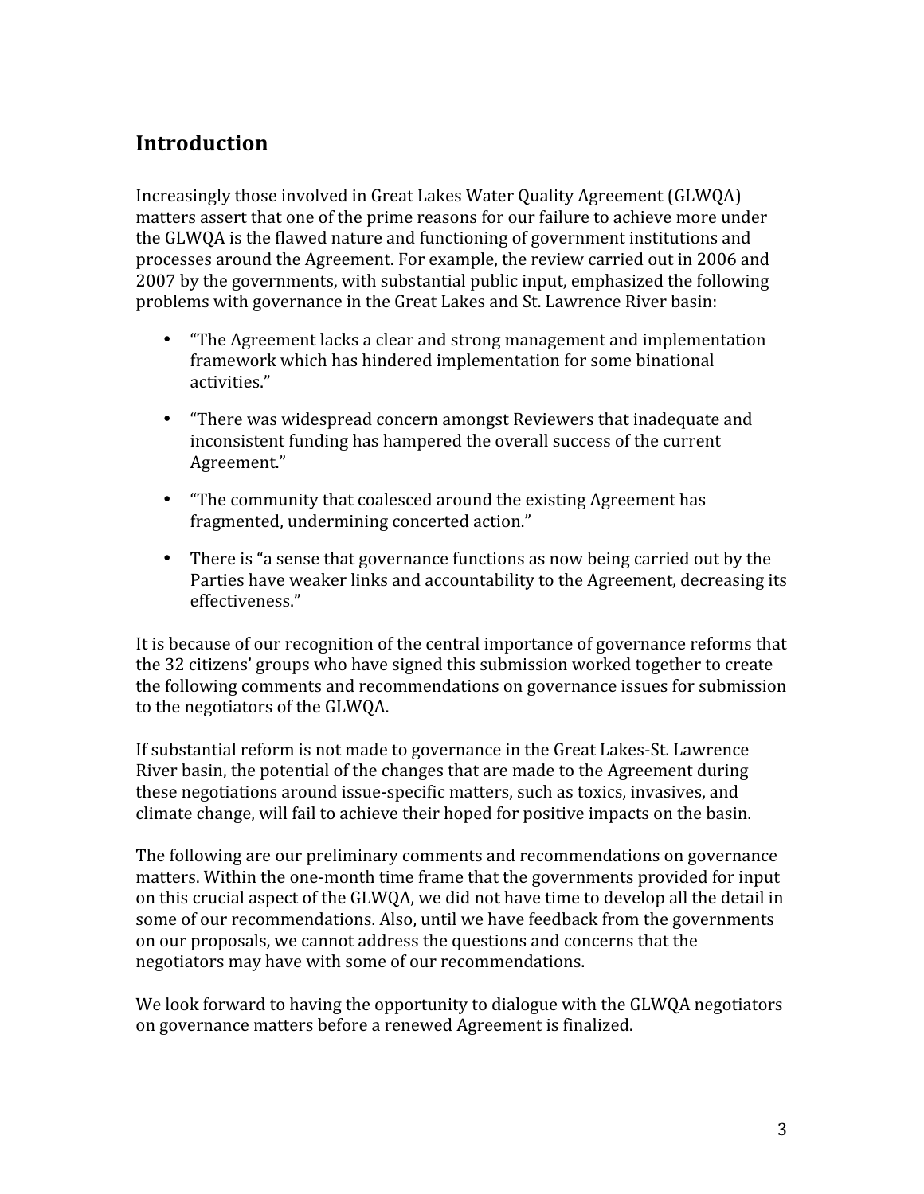# **Introduction**

Increasingly those involved in Great Lakes Water Quality Agreement (GLWQA) matters assert that one of the prime reasons for our failure to achieve more under the GLWQA is the flawed nature and functioning of government institutions and processes around the Agreement. For example, the review carried out in 2006 and 2007 by the governments, with substantial public input, emphasized the following problems with governance in the Great Lakes and St. Lawrence River basin:

- "The Agreement lacks a clear and strong management and implementation framework which has hindered implementation for some binational activities."
- "There was widespread concern amongst Reviewers that inadequate and inconsistent funding has hampered the overall success of the current Agreement."
- "The community that coalesced around the existing Agreement has fragmented, undermining concerted action."
- There is "a sense that governance functions as now being carried out by the Parties have weaker links and accountability to the Agreement, decreasing its effectiveness."

It is because of our recognition of the central importance of governance reforms that the 32 citizens' groups who have signed this submission worked together to create the following comments and recommendations on governance issues for submission to the negotiators of the GLWOA.

If substantial reform is not made to governance in the Great Lakes-St. Lawrence River basin, the potential of the changes that are made to the Agreement during these negotiations around issue-specific matters, such as toxics, invasives, and climate change, will fail to achieve their hoped for positive impacts on the basin.

The following are our preliminary comments and recommendations on governance matters. Within the one-month time frame that the governments provided for input on this crucial aspect of the GLWQA, we did not have time to develop all the detail in some of our recommendations. Also, until we have feedback from the governments on our proposals, we cannot address the questions and concerns that the negotiators may have with some of our recommendations.

We look forward to having the opportunity to dialogue with the GLWOA negotiators on governance matters before a renewed Agreement is finalized.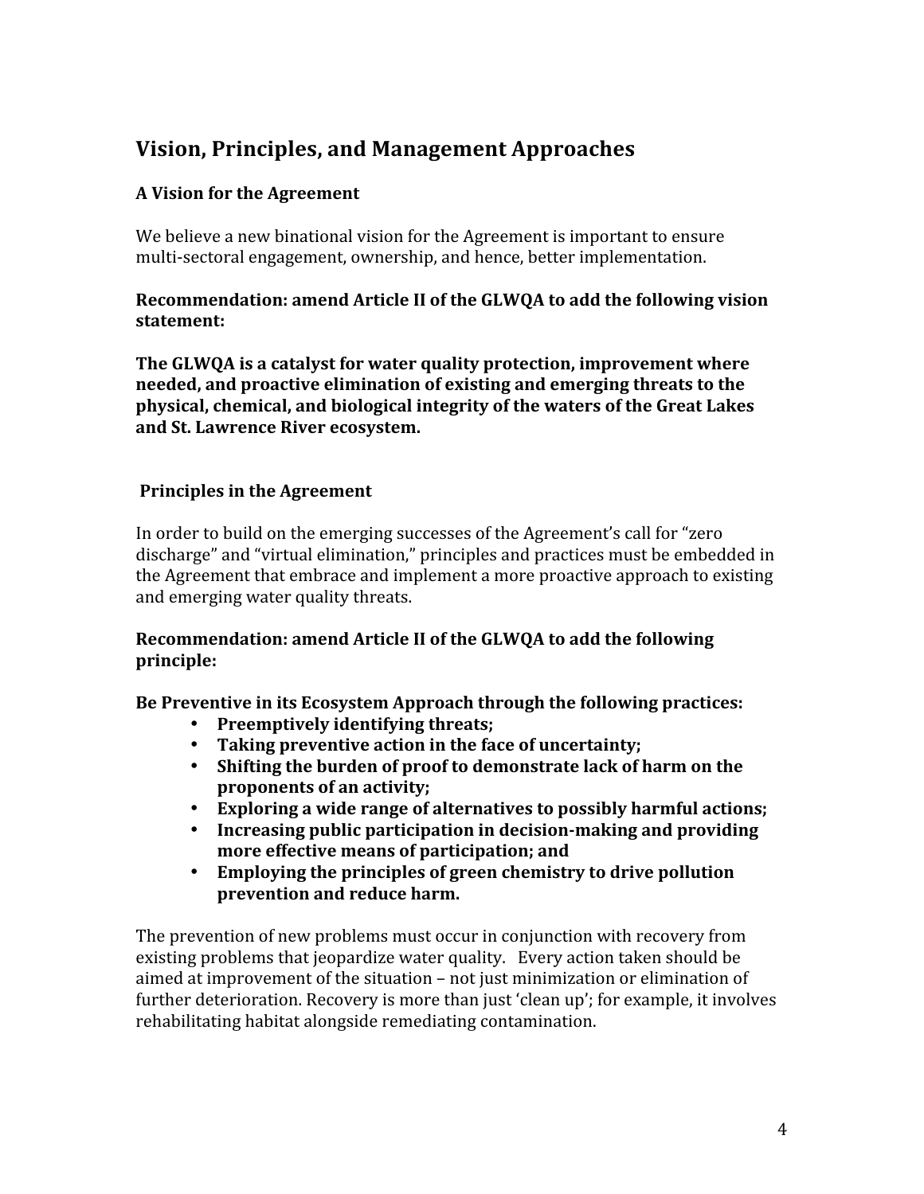# **Vision, Principles, and Management Approaches**

# A Vision for the Agreement

We believe a new binational vision for the Agreement is important to ensure multi-sectoral engagement, ownership, and hence, better implementation.

# Recommendation: amend Article II of the GLWOA to add the following vision statement:

The GLWQA is a catalyst for water quality protection, improvement where needed, and proactive elimination of existing and emerging threats to the physical, chemical, and biological integrity of the waters of the Great Lakes and St. Lawrence River ecosystem.

# **Principles in the Agreement**

In order to build on the emerging successes of the Agreement's call for "zero" discharge" and "virtual elimination," principles and practices must be embedded in the Agreement that embrace and implement a more proactive approach to existing and emerging water quality threats.

# Recommendation: amend Article II of the GLWQA to add the following principle:

Be Preventive in its Ecosystem Approach through the following practices:

- Preemptively identifying threats:
- Taking preventive action in the face of uncertainty;
- Shifting the burden of proof to demonstrate lack of harm on the proponents of an activity;
- Exploring a wide range of alternatives to possibly harmful actions;
- Increasing public participation in decision-making and providing more effective means of participation; and
- Employing the principles of green chemistry to drive pollution  $\bullet$ prevention and reduce harm.

The prevention of new problems must occur in conjunction with recovery from existing problems that jeopardize water quality. Every action taken should be aimed at improvement of the situation - not just minimization or elimination of further deterioration. Recovery is more than just 'clean up'; for example, it involves rehabilitating habitat alongside remediating contamination.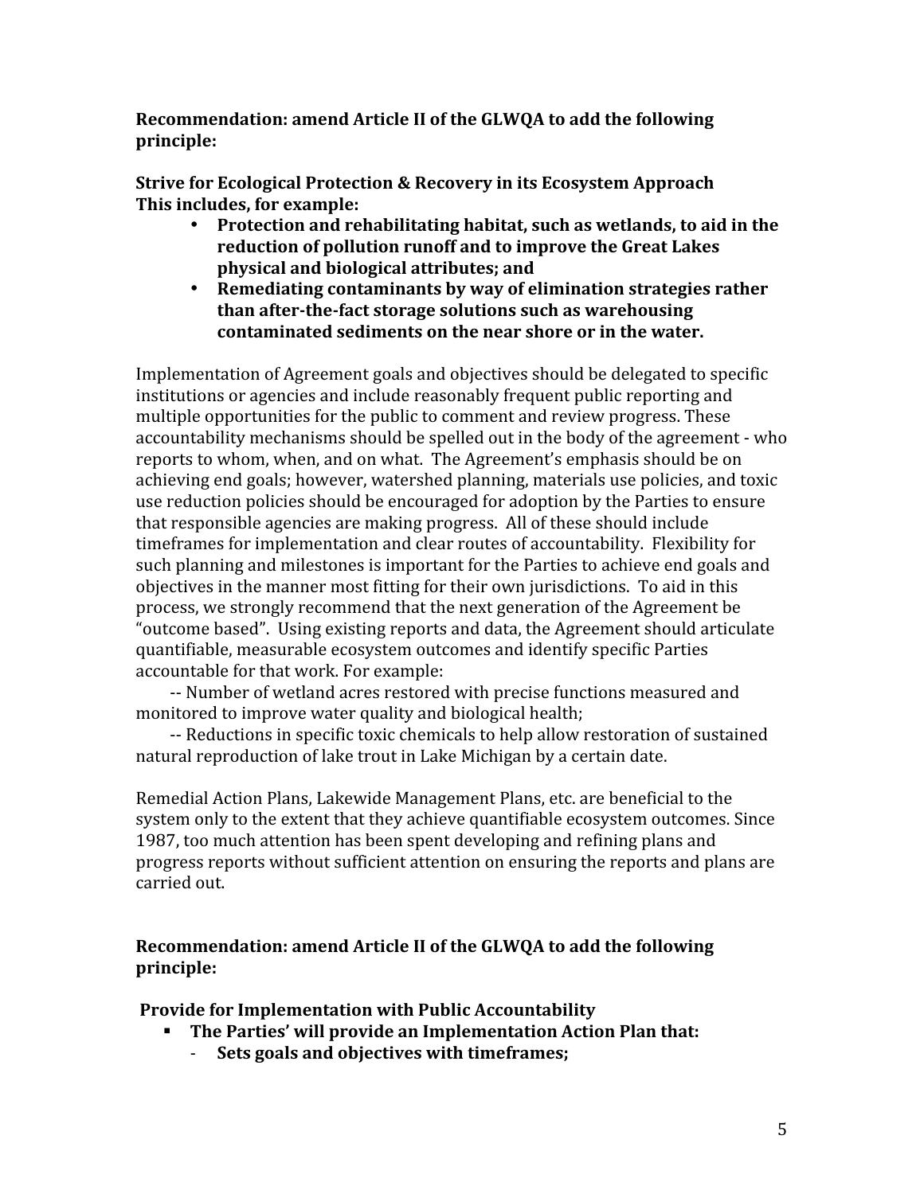Recommendation: amend Article II of the GLWQA to add the following principle:

Strive for Ecological Protection & Recovery in its Ecosystem Approach This includes, for example:

- Protection and rehabilitating habitat, such as wetlands, to aid in the reduction of pollution runoff and to improve the Great Lakes physical and biological attributes; and
- $\bullet$ Remediating contaminants by way of elimination strategies rather than after-the-fact storage solutions such as warehousing contaminated sediments on the near shore or in the water.

Implementation of Agreement goals and objectives should be delegated to specific institutions or agencies and include reasonably frequent public reporting and multiple opportunities for the public to comment and review progress. These accountability mechanisms should be spelled out in the body of the agreement - who reports to whom, when, and on what. The Agreement's emphasis should be on achieving end goals; however, watershed planning, materials use policies, and toxic use reduction policies should be encouraged for adoption by the Parties to ensure that responsible agencies are making progress. All of these should include timeframes for implementation and clear routes of accountability. Flexibility for such planning and milestones is important for the Parties to achieve end goals and objectives in the manner most fitting for their own jurisdictions. To aid in this process, we strongly recommend that the next generation of the Agreement be "outcome based". Using existing reports and data, the Agreement should articulate quantifiable, measurable ecosystem outcomes and identify specific Parties accountable for that work. For example:

-- Number of wetland acres restored with precise functions measured and monitored to improve water quality and biological health;

-- Reductions in specific toxic chemicals to help allow restoration of sustained natural reproduction of lake trout in Lake Michigan by a certain date.

Remedial Action Plans, Lakewide Management Plans, etc. are beneficial to the system only to the extent that they achieve quantifiable ecosystem outcomes. Since 1987, too much attention has been spent developing and refining plans and progress reports without sufficient attention on ensuring the reports and plans are carried out.

# Recommendation: amend Article II of the GLWQA to add the following principle:

**Provide for Implementation with Public Accountability** 

- The Parties' will provide an Implementation Action Plan that:
	- Sets goals and objectives with timeframes;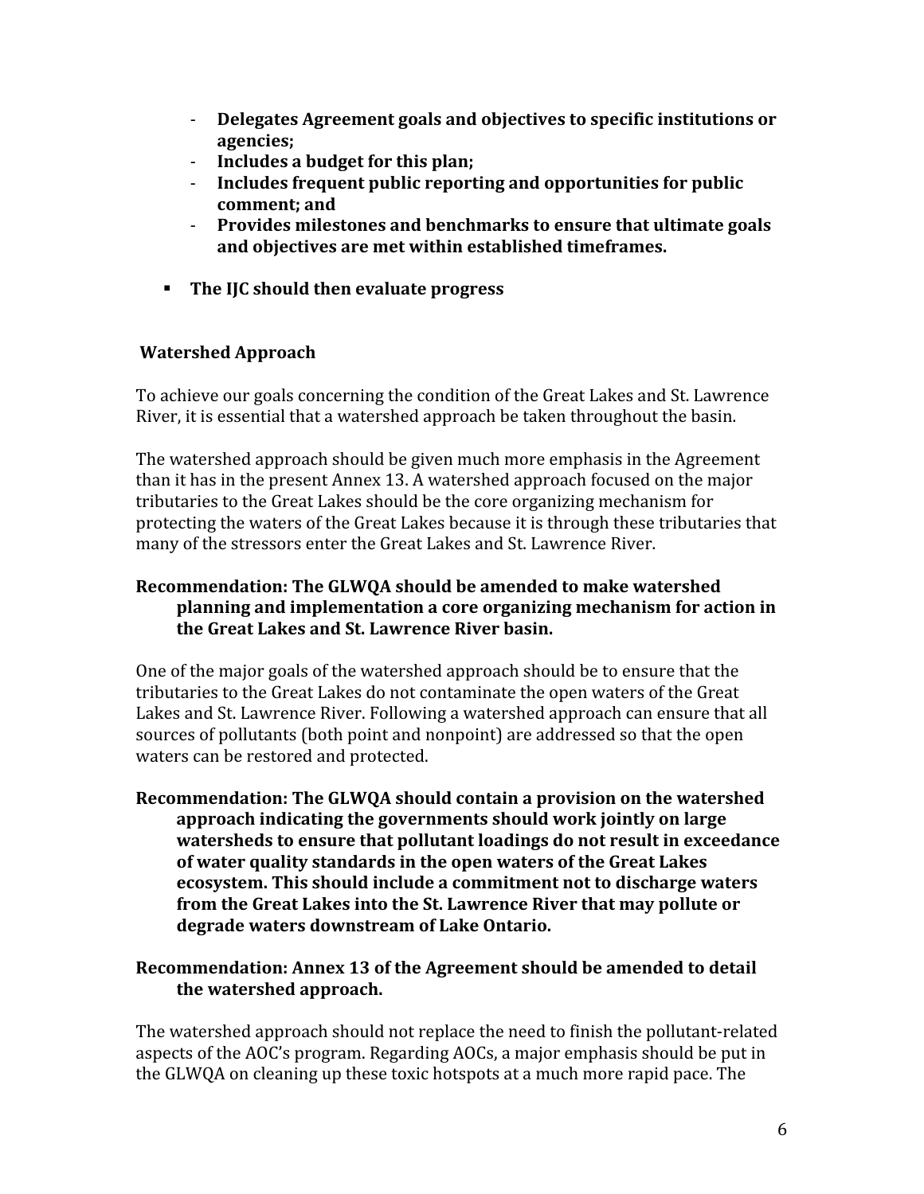- $\omega_{\rm{max}}$ Delegates Agreement goals and objectives to specific institutions or agencies;
- Includes a budget for this plan;  $\omega_{\rm{max}}$
- $\mathbf{L}^{\text{max}}$ Includes frequent public reporting and opportunities for public comment: and
- Provides milestones and benchmarks to ensure that ultimate goals  $\omega_{\rm{max}}$ and objectives are met within established timeframes.
- The IIC should then evaluate progress

# **Watershed Approach**

To achieve our goals concerning the condition of the Great Lakes and St. Lawrence River, it is essential that a watershed approach be taken throughout the basin.

The watershed approach should be given much more emphasis in the Agreement than it has in the present Annex 13. A watershed approach focused on the major tributaries to the Great Lakes should be the core organizing mechanism for protecting the waters of the Great Lakes because it is through these tributaries that many of the stressors enter the Great Lakes and St. Lawrence River.

# Recommendation: The GLWQA should be amended to make watershed planning and implementation a core organizing mechanism for action in the Great Lakes and St. Lawrence River basin.

One of the major goals of the watershed approach should be to ensure that the tributaries to the Great Lakes do not contaminate the open waters of the Great Lakes and St. Lawrence River. Following a watershed approach can ensure that all sources of pollutants (both point and nonpoint) are addressed so that the open waters can be restored and protected.

Recommendation: The GLWOA should contain a provision on the watershed approach indicating the governments should work jointly on large watersheds to ensure that pollutant loadings do not result in exceedance of water quality standards in the open waters of the Great Lakes ecosystem. This should include a commitment not to discharge waters from the Great Lakes into the St. Lawrence River that may pollute or degrade waters downstream of Lake Ontario.

### Recommendation: Annex 13 of the Agreement should be amended to detail the watershed approach.

The watershed approach should not replace the need to finish the pollutant-related aspects of the AOC's program. Regarding AOCs, a major emphasis should be put in the GLWQA on cleaning up these toxic hotspots at a much more rapid pace. The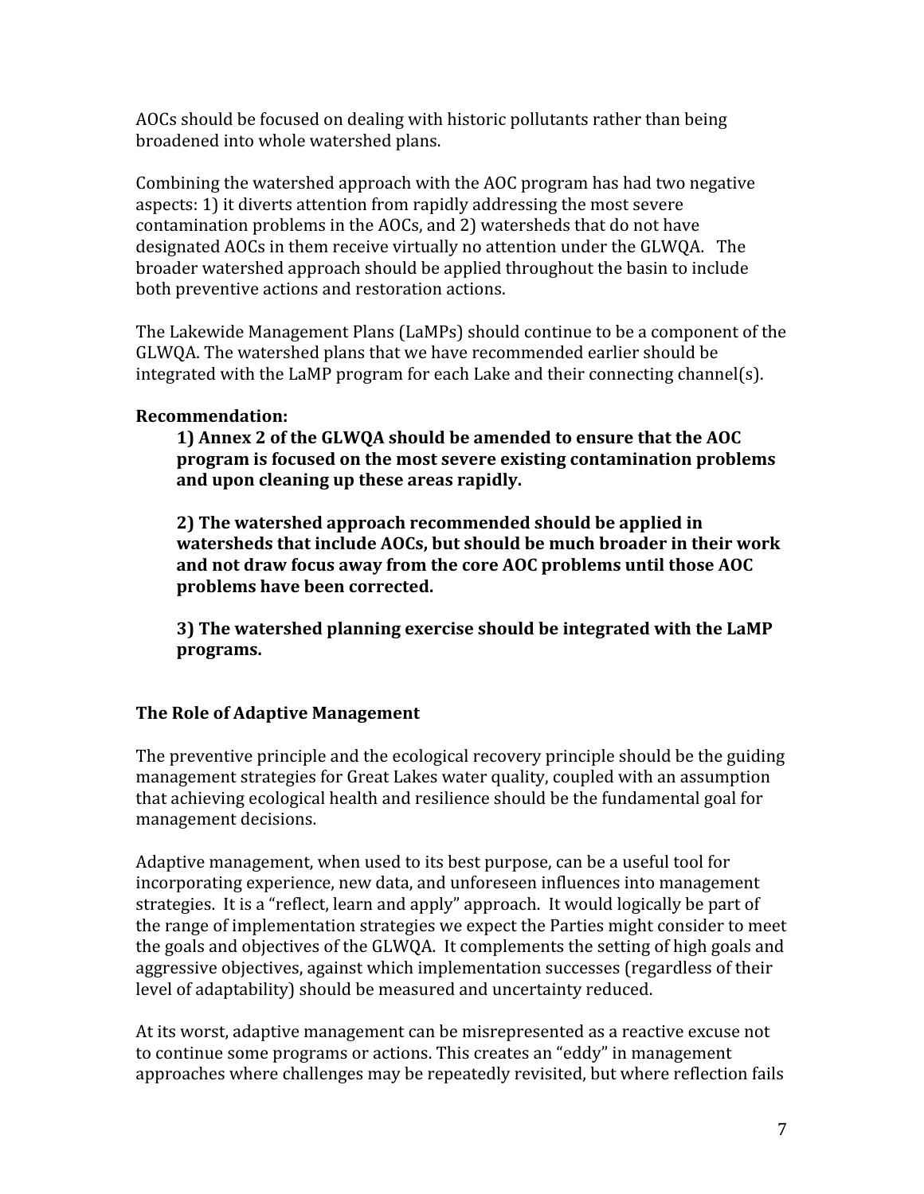AOCs should be focused on dealing with historic pollutants rather than being broadened into whole watershed plans.

Combining the watershed approach with the AOC program has had two negative aspects: 1) it diverts attention from rapidly addressing the most severe contamination problems in the AOCs, and 2) watersheds that do not have designated AOCs in them receive virtually no attention under the GLWQA. The broader watershed approach should be applied throughout the basin to include both preventive actions and restoration actions.

The Lakewide Management Plans (LaMPs) should continue to be a component of the GLWOA. The watershed plans that we have recommended earlier should be integrated with the LaMP program for each Lake and their connecting channel(s).

# **Recommendation:**

1) Annex 2 of the GLWOA should be amended to ensure that the AOC program is focused on the most severe existing contamination problems and upon cleaning up these areas rapidly.

2) The watershed approach recommended should be applied in watersheds that include AOCs, but should be much broader in their work and not draw focus away from the core AOC problems until those AOC problems have been corrected.

3) The watershed planning exercise should be integrated with the LaMP programs.

# The Role of Adaptive Management

The preventive principle and the ecological recovery principle should be the guiding management strategies for Great Lakes water quality, coupled with an assumption that achieving ecological health and resilience should be the fundamental goal for management decisions.

Adaptive management, when used to its best purpose, can be a useful tool for incorporating experience, new data, and unforeseen influences into management strategies. It is a "reflect, learn and apply" approach. It would logically be part of the range of implementation strategies we expect the Parties might consider to meet the goals and objectives of the GLWOA. It complements the setting of high goals and aggressive objectives, against which implementation successes (regardless of their level of adaptability) should be measured and uncertainty reduced.

At its worst, adaptive management can be misrepresented as a reactive excuse not to continue some programs or actions. This creates an "eddy" in management approaches where challenges may be repeatedly revisited, but where reflection fails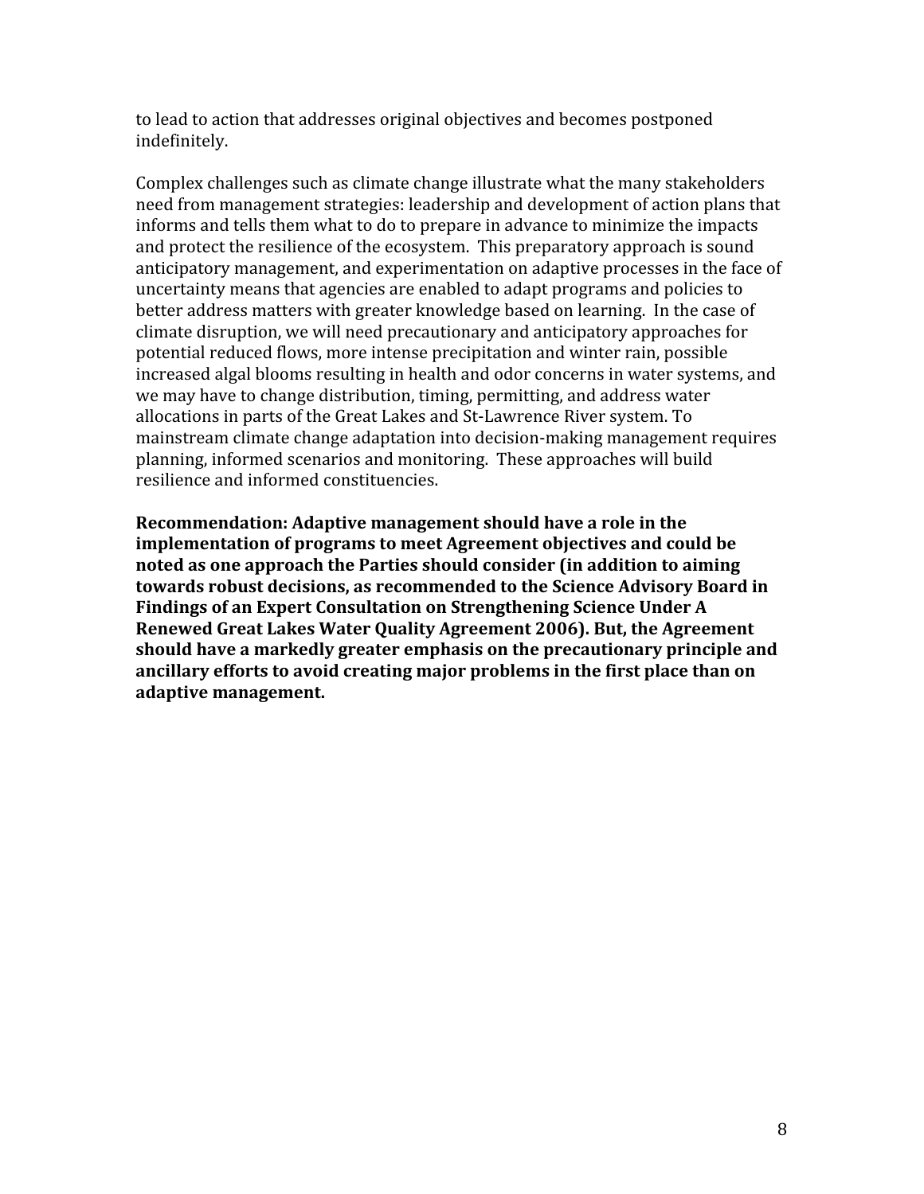to lead to action that addresses original objectives and becomes postponed indefinitely.

Complex challenges such as climate change illustrate what the many stakeholders need from management strategies: leadership and development of action plans that informs and tells them what to do to prepare in advance to minimize the impacts and protect the resilience of the ecosystem. This preparatory approach is sound anticipatory management, and experimentation on adaptive processes in the face of uncertainty means that agencies are enabled to adapt programs and policies to better address matters with greater knowledge based on learning. In the case of climate disruption, we will need precautionary and anticipatory approaches for potential reduced flows, more intense precipitation and winter rain, possible increased algal blooms resulting in health and odor concerns in water systems, and we may have to change distribution, timing, permitting, and address water allocations in parts of the Great Lakes and St-Lawrence River system. To mainstream climate change adaptation into decision-making management requires planning, informed scenarios and monitoring. These approaches will build resilience and informed constituencies.

Recommendation: Adaptive management should have a role in the implementation of programs to meet Agreement objectives and could be noted as one approach the Parties should consider (in addition to aiming towards robust decisions, as recommended to the Science Advisory Board in Findings of an Expert Consultation on Strengthening Science Under A Renewed Great Lakes Water Ouality Agreement 2006). But, the Agreement should have a markedly greater emphasis on the precautionary principle and ancillary efforts to avoid creating major problems in the first place than on adaptive management.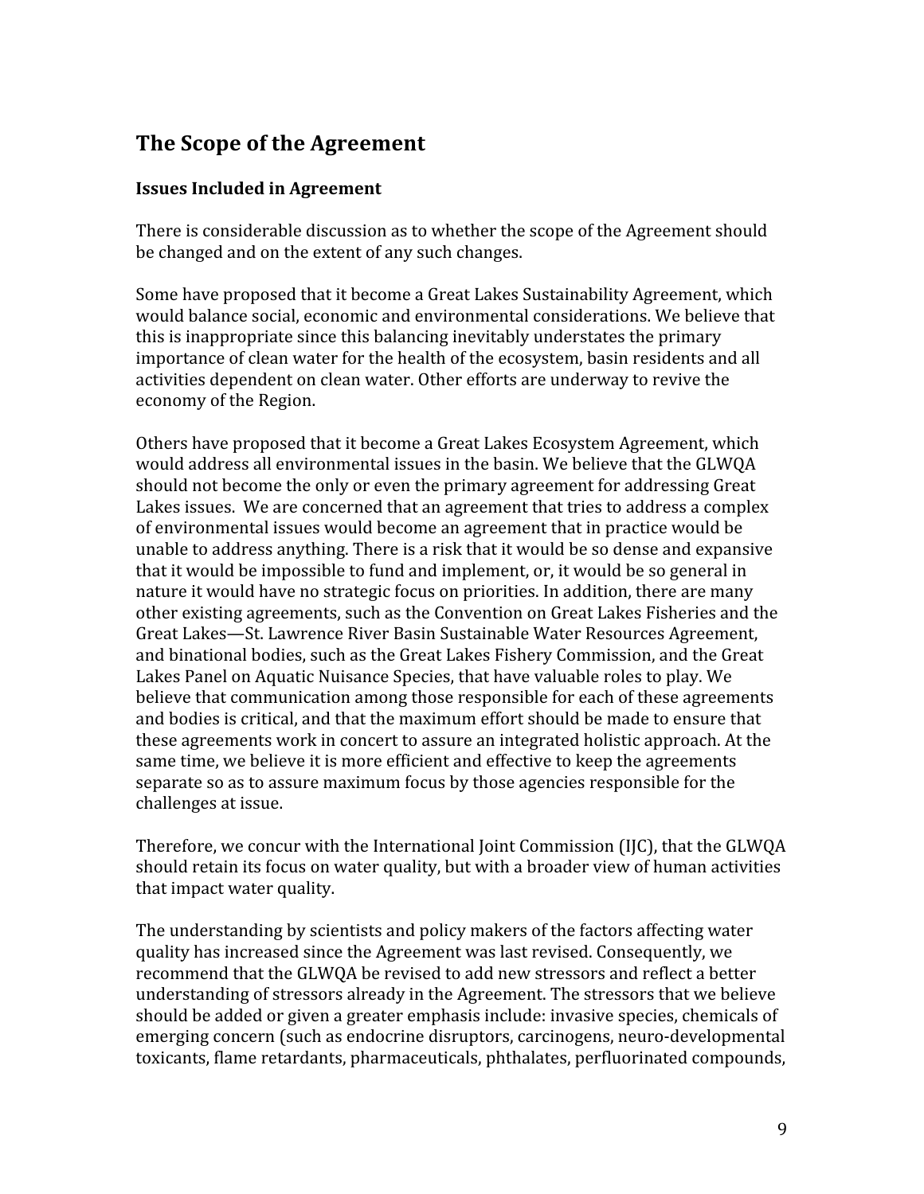# The Scope of the Agreement

# **Issues Included in Agreement**

There is considerable discussion as to whether the scope of the Agreement should be changed and on the extent of any such changes.

Some have proposed that it become a Great Lakes Sustainability Agreement, which would balance social, economic and environmental considerations. We believe that this is inappropriate since this balancing inevitably understates the primary importance of clean water for the health of the ecosystem, basin residents and all activities dependent on clean water. Other efforts are underway to revive the economy of the Region.

Others have proposed that it become a Great Lakes Ecosystem Agreement, which would address all environmental issues in the basin. We believe that the GLWQA should not become the only or even the primary agreement for addressing Great Lakes issues. We are concerned that an agreement that tries to address a complex of environmental issues would become an agreement that in practice would be unable to address anything. There is a risk that it would be so dense and expansive that it would be impossible to fund and implement, or, it would be so general in nature it would have no strategic focus on priorities. In addition, there are many other existing agreements, such as the Convention on Great Lakes Fisheries and the Great Lakes—St. Lawrence River Basin Sustainable Water Resources Agreement, and binational bodies, such as the Great Lakes Fishery Commission, and the Great Lakes Panel on Aquatic Nuisance Species, that have valuable roles to play. We believe that communication among those responsible for each of these agreements and bodies is critical, and that the maximum effort should be made to ensure that these agreements work in concert to assure an integrated holistic approach. At the same time, we believe it is more efficient and effective to keep the agreements separate so as to assure maximum focus by those agencies responsible for the challenges at issue.

Therefore, we concur with the International Joint Commission (IJC), that the GLWQA should retain its focus on water quality, but with a broader view of human activities that impact water quality.

The understanding by scientists and policy makers of the factors affecting water quality has increased since the Agreement was last revised. Consequently, we recommend that the GLWQA be revised to add new stressors and reflect a better understanding of stressors already in the Agreement. The stressors that we believe should be added or given a greater emphasis include: invasive species, chemicals of emerging concern (such as endocrine disruptors, carcinogens, neuro-developmental toxicants, flame retardants, pharmaceuticals, phthalates, perfluorinated compounds,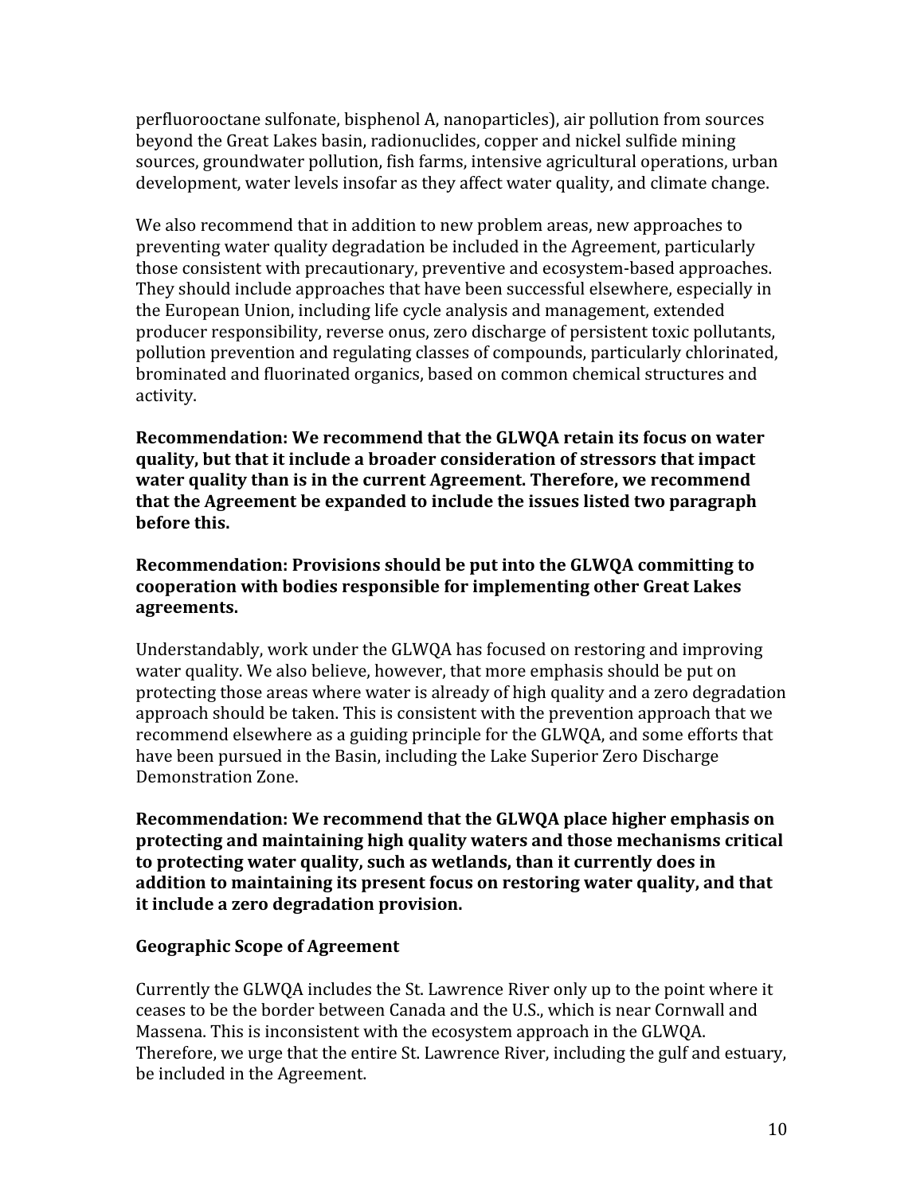perfluorooctane sulfonate, bisphenol A, nanoparticles), air pollution from sources beyond the Great Lakes basin, radionuclides, copper and nickel sulfide mining sources, groundwater pollution, fish farms, intensive agricultural operations, urban development, water levels insofar as they affect water quality, and climate change.

We also recommend that in addition to new problem areas, new approaches to preventing water quality degradation be included in the Agreement, particularly those consistent with precautionary, preventive and ecosystem-based approaches. They should include approaches that have been successful elsewhere, especially in the European Union, including life cycle analysis and management, extended producer responsibility, reverse onus, zero discharge of persistent toxic pollutants, pollution prevention and regulating classes of compounds, particularly chlorinated, brominated and fluorinated organics, based on common chemical structures and activity.

Recommendation: We recommend that the GLWOA retain its focus on water quality, but that it include a broader consideration of stressors that impact water quality than is in the current Agreement. Therefore, we recommend that the Agreement be expanded to include the issues listed two paragraph before this.

# Recommendation: Provisions should be put into the GLWQA committing to cooperation with bodies responsible for implementing other Great Lakes agreements.

Understandably, work under the GLWQA has focused on restoring and improving water quality. We also believe, however, that more emphasis should be put on protecting those areas where water is already of high quality and a zero degradation approach should be taken. This is consistent with the prevention approach that we recommend elsewhere as a guiding principle for the GLWQA, and some efforts that have been pursued in the Basin, including the Lake Superior Zero Discharge Demonstration Zone.

Recommendation: We recommend that the GLWQA place higher emphasis on protecting and maintaining high quality waters and those mechanisms critical to protecting water quality, such as wetlands, than it currently does in addition to maintaining its present focus on restoring water quality, and that it include a zero degradation provision.

### **Geographic Scope of Agreement**

Currently the GLWQA includes the St. Lawrence River only up to the point where it ceases to be the border between Canada and the U.S., which is near Cornwall and Massena. This is inconsistent with the ecosystem approach in the GLWQA. Therefore, we urge that the entire St. Lawrence River, including the gulf and estuary, be included in the Agreement.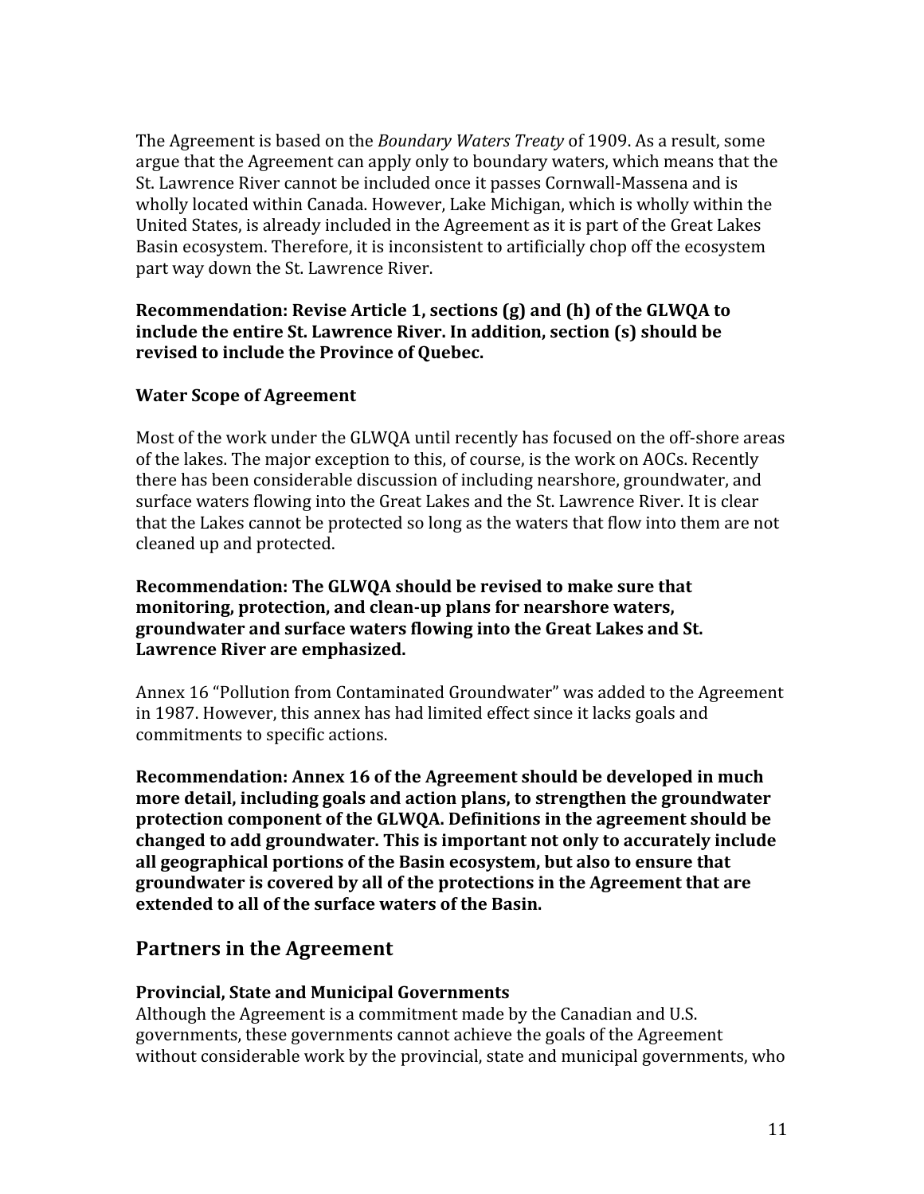The Agreement is based on the Boundary Waters Treaty of 1909. As a result, some argue that the Agreement can apply only to boundary waters, which means that the St. Lawrence River cannot be included once it passes Cornwall-Massena and is wholly located within Canada. However, Lake Michigan, which is wholly within the United States, is already included in the Agreement as it is part of the Great Lakes Basin ecosystem. Therefore, it is inconsistent to artificially chop off the ecosystem part way down the St. Lawrence River.

## Recommendation: Revise Article 1, sections (g) and (h) of the GLWQA to include the entire St. Lawrence River. In addition, section (s) should be revised to include the Province of Ouebec.

# **Water Scope of Agreement**

Most of the work under the GLWOA until recently has focused on the off-shore areas of the lakes. The major exception to this, of course, is the work on AOCs. Recently there has been considerable discussion of including nearshore, groundwater, and surface waters flowing into the Great Lakes and the St. Lawrence River. It is clear that the Lakes cannot be protected so long as the waters that flow into them are not cleaned up and protected.

## Recommendation: The GLWQA should be revised to make sure that monitoring, protection, and clean-up plans for nearshore waters, groundwater and surface waters flowing into the Great Lakes and St. Lawrence River are emphasized.

Annex 16 "Pollution from Contaminated Groundwater" was added to the Agreement in 1987. However, this annex has had limited effect since it lacks goals and commitments to specific actions.

Recommendation: Annex 16 of the Agreement should be developed in much more detail, including goals and action plans, to strengthen the groundwater protection component of the GLWQA. Definitions in the agreement should be changed to add groundwater. This is important not only to accurately include all geographical portions of the Basin ecosystem, but also to ensure that groundwater is covered by all of the protections in the Agreement that are extended to all of the surface waters of the Basin.

# **Partners in the Agreement**

# **Provincial, State and Municipal Governments**

Although the Agreement is a commitment made by the Canadian and U.S. governments, these governments cannot achieve the goals of the Agreement without considerable work by the provincial, state and municipal governments, who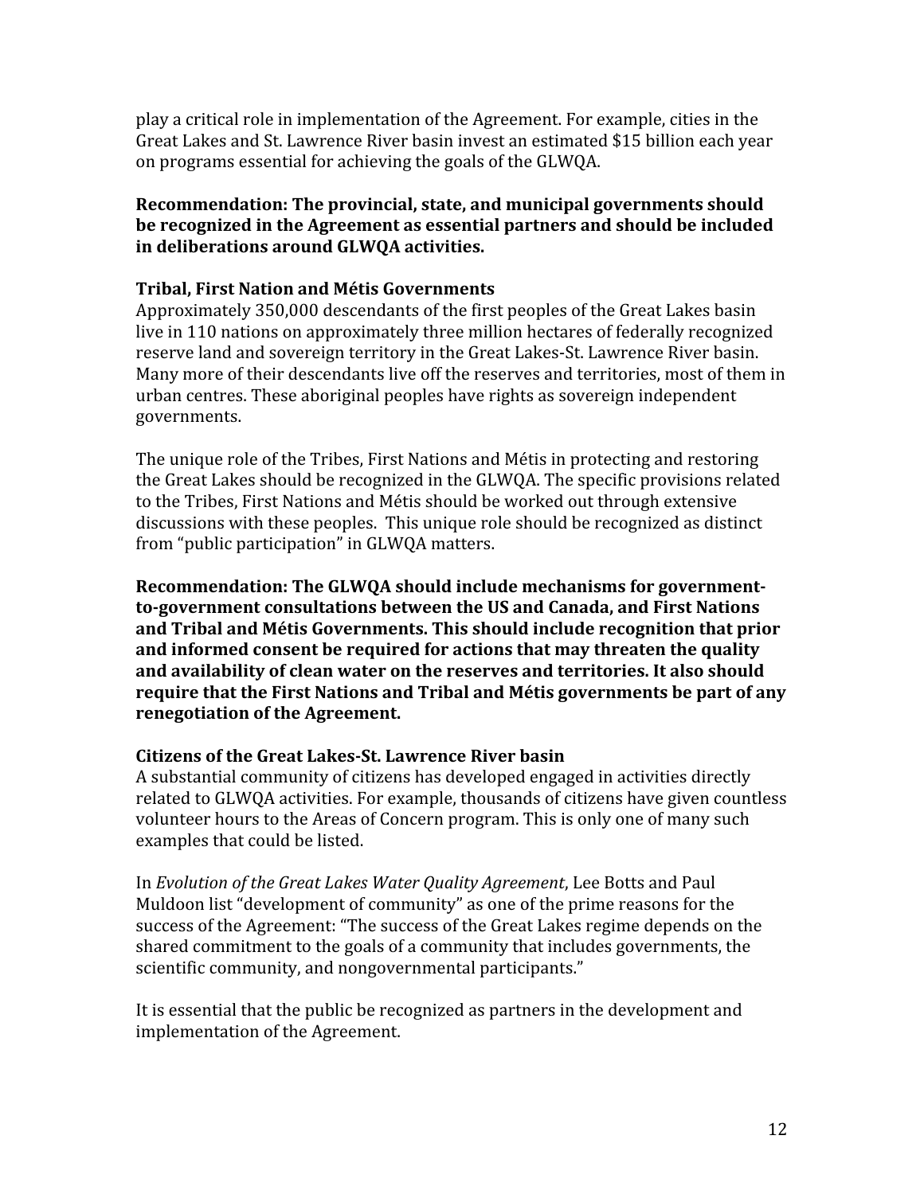play a critical role in implementation of the Agreement. For example, cities in the Great Lakes and St. Lawrence River basin invest an estimated \$15 billion each year on programs essential for achieving the goals of the GLWOA.

# Recommendation: The provincial, state, and municipal governments should be recognized in the Agreement as essential partners and should be included in deliberations around GLWQA activities.

## **Tribal, First Nation and Métis Governments**

Approximately 350,000 descendants of the first peoples of the Great Lakes basin live in 110 nations on approximately three million hectares of federally recognized reserve land and sovereign territory in the Great Lakes-St. Lawrence River basin. Many more of their descendants live off the reserves and territories, most of them in urban centres. These aboriginal peoples have rights as sovereign independent governments.

The unique role of the Tribes, First Nations and Métis in protecting and restoring the Great Lakes should be recognized in the GLWQA. The specific provisions related to the Tribes, First Nations and Métis should be worked out through extensive discussions with these peoples. This unique role should be recognized as distinct from "public participation" in GLWQA matters.

Recommendation: The GLWQA should include mechanisms for governmentto-government consultations between the US and Canada, and First Nations and Tribal and Métis Governments. This should include recognition that prior and informed consent be required for actions that may threaten the quality and availability of clean water on the reserves and territories. It also should require that the First Nations and Tribal and Métis governments be part of any renegotiation of the Agreement.

### **Citizens of the Great Lakes-St. Lawrence River basin**

A substantial community of citizens has developed engaged in activities directly related to GLWOA activities. For example, thousands of citizens have given countless volunteer hours to the Areas of Concern program. This is only one of many such examples that could be listed.

In Evolution of the Great Lakes Water Quality Agreement, Lee Botts and Paul Muldoon list "development of community" as one of the prime reasons for the success of the Agreement: "The success of the Great Lakes regime depends on the shared commitment to the goals of a community that includes governments, the scientific community, and nongovernmental participants."

It is essential that the public be recognized as partners in the development and implementation of the Agreement.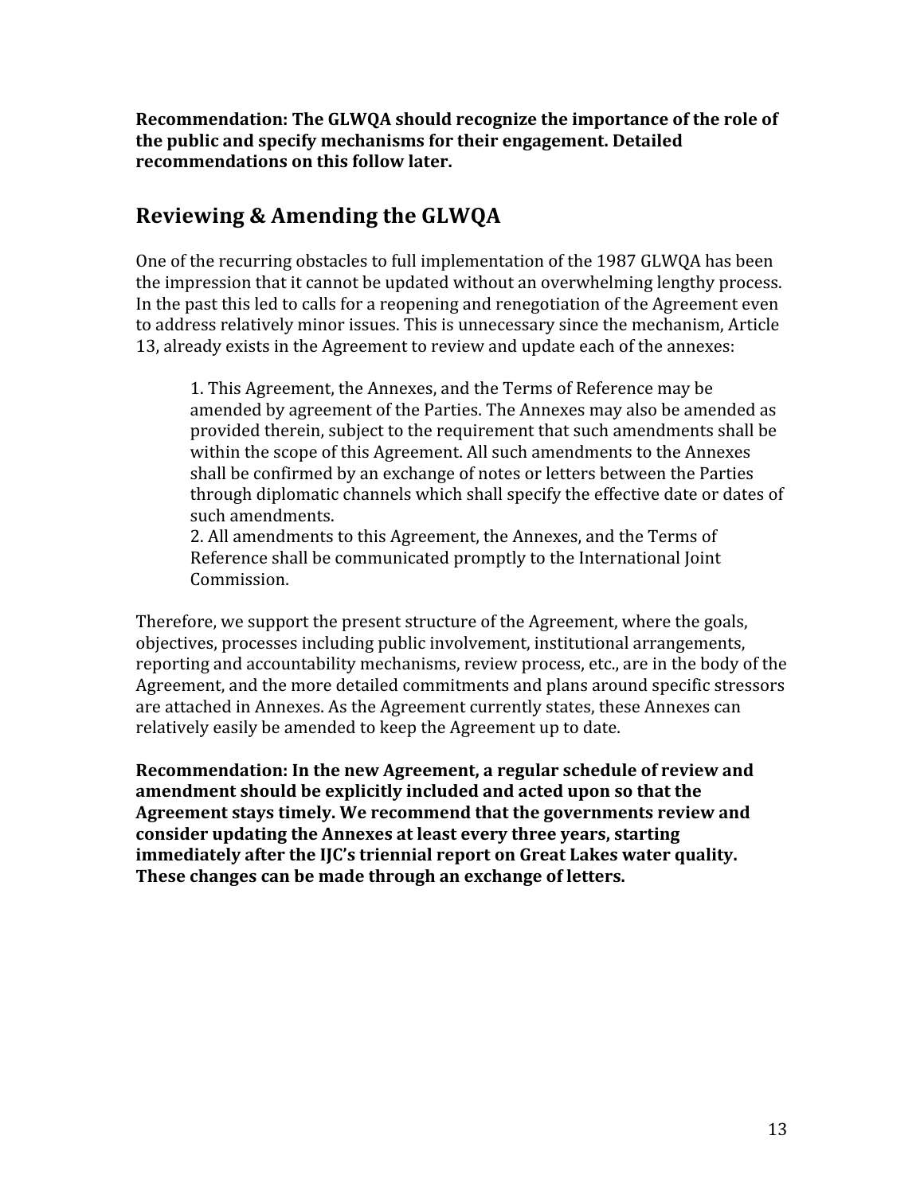Recommendation: The GLWQA should recognize the importance of the role of the public and specify mechanisms for their engagement. Detailed recommendations on this follow later.

# Reviewing & Amending the GLWQA

One of the recurring obstacles to full implementation of the 1987 GLWQA has been the impression that it cannot be updated without an overwhelming lengthy process. In the past this led to calls for a reopening and renegotiation of the Agreement even to address relatively minor issues. This is unnecessary since the mechanism, Article 13, already exists in the Agreement to review and update each of the annexes:

1. This Agreement, the Annexes, and the Terms of Reference may be amended by agreement of the Parties. The Annexes may also be amended as provided therein, subject to the requirement that such amendments shall be within the scope of this Agreement. All such amendments to the Annexes shall be confirmed by an exchange of notes or letters between the Parties through diplomatic channels which shall specify the effective date or dates of such amendments.

2. All amendments to this Agreement, the Annexes, and the Terms of Reference shall be communicated promptly to the International Joint Commission.

Therefore, we support the present structure of the Agreement, where the goals, objectives, processes including public involvement, institutional arrangements, reporting and accountability mechanisms, review process, etc., are in the body of the Agreement, and the more detailed commitments and plans around specific stressors are attached in Annexes. As the Agreement currently states, these Annexes can relatively easily be amended to keep the Agreement up to date.

Recommendation: In the new Agreement, a regular schedule of review and amendment should be explicitly included and acted upon so that the Agreement stays timely. We recommend that the governments review and consider updating the Annexes at least every three years, starting immediately after the IIC's triennial report on Great Lakes water quality. These changes can be made through an exchange of letters.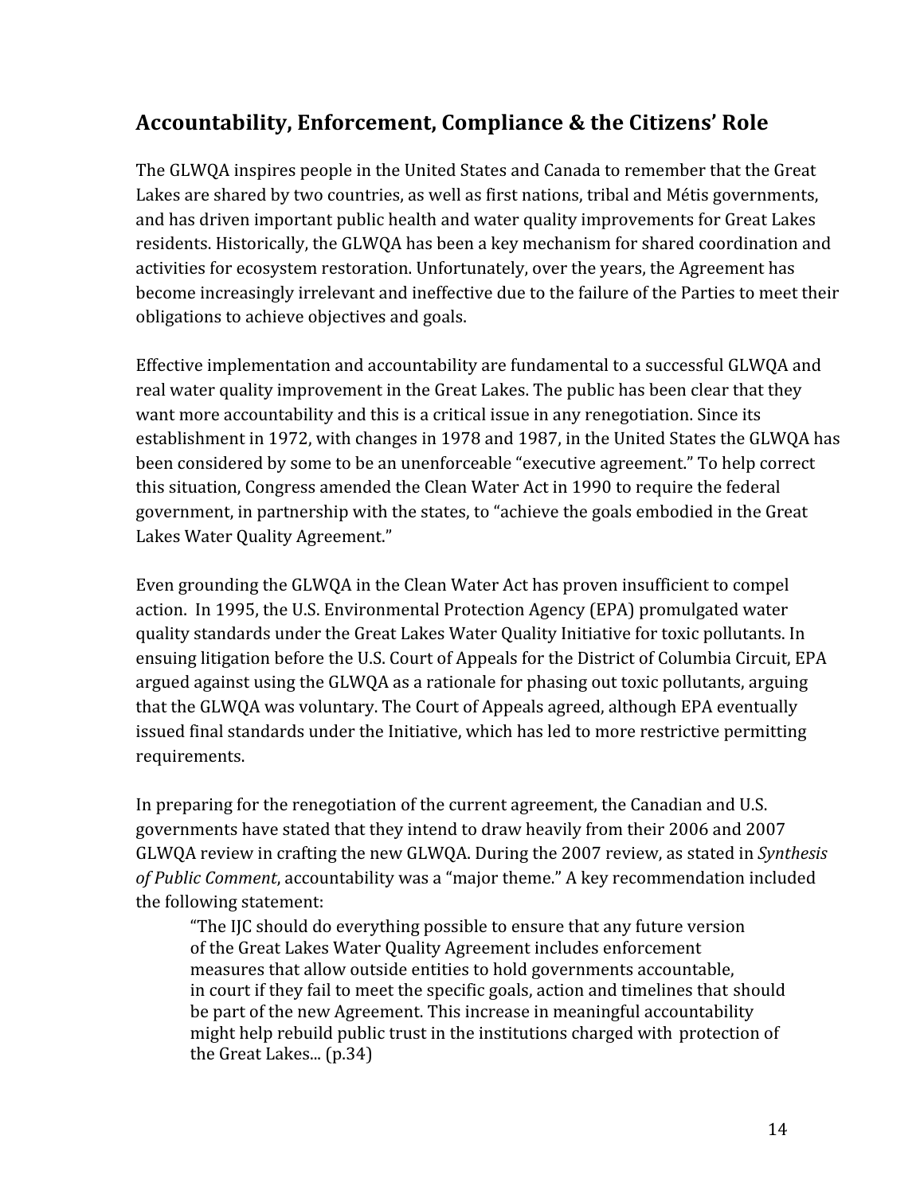# Accountability, Enforcement, Compliance & the Citizens' Role

The GLWQA inspires people in the United States and Canada to remember that the Great Lakes are shared by two countries, as well as first nations, tribal and Métis governments, and has driven important public health and water quality improvements for Great Lakes residents. Historically, the GLWQA has been a key mechanism for shared coordination and activities for ecosystem restoration. Unfortunately, over the years, the Agreement has become increasingly irrelevant and ineffective due to the failure of the Parties to meet their obligations to achieve objectives and goals.

Effective implementation and accountability are fundamental to a successful GLWQA and real water quality improvement in the Great Lakes. The public has been clear that they want more accountability and this is a critical issue in any renegotiation. Since its establishment in 1972, with changes in 1978 and 1987, in the United States the GLWQA has been considered by some to be an unenforceable "executive agreement." To help correct this situation, Congress amended the Clean Water Act in 1990 to require the federal government, in partnership with the states, to "achieve the goals embodied in the Great Lakes Water Quality Agreement."

Even grounding the GLWQA in the Clean Water Act has proven insufficient to compel action. In 1995, the U.S. Environmental Protection Agency (EPA) promulgated water quality standards under the Great Lakes Water Quality Initiative for toxic pollutants. In ensuing litigation before the U.S. Court of Appeals for the District of Columbia Circuit, EPA argued against using the GLWQA as a rationale for phasing out toxic pollutants, arguing that the GLWQA was voluntary. The Court of Appeals agreed, although EPA eventually issued final standards under the Initiative, which has led to more restrictive permitting requirements.

In preparing for the renegotiation of the current agreement, the Canadian and U.S. governments have stated that they intend to draw heavily from their 2006 and 2007 GLWQA review in crafting the new GLWQA. During the 2007 review, as stated in Synthesis of Public Comment, accountability was a "major theme." A key recommendation included the following statement:

"The IJC should do everything possible to ensure that any future version of the Great Lakes Water Quality Agreement includes enforcement measures that allow outside entities to hold governments accountable, in court if they fail to meet the specific goals, action and timelines that should be part of the new Agreement. This increase in meaningful accountability might help rebuild public trust in the institutions charged with protection of the Great Lakes... (p.34)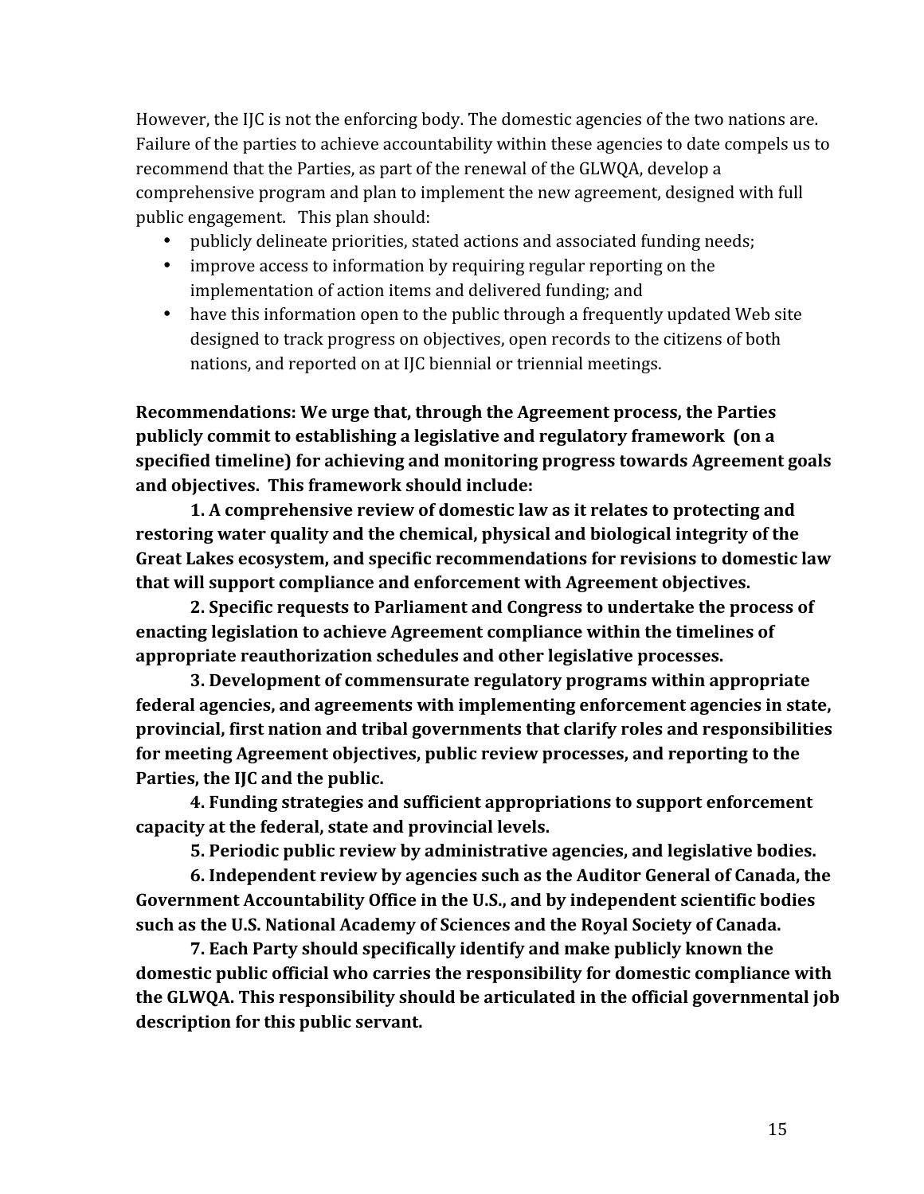However, the IJC is not the enforcing body. The domestic agencies of the two nations are. Failure of the parties to achieve accountability within these agencies to date compels us to recommend that the Parties, as part of the renewal of the GLWQA, develop a comprehensive program and plan to implement the new agreement, designed with full public engagement. This plan should:

- publicly delineate priorities, stated actions and associated funding needs;
- improve access to information by requiring regular reporting on the implementation of action items and delivered funding; and
- have this information open to the public through a frequently updated Web site designed to track progress on objectives, open records to the citizens of both nations, and reported on at IJC biennial or triennial meetings.

Recommendations: We urge that, through the Agreement process, the Parties publicly commit to establishing a legislative and regulatory framework (on a specified timeline) for achieving and monitoring progress towards Agreement goals and objectives. This framework should include:

1. A comprehensive review of domestic law as it relates to protecting and restoring water quality and the chemical, physical and biological integrity of the Great Lakes ecosystem, and specific recommendations for revisions to domestic law that will support compliance and enforcement with Agreement objectives.

2. Specific requests to Parliament and Congress to undertake the process of enacting legislation to achieve Agreement compliance within the timelines of appropriate reauthorization schedules and other legislative processes.

3. Development of commensurate regulatory programs within appropriate federal agencies, and agreements with implementing enforcement agencies in state, provincial, first nation and tribal governments that clarify roles and responsibilities for meeting Agreement objectives, public review processes, and reporting to the Parties, the IJC and the public.

4. Funding strategies and sufficient appropriations to support enforcement capacity at the federal, state and provincial levels.

5. Periodic public review by administrative agencies, and legislative bodies.

6. Independent review by agencies such as the Auditor General of Canada, the Government Accountability Office in the U.S., and by independent scientific bodies such as the U.S. National Academy of Sciences and the Royal Society of Canada.

7. Each Party should specifically identify and make publicly known the domestic public official who carries the responsibility for domestic compliance with the GLWQA. This responsibility should be articulated in the official governmental job description for this public servant.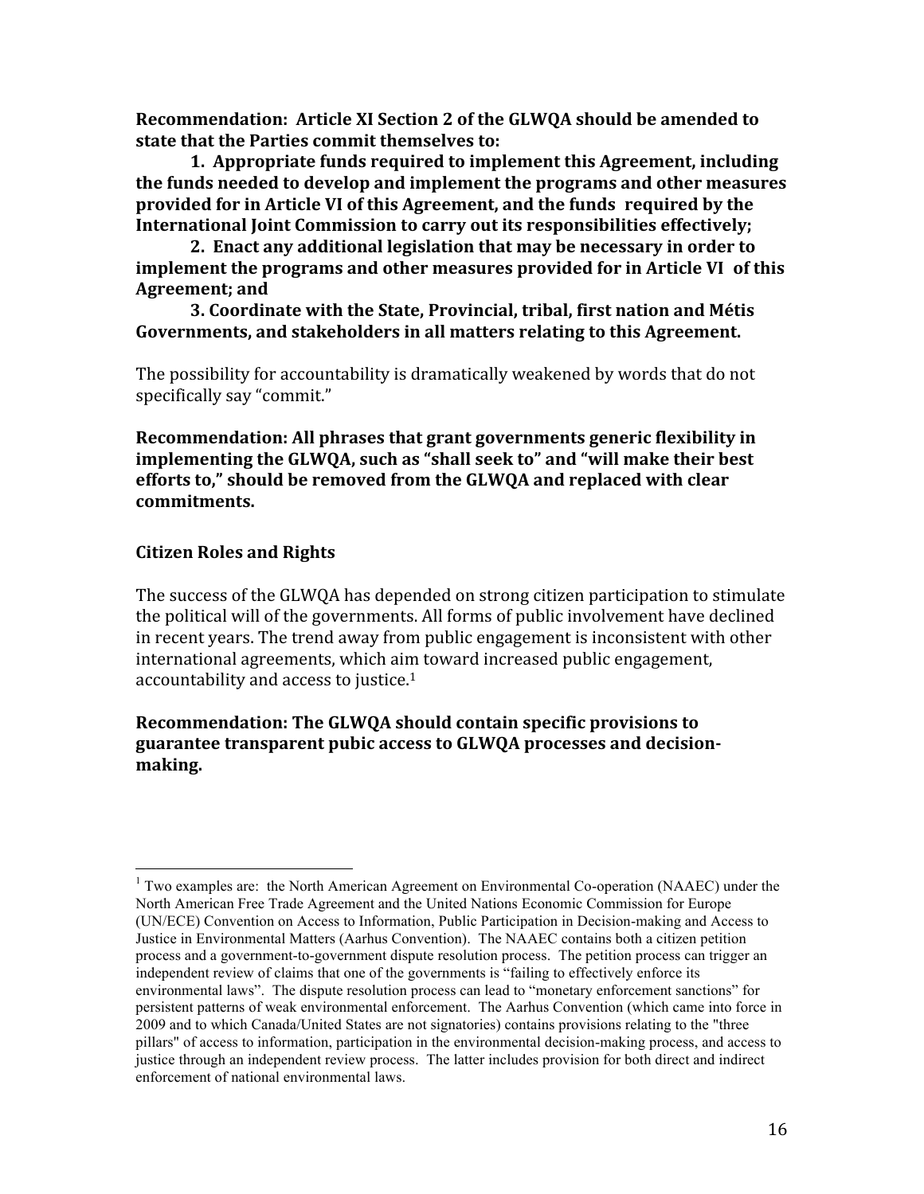Recommendation: Article XI Section 2 of the GLWQA should be amended to state that the Parties commit themselves to:

1. Appropriate funds required to implement this Agreement, including the funds needed to develop and implement the programs and other measures provided for in Article VI of this Agreement, and the funds required by the International Joint Commission to carry out its responsibilities effectively:

2. Enact any additional legislation that may be necessary in order to implement the programs and other measures provided for in Article VI of this Agreement; and

3. Coordinate with the State, Provincial, tribal, first nation and Métis Governments, and stakeholders in all matters relating to this Agreement.

The possibility for accountability is dramatically weakened by words that do not specifically say "commit."

Recommendation: All phrases that grant governments generic flexibility in implementing the GLWQA, such as "shall seek to" and "will make their best efforts to," should be removed from the GLWQA and replaced with clear commitments.

### **Citizen Roles and Rights**

The success of the GLWQA has depended on strong citizen participation to stimulate the political will of the governments. All forms of public involvement have declined in recent years. The trend away from public engagement is inconsistent with other international agreements, which aim toward increased public engagement, accountability and access to justice.<sup>1</sup>

### Recommendation: The GLWQA should contain specific provisions to guarantee transparent pubic access to GLWQA processes and decisionmaking.

<sup>&</sup>lt;sup>1</sup> Two examples are: the North American Agreement on Environmental Co-operation (NAAEC) under the North American Free Trade Agreement and the United Nations Economic Commission for Europe (UN/ECE) Convention on Access to Information, Public Participation in Decision-making and Access to Justice in Environmental Matters (Aarhus Convention). The NAAEC contains both a citizen petition process and a government-to-government dispute resolution process. The petition process can trigger an independent review of claims that one of the governments is "failing to effectively enforce its environmental laws". The dispute resolution process can lead to "monetary enforcement sanctions" for persistent patterns of weak environmental enforcement. The Aarhus Convention (which came into force in 2009 and to which Canada/United States are not signatories) contains provisions relating to the "three pillars" of access to information, participation in the environmental decision-making process, and access to justice through an independent review process. The latter includes provision for both direct and indirect enforcement of national environmental laws.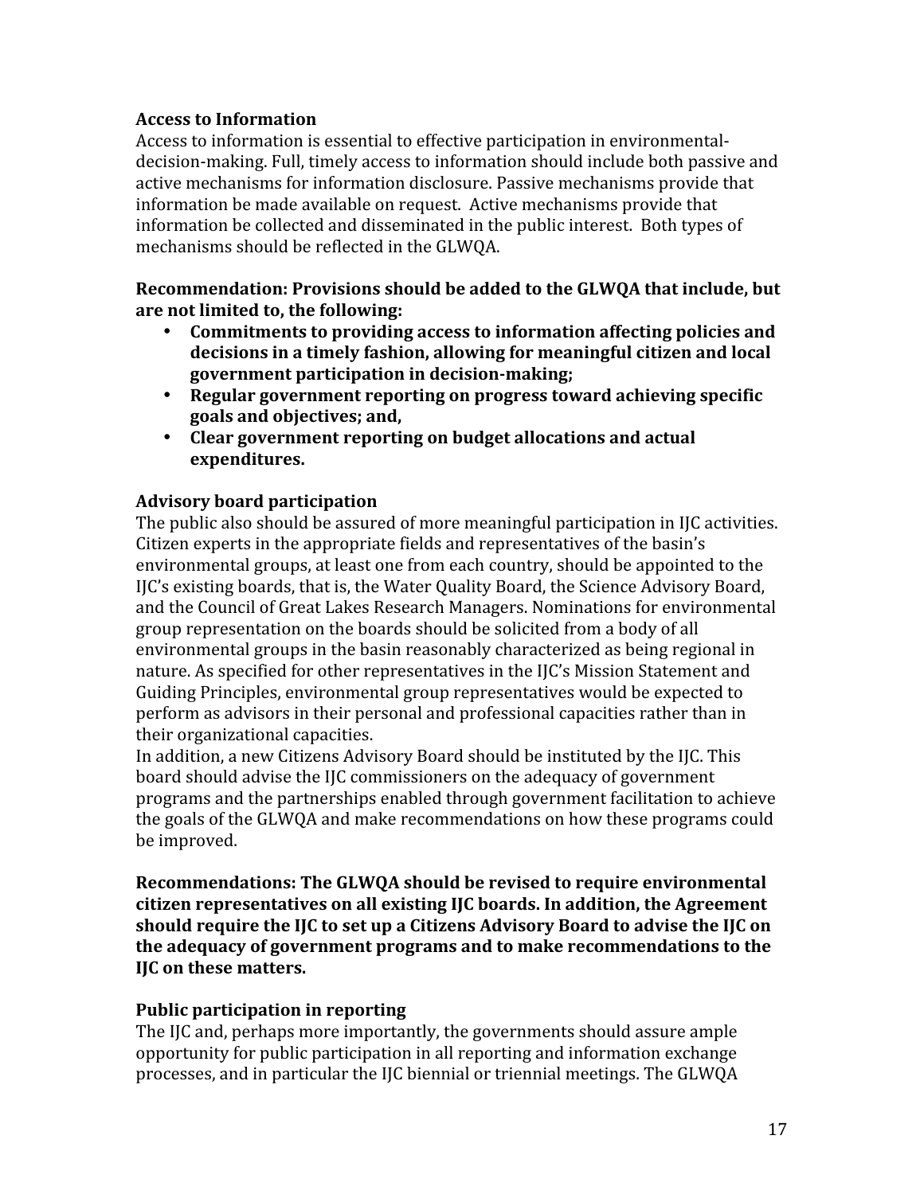## **Access to Information**

Access to information is essential to effective participation in environmentaldecision-making. Full, timely access to information should include both passive and active mechanisms for information disclosure. Passive mechanisms provide that information be made available on request. Active mechanisms provide that information be collected and disseminated in the public interest. Both types of mechanisms should be reflected in the GLWQA.

Recommendation: Provisions should be added to the GLWQA that include, but are not limited to, the following:

- Commitments to providing access to information affecting policies and decisions in a timely fashion, allowing for meaningful citizen and local government participation in decision-making;
- Regular government reporting on progress toward achieving specific goals and objectives: and.
- Clear government reporting on budget allocations and actual expenditures.

# **Advisory board participation**

The public also should be assured of more meaningful participation in IJC activities. Citizen experts in the appropriate fields and representatives of the basin's environmental groups, at least one from each country, should be appointed to the IJC's existing boards, that is, the Water Quality Board, the Science Advisory Board, and the Council of Great Lakes Research Managers. Nominations for environmental group representation on the boards should be solicited from a body of all environmental groups in the basin reasonably characterized as being regional in nature. As specified for other representatives in the IJC's Mission Statement and Guiding Principles, environmental group representatives would be expected to perform as advisors in their personal and professional capacities rather than in their organizational capacities.

In addition, a new Citizens Advisory Board should be instituted by the IIC. This board should advise the IJC commissioners on the adequacy of government programs and the partnerships enabled through government facilitation to achieve the goals of the GLWQA and make recommendations on how these programs could be improved.

Recommendations: The GLWQA should be revised to require environmental citizen representatives on all existing IJC boards. In addition, the Agreement should require the IJC to set up a Citizens Advisory Board to advise the IJC on the adequacy of government programs and to make recommendations to the IIC on these matters.

### **Public participation in reporting**

The IJC and, perhaps more importantly, the governments should assure ample opportunity for public participation in all reporting and information exchange processes, and in particular the IJC biennial or triennial meetings. The GLWQA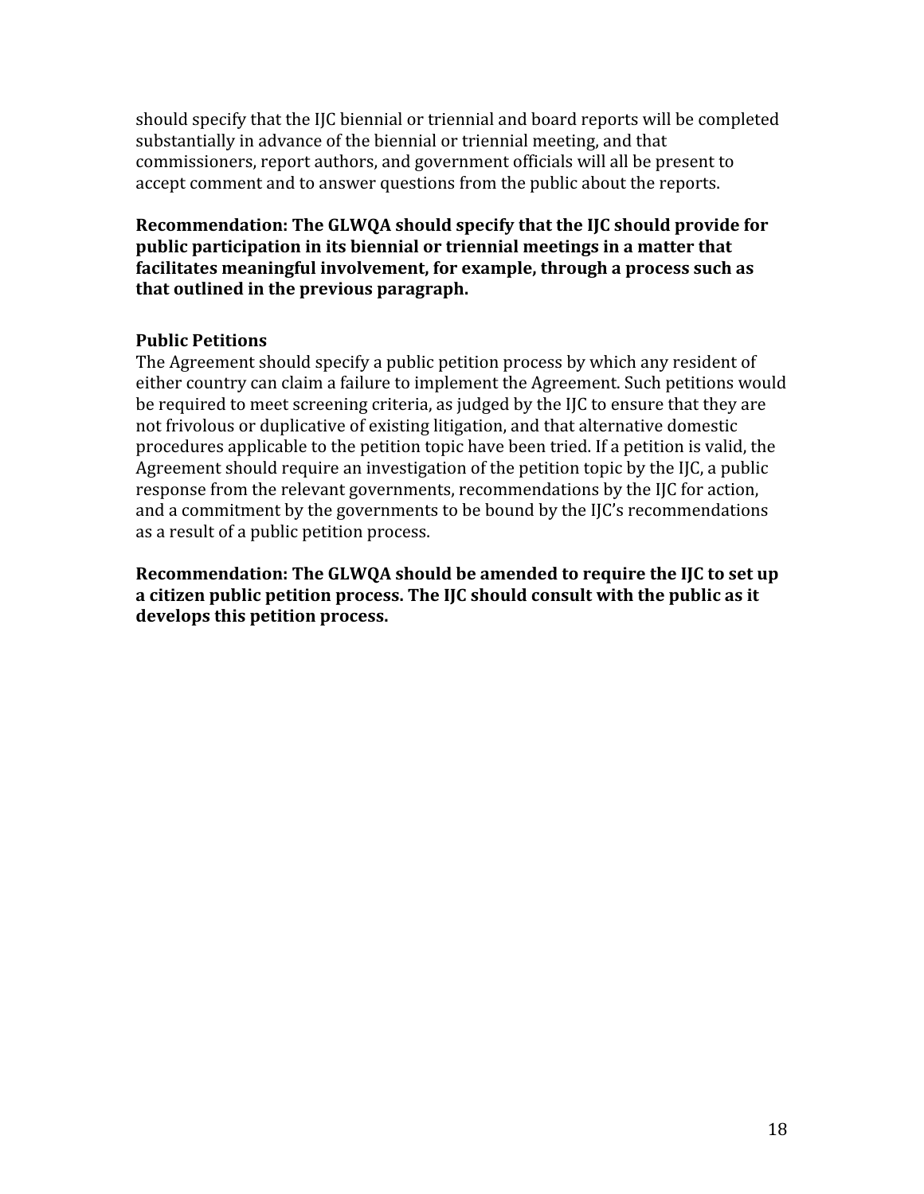should specify that the IJC biennial or triennial and board reports will be completed substantially in advance of the biennial or triennial meeting, and that commissioners, report authors, and government officials will all be present to accept comment and to answer questions from the public about the reports.

Recommendation: The GLWQA should specify that the IJC should provide for public participation in its biennial or triennial meetings in a matter that facilitates meaningful involvement, for example, through a process such as that outlined in the previous paragraph.

# **Public Petitions**

The Agreement should specify a public petition process by which any resident of either country can claim a failure to implement the Agreement. Such petitions would be required to meet screening criteria, as judged by the IJC to ensure that they are not frivolous or duplicative of existing litigation, and that alternative domestic procedures applicable to the petition topic have been tried. If a petition is valid, the Agreement should require an investigation of the petition topic by the IJC, a public response from the relevant governments, recommendations by the IIC for action. and a commitment by the governments to be bound by the IJC's recommendations as a result of a public petition process.

Recommendation: The GLWQA should be amended to require the IJC to set up a citizen public petition process. The IJC should consult with the public as it develops this petition process.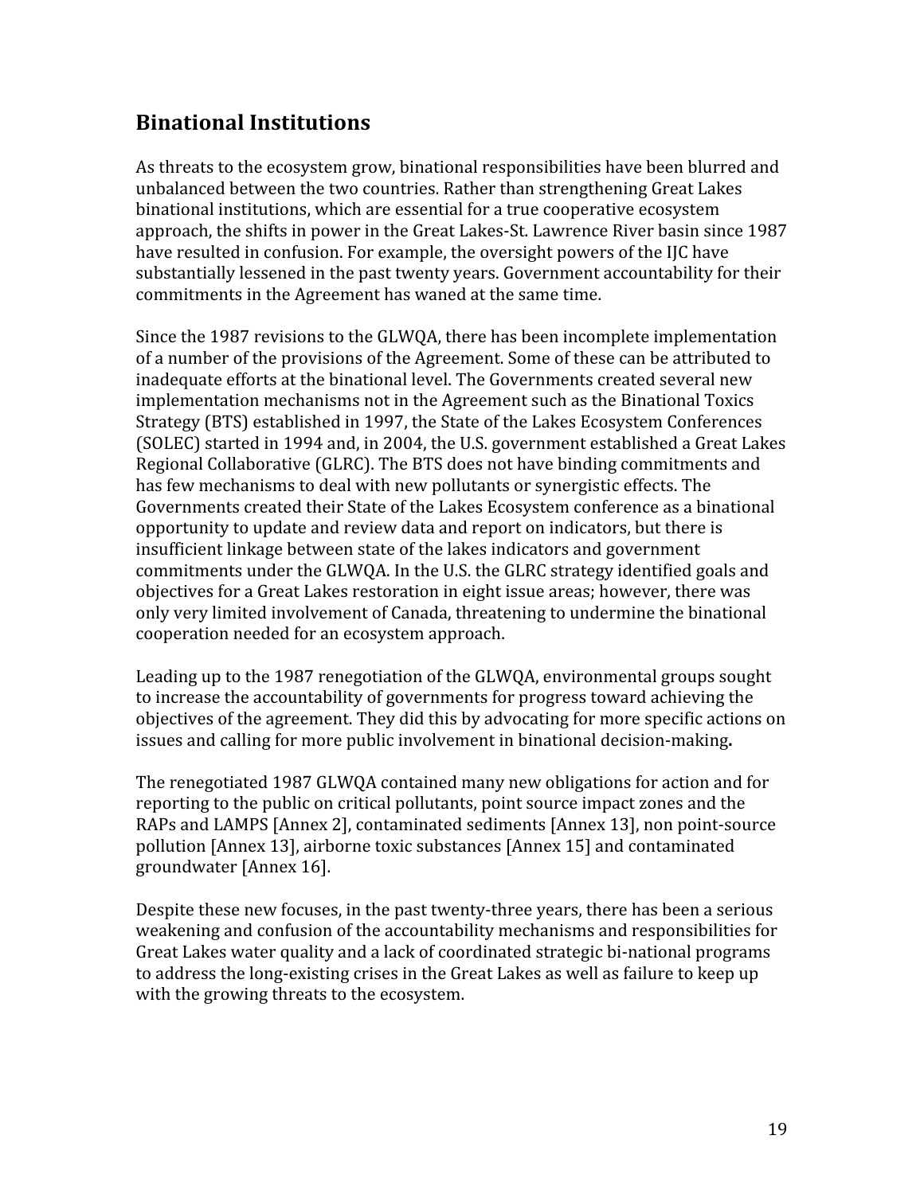# **Binational Institutions**

As threats to the ecosystem grow, binational responsibilities have been blurred and unbalanced between the two countries. Rather than strengthening Great Lakes binational institutions, which are essential for a true cooperative ecosystem approach, the shifts in power in the Great Lakes-St. Lawrence River basin since 1987 have resulted in confusion. For example, the oversight powers of the IJC have substantially lessened in the past twenty years. Government accountability for their commitments in the Agreement has waned at the same time.

Since the 1987 revisions to the GLWOA, there has been incomplete implementation of a number of the provisions of the Agreement. Some of these can be attributed to inadequate efforts at the binational level. The Governments created several new implementation mechanisms not in the Agreement such as the Binational Toxics Strategy (BTS) established in 1997, the State of the Lakes Ecosystem Conferences (SOLEC) started in 1994 and, in 2004, the U.S. government established a Great Lakes Regional Collaborative (GLRC). The BTS does not have binding commitments and has few mechanisms to deal with new pollutants or synergistic effects. The Governments created their State of the Lakes Ecosystem conference as a binational opportunity to update and review data and report on indicators, but there is insufficient linkage between state of the lakes indicators and government commitments under the GLWQA. In the U.S. the GLRC strategy identified goals and objectives for a Great Lakes restoration in eight issue areas; however, there was only very limited involvement of Canada, threatening to undermine the binational cooperation needed for an ecosystem approach.

Leading up to the 1987 renegotiation of the GLWOA, environmental groups sought to increase the accountability of governments for progress toward achieving the objectives of the agreement. They did this by advocating for more specific actions on issues and calling for more public involvement in binational decision-making.

The renegotiated 1987 GLWOA contained many new obligations for action and for reporting to the public on critical pollutants, point source impact zones and the RAPs and LAMPS [Annex 2], contaminated sediments [Annex 13], non point-source pollution [Annex 13], airborne toxic substances [Annex 15] and contaminated groundwater [Annex 16].

Despite these new focuses, in the past twenty-three years, there has been a serious weakening and confusion of the accountability mechanisms and responsibilities for Great Lakes water quality and a lack of coordinated strategic bi-national programs to address the long-existing crises in the Great Lakes as well as failure to keep up with the growing threats to the ecosystem.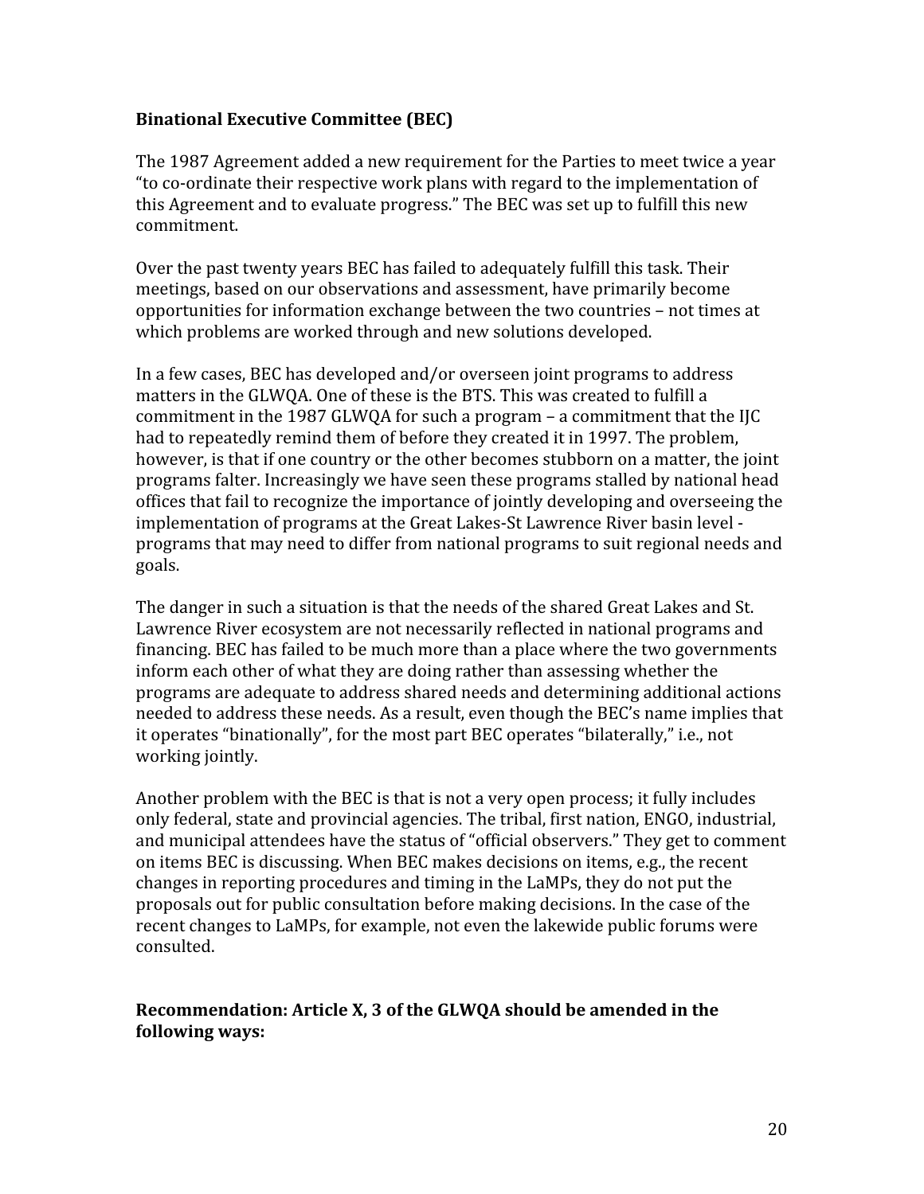# **Binational Executive Committee (BEC)**

The 1987 Agreement added a new requirement for the Parties to meet twice a year "to co-ordinate their respective work plans with regard to the implementation of this Agreement and to evaluate progress." The BEC was set up to fulfill this new commitment.

Over the past twenty years BEC has failed to adequately fulfill this task. Their meetings, based on our observations and assessment, have primarily become opportunities for information exchange between the two countries – not times at which problems are worked through and new solutions developed.

In a few cases, BEC has developed and/or overseen joint programs to address matters in the GLWQA. One of these is the BTS. This was created to fulfill a commitment in the 1987 GLWOA for such a program  $-$  a commitment that the IIC had to repeatedly remind them of before they created it in 1997. The problem, however, is that if one country or the other becomes stubborn on a matter, the joint programs falter. Increasingly we have seen these programs stalled by national head offices that fail to recognize the importance of jointly developing and overseeing the implementation of programs at the Great Lakes-St Lawrence River basin level programs that may need to differ from national programs to suit regional needs and goals.

The danger in such a situation is that the needs of the shared Great Lakes and St. Lawrence River ecosystem are not necessarily reflected in national programs and financing. BEC has failed to be much more than a place where the two governments inform each other of what they are doing rather than assessing whether the programs are adequate to address shared needs and determining additional actions needed to address these needs. As a result, even though the BEC's name implies that it operates "binationally", for the most part BEC operates "bilaterally," i.e., not working jointly.

Another problem with the BEC is that is not a very open process; it fully includes only federal, state and provincial agencies. The tribal, first nation, ENGO, industrial, and municipal attendees have the status of "official observers." They get to comment on items BEC is discussing. When BEC makes decisions on items, e.g., the recent changes in reporting procedures and timing in the LaMPs, they do not put the proposals out for public consultation before making decisions. In the case of the recent changes to LaMPs, for example, not even the lakewide public forums were consulted.

# Recommendation: Article X, 3 of the GLWQA should be amended in the following ways: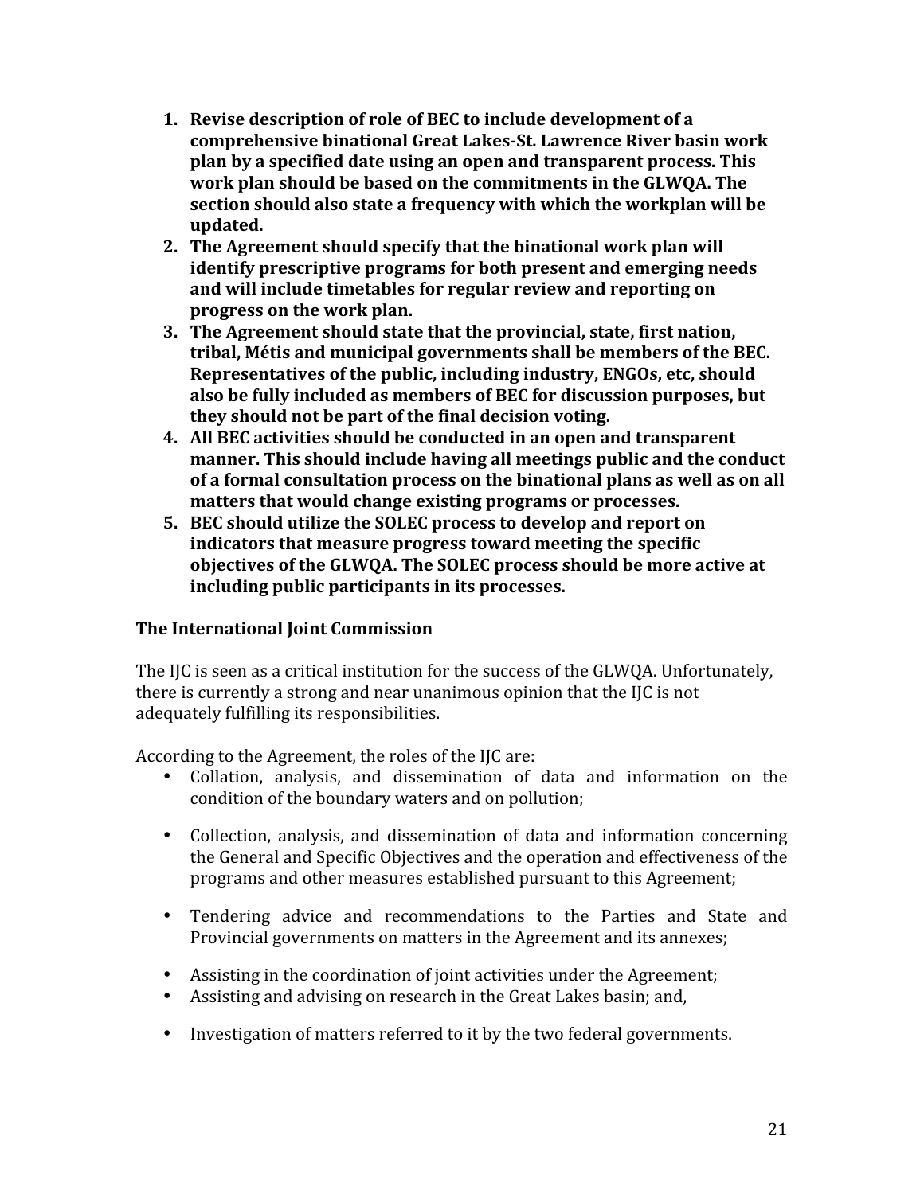- 1. Revise description of role of BEC to include development of a comprehensive binational Great Lakes-St. Lawrence River basin work plan by a specified date using an open and transparent process. This work plan should be based on the commitments in the GLWOA. The section should also state a frequency with which the workplan will be updated.
- 2. The Agreement should specify that the binational work plan will identify prescriptive programs for both present and emerging needs and will include timetables for regular review and reporting on progress on the work plan.
- 3. The Agreement should state that the provincial, state, first nation, tribal, Métis and municipal governments shall be members of the BEC. Representatives of the public, including industry, ENGOs, etc, should also be fully included as members of BEC for discussion purposes, but they should not be part of the final decision voting.
- 4. All BEC activities should be conducted in an open and transparent manner. This should include having all meetings public and the conduct of a formal consultation process on the binational plans as well as on all matters that would change existing programs or processes.
- 5. BEC should utilize the SOLEC process to develop and report on indicators that measure progress toward meeting the specific objectives of the GLWQA. The SOLEC process should be more active at including public participants in its processes.

# The International Joint Commission

The IJC is seen as a critical institution for the success of the GLWQA. Unfortunately, there is currently a strong and near unanimous opinion that the IJC is not adequately fulfilling its responsibilities.

According to the Agreement, the roles of the IJC are:

- Collation, analysis, and dissemination of data and information on the condition of the boundary waters and on pollution;
- Collection, analysis, and dissemination of data and information concerning the General and Specific Objectives and the operation and effectiveness of the programs and other measures established pursuant to this Agreement;
- Tendering advice and recommendations to the Parties and State and Provincial governments on matters in the Agreement and its annexes;
- Assisting in the coordination of joint activities under the Agreement;
- Assisting and advising on research in the Great Lakes basin; and,
- Investigation of matters referred to it by the two federal governments.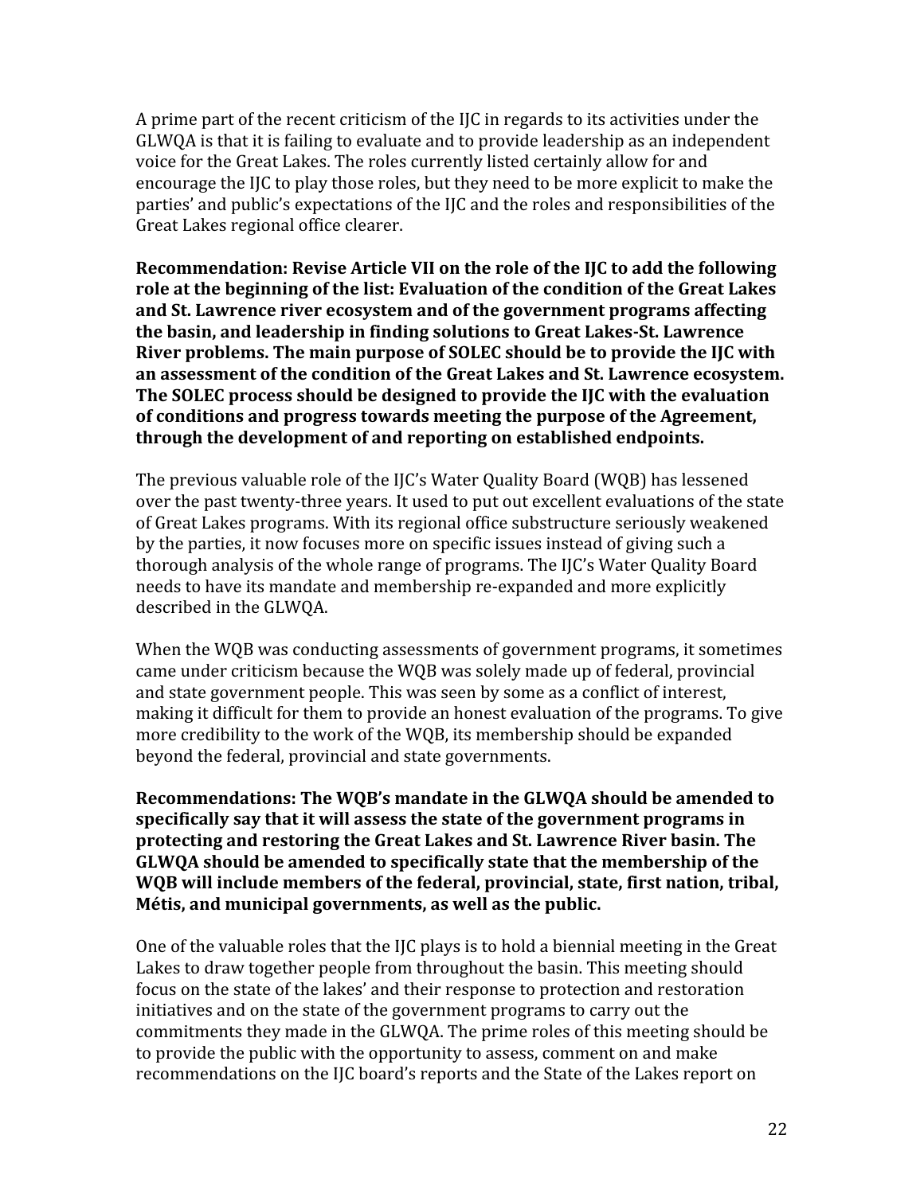A prime part of the recent criticism of the IJC in regards to its activities under the GLWQA is that it is failing to evaluate and to provide leadership as an independent voice for the Great Lakes. The roles currently listed certainly allow for and encourage the IIC to play those roles, but they need to be more explicit to make the parties' and public's expectations of the IJC and the roles and responsibilities of the Great Lakes regional office clearer.

Recommendation: Revise Article VII on the role of the IJC to add the following role at the beginning of the list: Evaluation of the condition of the Great Lakes and St. Lawrence river ecosystem and of the government programs affecting the basin, and leadership in finding solutions to Great Lakes-St. Lawrence River problems. The main purpose of SOLEC should be to provide the IIC with an assessment of the condition of the Great Lakes and St. Lawrence ecosystem. The SOLEC process should be designed to provide the IJC with the evaluation of conditions and progress towards meeting the purpose of the Agreement. through the development of and reporting on established endpoints.

The previous valuable role of the IJC's Water Quality Board (WQB) has lessened over the past twenty-three years. It used to put out excellent evaluations of the state of Great Lakes programs. With its regional office substructure seriously weakened by the parties, it now focuses more on specific issues instead of giving such a thorough analysis of the whole range of programs. The IJC's Water Quality Board needs to have its mandate and membership re-expanded and more explicitly described in the GLWQA.

When the WQB was conducting assessments of government programs, it sometimes came under criticism because the WQB was solely made up of federal, provincial and state government people. This was seen by some as a conflict of interest, making it difficult for them to provide an honest evaluation of the programs. To give more credibility to the work of the WQB, its membership should be expanded beyond the federal, provincial and state governments.

Recommendations: The WOB's mandate in the GLWOA should be amended to specifically say that it will assess the state of the government programs in protecting and restoring the Great Lakes and St. Lawrence River basin. The GLWQA should be amended to specifically state that the membership of the WQB will include members of the federal, provincial, state, first nation, tribal, Métis, and municipal governments, as well as the public.

One of the valuable roles that the IIC plays is to hold a biennial meeting in the Great Lakes to draw together people from throughout the basin. This meeting should focus on the state of the lakes' and their response to protection and restoration initiatives and on the state of the government programs to carry out the commitments they made in the GLWQA. The prime roles of this meeting should be to provide the public with the opportunity to assess, comment on and make recommendations on the IJC board's reports and the State of the Lakes report on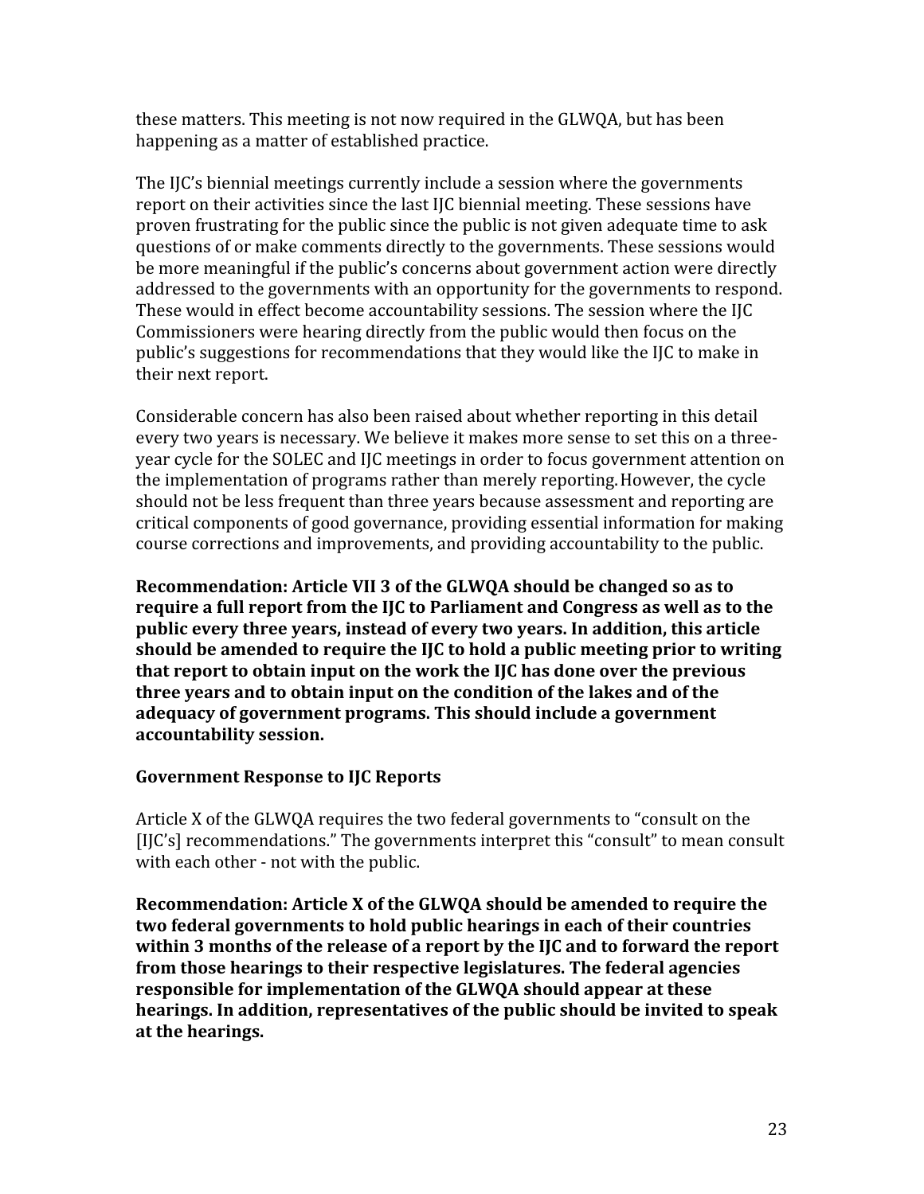these matters. This meeting is not now required in the GLWQA, but has been happening as a matter of established practice.

The IIC's biennial meetings currently include a session where the governments report on their activities since the last IJC biennial meeting. These sessions have proven frustrating for the public since the public is not given adequate time to ask questions of or make comments directly to the governments. These sessions would be more meaningful if the public's concerns about government action were directly addressed to the governments with an opportunity for the governments to respond. These would in effect become accountability sessions. The session where the IJC Commissioners were hearing directly from the public would then focus on the public's suggestions for recommendations that they would like the IJC to make in their next report.

Considerable concern has also been raised about whether reporting in this detail every two years is necessary. We believe it makes more sense to set this on a threeyear cycle for the SOLEC and IJC meetings in order to focus government attention on the implementation of programs rather than merely reporting. However, the cycle should not be less frequent than three years because assessment and reporting are critical components of good governance, providing essential information for making course corrections and improvements, and providing accountability to the public.

Recommendation: Article VII 3 of the GLWQA should be changed so as to require a full report from the IJC to Parliament and Congress as well as to the public every three years, instead of every two years. In addition, this article should be amended to require the IJC to hold a public meeting prior to writing that report to obtain input on the work the IJC has done over the previous three years and to obtain input on the condition of the lakes and of the adequacy of government programs. This should include a government accountability session.

# **Government Response to IIC Reports**

Article X of the GLWQA requires the two federal governments to "consult on the [I[C's] recommendations." The governments interpret this "consult" to mean consult with each other - not with the public.

Recommendation: Article X of the GLWQA should be amended to require the two federal governments to hold public hearings in each of their countries within 3 months of the release of a report by the IIC and to forward the report from those hearings to their respective legislatures. The federal agencies responsible for implementation of the GLWQA should appear at these hearings. In addition, representatives of the public should be invited to speak at the hearings.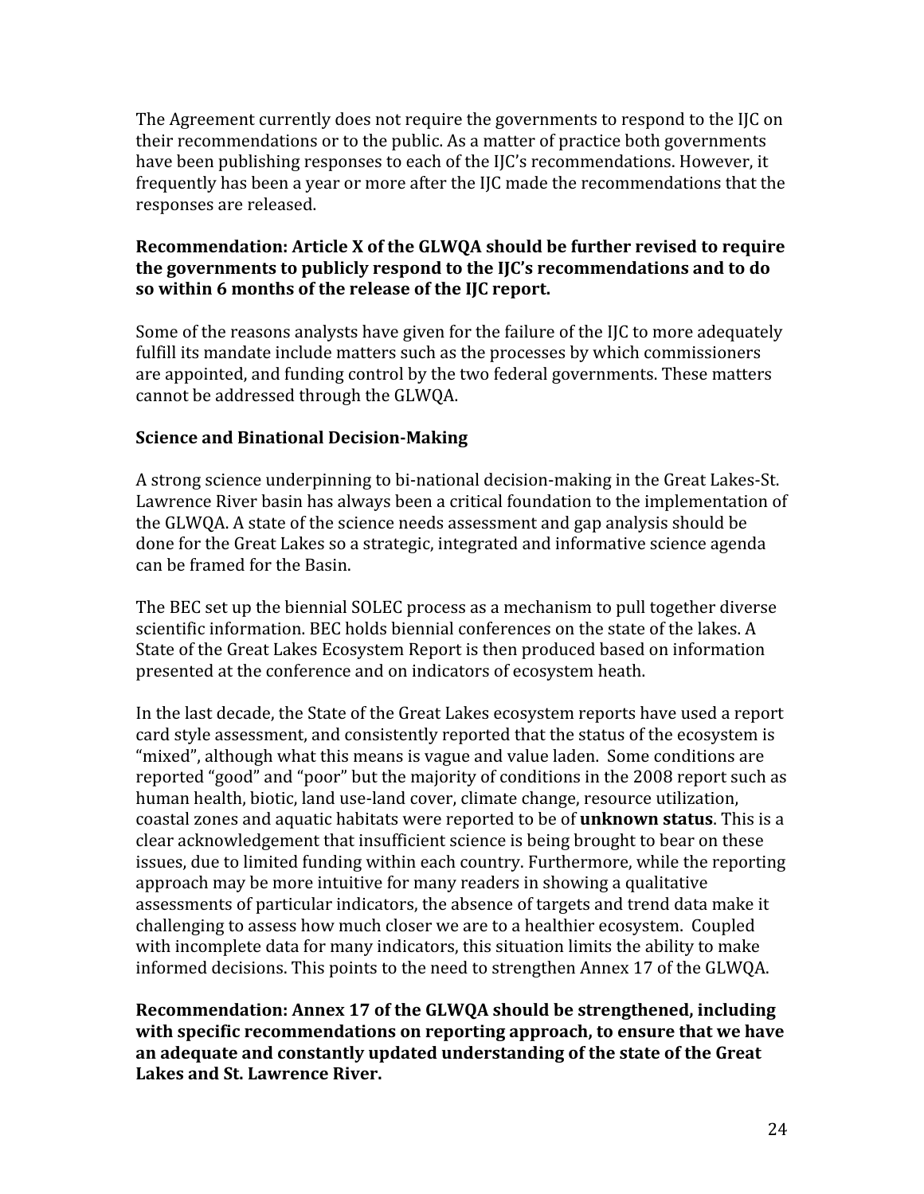The Agreement currently does not require the governments to respond to the IJC on their recommendations or to the public. As a matter of practice both governments have been publishing responses to each of the IIC's recommendations. However, it frequently has been a year or more after the IIC made the recommendations that the responses are released.

# Recommendation: Article X of the GLWQA should be further revised to require the governments to publicly respond to the IJC's recommendations and to do so within 6 months of the release of the IJC report.

Some of the reasons analysts have given for the failure of the IJC to more adequately fulfill its mandate include matters such as the processes by which commissioners are appointed, and funding control by the two federal governments. These matters cannot be addressed through the GLWQA.

# **Science and Binational Decision-Making**

A strong science underpinning to bi-national decision-making in the Great Lakes-St. Lawrence River basin has always been a critical foundation to the implementation of the GLWQA. A state of the science needs assessment and gap analysis should be done for the Great Lakes so a strategic, integrated and informative science agenda can be framed for the Basin.

The BEC set up the biennial SOLEC process as a mechanism to pull together diverse scientific information. BEC holds biennial conferences on the state of the lakes. A State of the Great Lakes Ecosystem Report is then produced based on information presented at the conference and on indicators of ecosystem heath.

In the last decade, the State of the Great Lakes ecosystem reports have used a report card style assessment, and consistently reported that the status of the ecosystem is "mixed", although what this means is vague and value laden. Some conditions are reported "good" and "poor" but the majority of conditions in the 2008 report such as human health, biotic, land use-land cover, climate change, resource utilization, coastal zones and aquatic habitats were reported to be of **unknown status**. This is a clear acknowledgement that insufficient science is being brought to bear on these issues, due to limited funding within each country. Furthermore, while the reporting approach may be more intuitive for many readers in showing a qualitative assessments of particular indicators, the absence of targets and trend data make it challenging to assess how much closer we are to a healthier ecosystem. Coupled with incomplete data for many indicators, this situation limits the ability to make informed decisions. This points to the need to strengthen Annex 17 of the GLWQA.

Recommendation: Annex 17 of the GLWQA should be strengthened, including with specific recommendations on reporting approach, to ensure that we have an adequate and constantly updated understanding of the state of the Great **Lakes and St. Lawrence River.**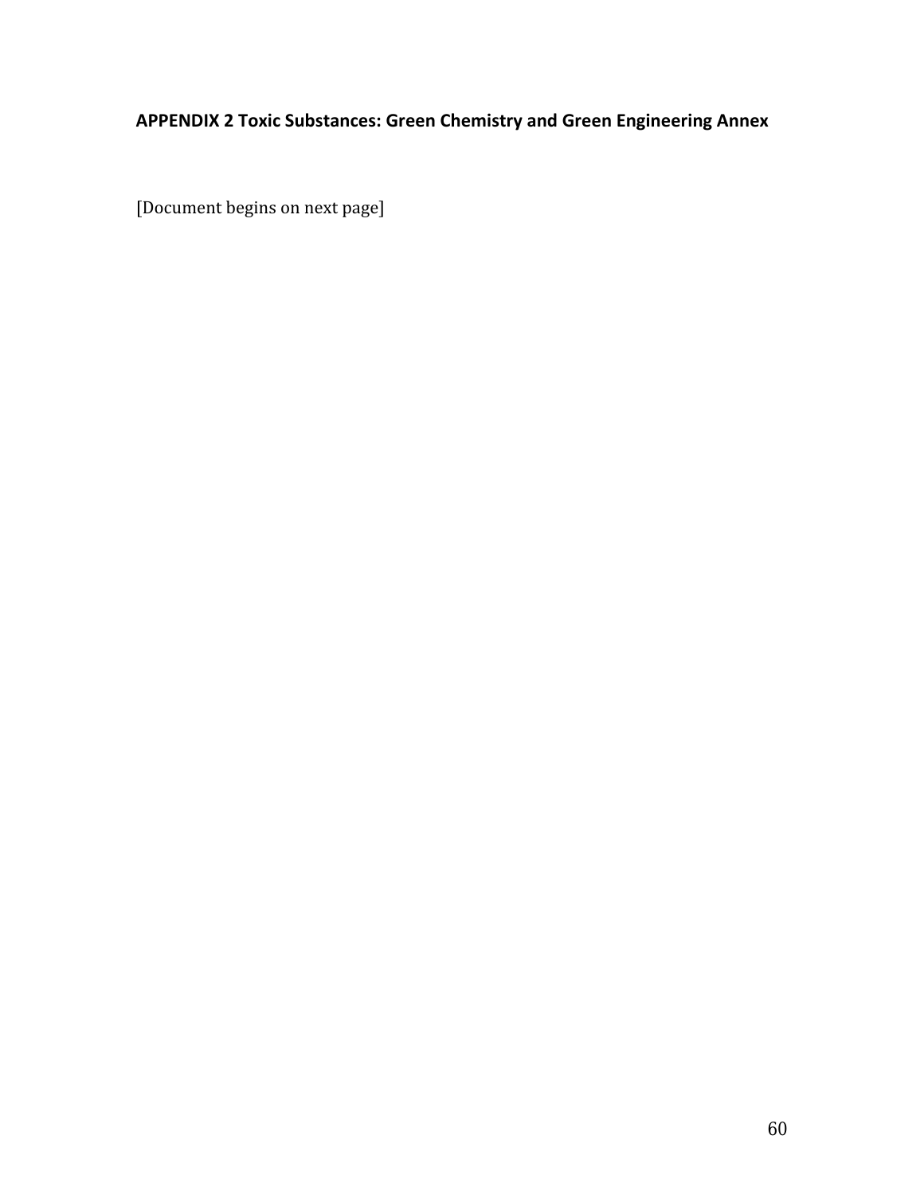# APPENDIX 2 Toxic Substances: Green Chemistry and Green Engineering Annex

[Document begins on next page]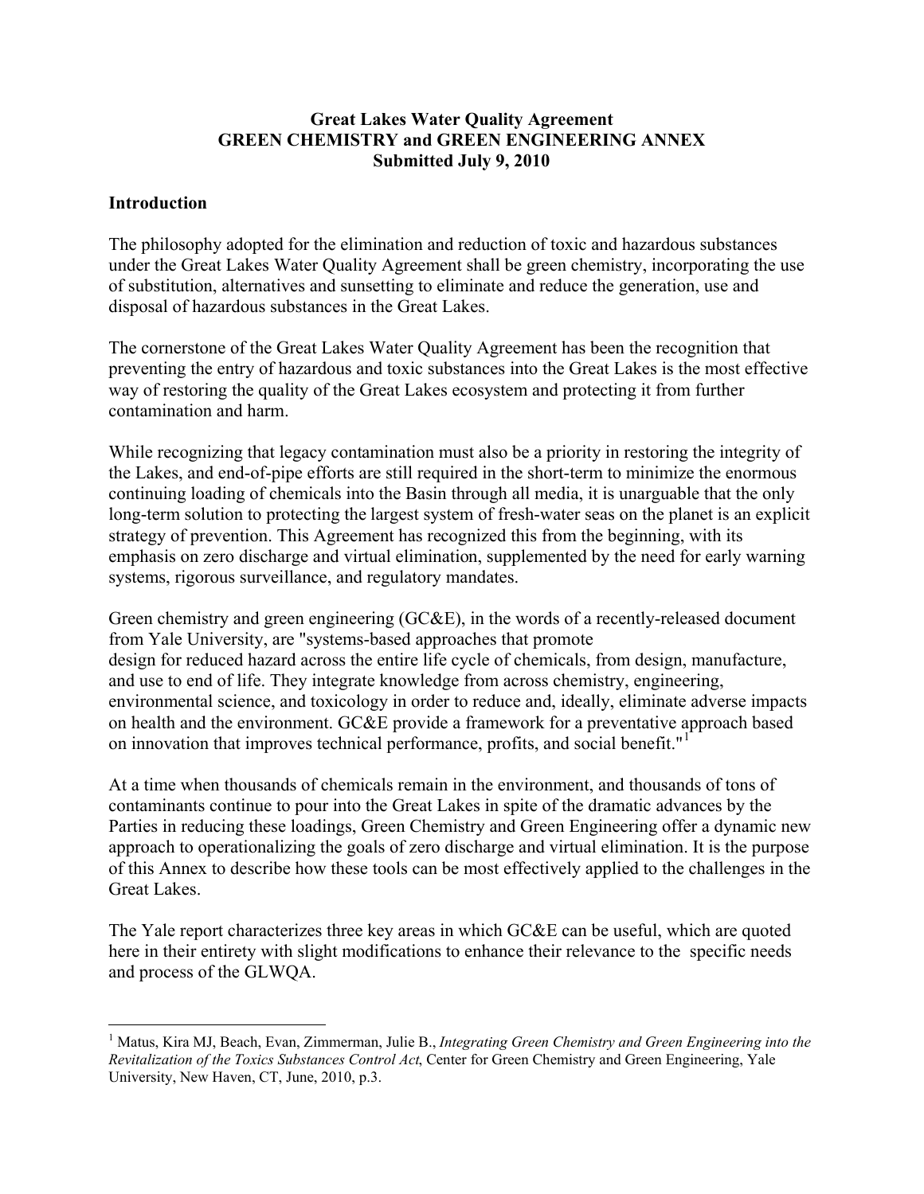### **Great Lakes Water Quality Agreement GREEN CHEMISTRY and GREEN ENGINEERING ANNEX Submitted July 9, 2010**

### **Introduction**

The philosophy adopted for the elimination and reduction of toxic and hazardous substances under the Great Lakes Water Quality Agreement shall be green chemistry, incorporating the use of substitution, alternatives and sunsetting to eliminate and reduce the generation, use and disposal of hazardous substances in the Great Lakes.

The cornerstone of the Great Lakes Water Quality Agreement has been the recognition that preventing the entry of hazardous and toxic substances into the Great Lakes is the most effective way of restoring the quality of the Great Lakes ecosystem and protecting it from further contamination and harm.

While recognizing that legacy contamination must also be a priority in restoring the integrity of the Lakes, and end-of-pipe efforts are still required in the short-term to minimize the enormous continuing loading of chemicals into the Basin through all media, it is unarguable that the only long-term solution to protecting the largest system of fresh-water seas on the planet is an explicit strategy of prevention. This Agreement has recognized this from the beginning, with its emphasis on zero discharge and virtual elimination, supplemented by the need for early warning systems, rigorous surveillance, and regulatory mandates.

Green chemistry and green engineering (GC&E), in the words of a recently-released document from Yale University, are "systems-based approaches that promote design for reduced hazard across the entire life cycle of chemicals, from design, manufacture, and use to end of life. They integrate knowledge from across chemistry, engineering, environmental science, and toxicology in order to reduce and, ideally, eliminate adverse impacts on health and the environment. GC&E provide a framework for a preventative approach based on innovation that improves technical performance, profits, and social benefit."<sup>1</sup>

At a time when thousands of chemicals remain in the environment, and thousands of tons of contaminants continue to pour into the Great Lakes in spite of the dramatic advances by the Parties in reducing these loadings, Green Chemistry and Green Engineering offer a dynamic new approach to operationalizing the goals of zero discharge and virtual elimination. It is the purpose of this Annex to describe how these tools can be most effectively applied to the challenges in the Great Lakes.

The Yale report characterizes three key areas in which GC&E can be useful, which are quoted here in their entirety with slight modifications to enhance their relevance to the specific needs and process of the GLWQA.

 $\overline{a}$ <sup>1</sup> Matus, Kira MJ, Beach, Evan, Zimmerman, Julie B., *Integrating Green Chemistry and Green Engineering into the Revitalization of the Toxics Substances Control Act*, Center for Green Chemistry and Green Engineering, Yale University, New Haven, CT, June, 2010, p.3.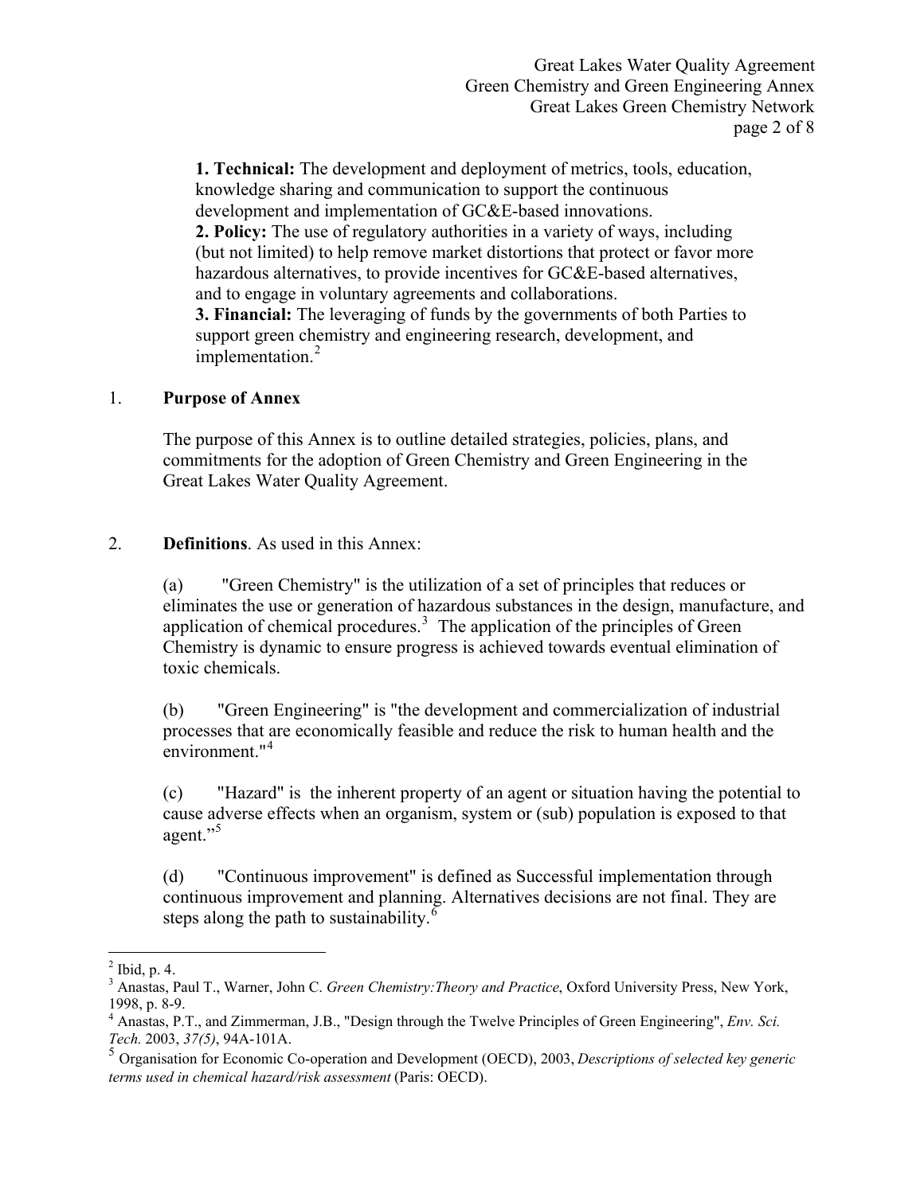Great Lakes Water Quality Agreement Green Chemistry and Green Engineering Annex Great Lakes Green Chemistry Network page 2 of 8

**1. Technical:** The development and deployment of metrics, tools, education, knowledge sharing and communication to support the continuous development and implementation of GC&E-based innovations. **2. Policy:** The use of regulatory authorities in a variety of ways, including (but not limited) to help remove market distortions that protect or favor more hazardous alternatives, to provide incentives for GC&E-based alternatives, and to engage in voluntary agreements and collaborations. **3. Financial:** The leveraging of funds by the governments of both Parties to support green chemistry and engineering research, development, and

# 1. **Purpose of Annex**

The purpose of this Annex is to outline detailed strategies, policies, plans, and commitments for the adoption of Green Chemistry and Green Engineering in the Great Lakes Water Quality Agreement.

### 2. **Definitions**. As used in this Annex:

implementation.<sup>2</sup>

 (a) "Green Chemistry" is the utilization of a set of principles that reduces or eliminates the use or generation of hazardous substances in the design, manufacture, and application of chemical procedures.<sup>3</sup> The application of the principles of Green Chemistry is dynamic to ensure progress is achieved towards eventual elimination of toxic chemicals.

 (b) "Green Engineering" is "the development and commercialization of industrial processes that are economically feasible and reduce the risk to human health and the environment."<sup>4</sup>

 (c) "Hazard" is the inherent property of an agent or situation having the potential to cause adverse effects when an organism, system or (sub) population is exposed to that agent."<sup>5</sup>

 (d) "Continuous improvement" is defined as Successful implementation through continuous improvement and planning. Alternatives decisions are not final. They are steps along the path to sustainability. $6$ 

 $\overline{a}$ 

 $<sup>2</sup>$  Ibid, p. 4.</sup>

<sup>3</sup> Anastas, Paul T., Warner, John C. *Green Chemistry:Theory and Practice*, Oxford University Press, New York, 1998, p. 8-9.

<sup>4</sup> Anastas, P.T., and Zimmerman, J.B., "Design through the Twelve Principles of Green Engineering", *Env. Sci. Tech.* 2003, *37(5)*, 94A-101A.

<sup>5</sup> Organisation for Economic Co-operation and Development (OECD), 2003, *Descriptions of selected key generic terms used in chemical hazard/risk assessment* (Paris: OECD).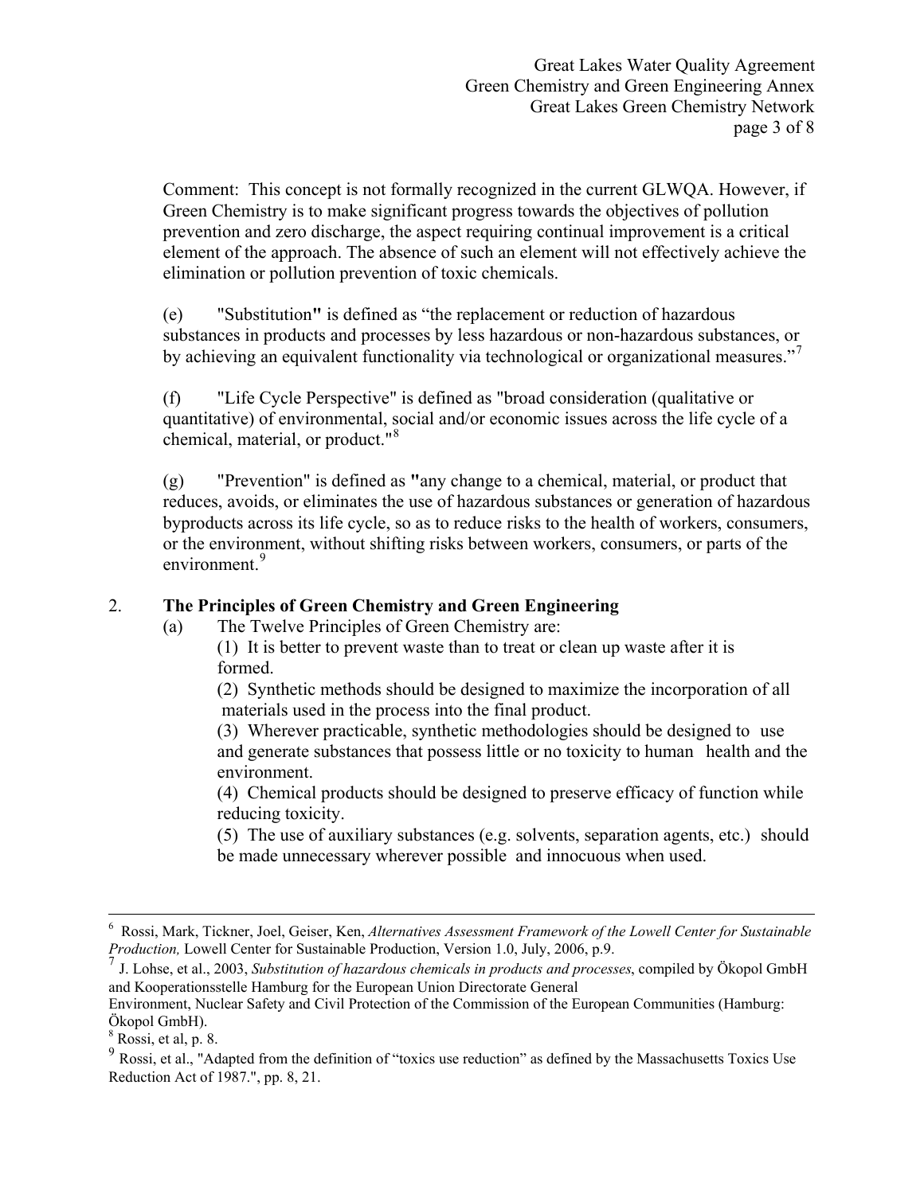Great Lakes Water Quality Agreement Green Chemistry and Green Engineering Annex Great Lakes Green Chemistry Network page 3 of 8

 Comment: This concept is not formally recognized in the current GLWQA. However, if Green Chemistry is to make significant progress towards the objectives of pollution prevention and zero discharge, the aspect requiring continual improvement is a critical element of the approach. The absence of such an element will not effectively achieve the elimination or pollution prevention of toxic chemicals.

 (e) "Substitution**"** is defined as "the replacement or reduction of hazardous substances in products and processes by less hazardous or non-hazardous substances, or by achieving an equivalent functionality via technological or organizational measures."

 (f) "Life Cycle Perspective" is defined as "broad consideration (qualitative or quantitative) of environmental, social and/or economic issues across the life cycle of a chemical, material, or product."<sup>8</sup>

 (g) "Prevention" is defined as **"**any change to a chemical, material, or product that reduces, avoids, or eliminates the use of hazardous substances or generation of hazardous byproducts across its life cycle, so as to reduce risks to the health of workers, consumers, or the environment, without shifting risks between workers, consumers, or parts of the environment.<sup>9</sup>

### 2. **The Principles of Green Chemistry and Green Engineering**

(a) The Twelve Principles of Green Chemistry are:

 (1) It is better to prevent waste than to treat or clean up waste after it is formed.

 (2) Synthetic methods should be designed to maximize the incorporation of all materials used in the process into the final product.

(3) Wherever practicable, synthetic methodologies should be designed to use and generate substances that possess little or no toxicity to human health and the environment.

 (4) Chemical products should be designed to preserve efficacy of function while reducing toxicity.

 (5) The use of auxiliary substances (e.g. solvents, separation agents, etc.) should be made unnecessary wherever possible and innocuous when used.

 $\overline{a}$ 

<sup>6</sup> Rossi, Mark, Tickner, Joel, Geiser, Ken, *Alternatives Assessment Framework of the Lowell Center for Sustainable Production,* Lowell Center for Sustainable Production, Version 1.0, July, 2006, p.9.

<sup>7</sup> J. Lohse, et al., 2003, *Substitution of hazardous chemicals in products and processes*, compiled by Ökopol GmbH and Kooperationsstelle Hamburg for the European Union Directorate General

Environment, Nuclear Safety and Civil Protection of the Commission of the European Communities (Hamburg: Ökopol GmbH).

 $8$  Rossi, et al, p. 8.

<sup>9</sup> Rossi, et al., "Adapted from the definition of "toxics use reduction" as defined by the Massachusetts Toxics Use Reduction Act of 1987.", pp. 8, 21.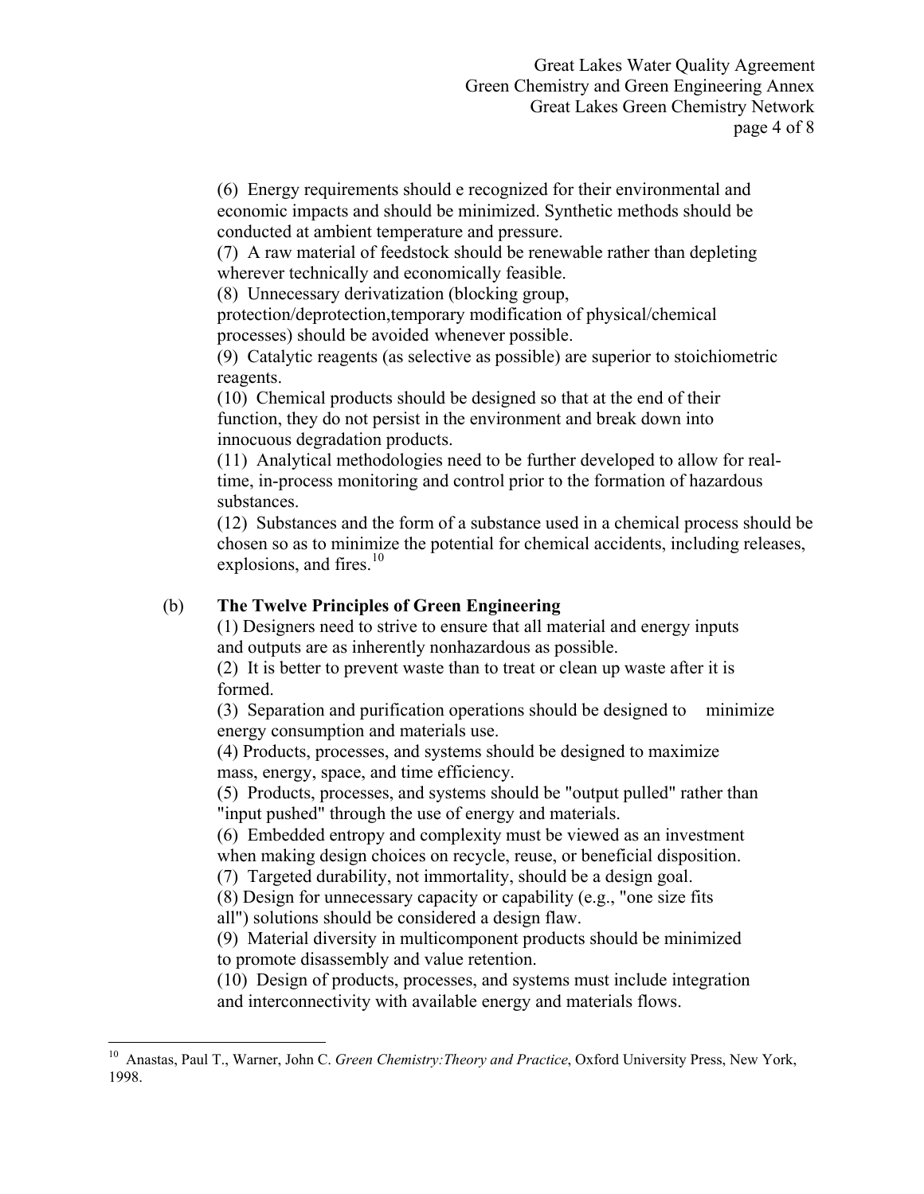(6) Energy requirements should e recognized for their environmental and economic impacts and should be minimized. Synthetic methods should be conducted at ambient temperature and pressure.

 (7) A raw material of feedstock should be renewable rather than depleting wherever technically and economically feasible.

(8) Unnecessary derivatization (blocking group,

 protection/deprotection,temporary modification of physical/chemical processes) should be avoided whenever possible.

 (9) Catalytic reagents (as selective as possible) are superior to stoichiometric reagents.

 (10) Chemical products should be designed so that at the end of their function, they do not persist in the environment and break down into innocuous degradation products.

 (11) Analytical methodologies need to be further developed to allow for real time, in-process monitoring and control prior to the formation of hazardous substances.

 (12) Substances and the form of a substance used in a chemical process should be chosen so as to minimize the potential for chemical accidents, including releases, explosions, and fires. $10$ 

## (b) **The Twelve Principles of Green Engineering**

 (1) Designers need to strive to ensure that all material and energy inputs and outputs are as inherently nonhazardous as possible.

 (2) It is better to prevent waste than to treat or clean up waste after it is formed.

 (3) Separation and purification operations should be designed to minimize energy consumption and materials use.

 (4) Products, processes, and systems should be designed to maximize mass, energy, space, and time efficiency.

 (5) Products, processes, and systems should be "output pulled" rather than "input pushed" through the use of energy and materials.

 (6) Embedded entropy and complexity must be viewed as an investment when making design choices on recycle, reuse, or beneficial disposition.

(7) Targeted durability, not immortality, should be a design goal.

(8) Design for unnecessary capacity or capability (e.g., "one size fits

all") solutions should be considered a design flaw.

 $\overline{a}$ 

 (9) Material diversity in multicomponent products should be minimized to promote disassembly and value retention.

 (10) Design of products, processes, and systems must include integration and interconnectivity with available energy and materials flows.

<sup>10</sup> Anastas, Paul T., Warner, John C. *Green Chemistry:Theory and Practice*, Oxford University Press, New York, 1998.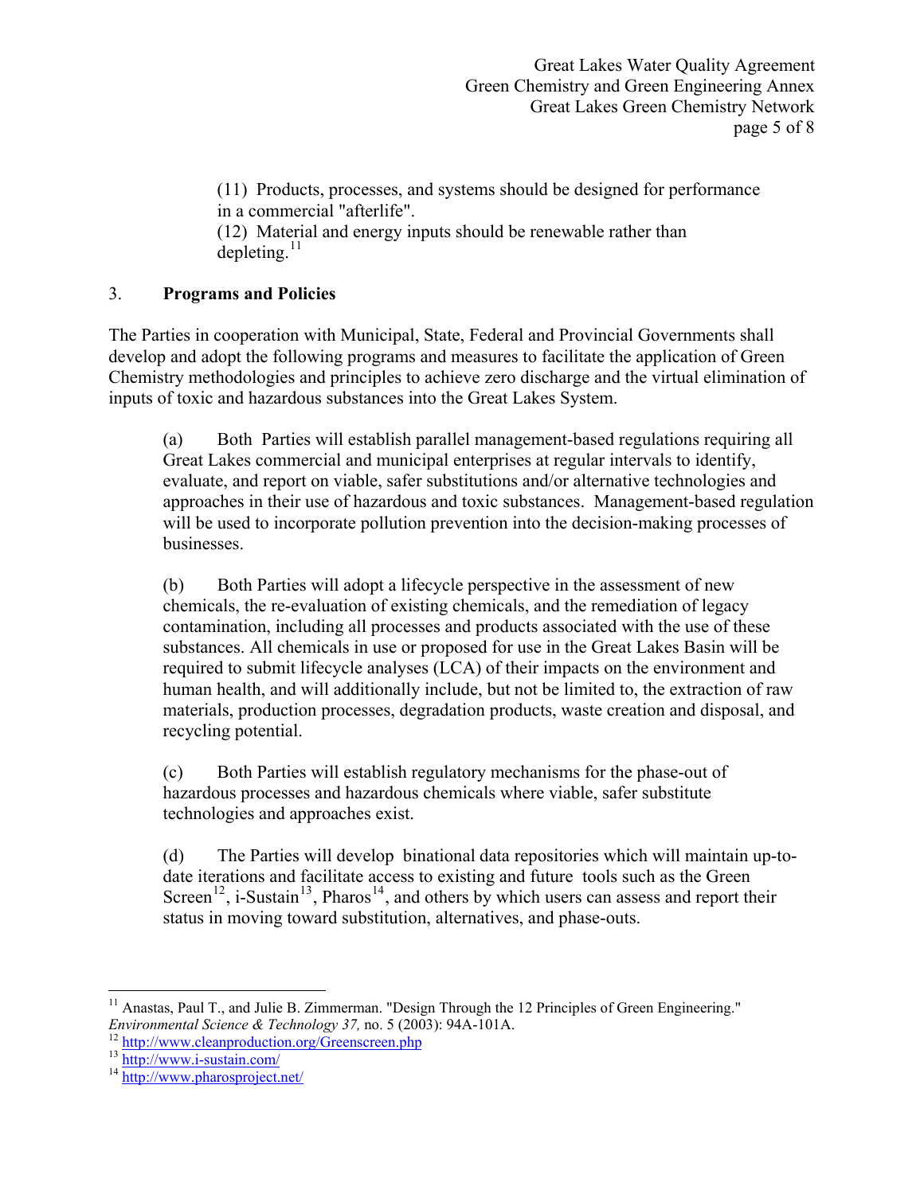Great Lakes Water Quality Agreement Green Chemistry and Green Engineering Annex Great Lakes Green Chemistry Network page 5 of 8

 (11) Products, processes, and systems should be designed for performance in a commercial "afterlife".

 (12) Material and energy inputs should be renewable rather than  $denletine<sup>11</sup>$ 

# 3. **Programs and Policies**

The Parties in cooperation with Municipal, State, Federal and Provincial Governments shall develop and adopt the following programs and measures to facilitate the application of Green Chemistry methodologies and principles to achieve zero discharge and the virtual elimination of inputs of toxic and hazardous substances into the Great Lakes System.

 (a) Both Parties will establish parallel management-based regulations requiring all Great Lakes commercial and municipal enterprises at regular intervals to identify, evaluate, and report on viable, safer substitutions and/or alternative technologies and approaches in their use of hazardous and toxic substances. Management-based regulation will be used to incorporate pollution prevention into the decision-making processes of businesses.

 (b) Both Parties will adopt a lifecycle perspective in the assessment of new chemicals, the re-evaluation of existing chemicals, and the remediation of legacy contamination, including all processes and products associated with the use of these substances. All chemicals in use or proposed for use in the Great Lakes Basin will be required to submit lifecycle analyses (LCA) of their impacts on the environment and human health, and will additionally include, but not be limited to, the extraction of raw materials, production processes, degradation products, waste creation and disposal, and recycling potential.

 (c) Both Parties will establish regulatory mechanisms for the phase-out of hazardous processes and hazardous chemicals where viable, safer substitute technologies and approaches exist.

 (d) The Parties will develop binational data repositories which will maintain up-todate iterations and facilitate access to existing and future tools such as the Green Screen<sup>12</sup>, i-Sustain<sup>13</sup>, Pharos<sup>14</sup>, and others by which users can assess and report their status in moving toward substitution, alternatives, and phase-outs.

 $\overline{a}$ <sup>11</sup> Anastas, Paul T., and Julie B. Zimmerman. "Design Through the 12 Principles of Green Engineering." *Environmental Science & Technology 37, no. 5 (2003): 94A-101A.*<br><sup>12</sup> http://www.cleanproduction.org/Greenscreen.php<br><sup>13</sup> http://www.j-sustain.com/<br><sup>14</sup> http://www.pharosproject.net/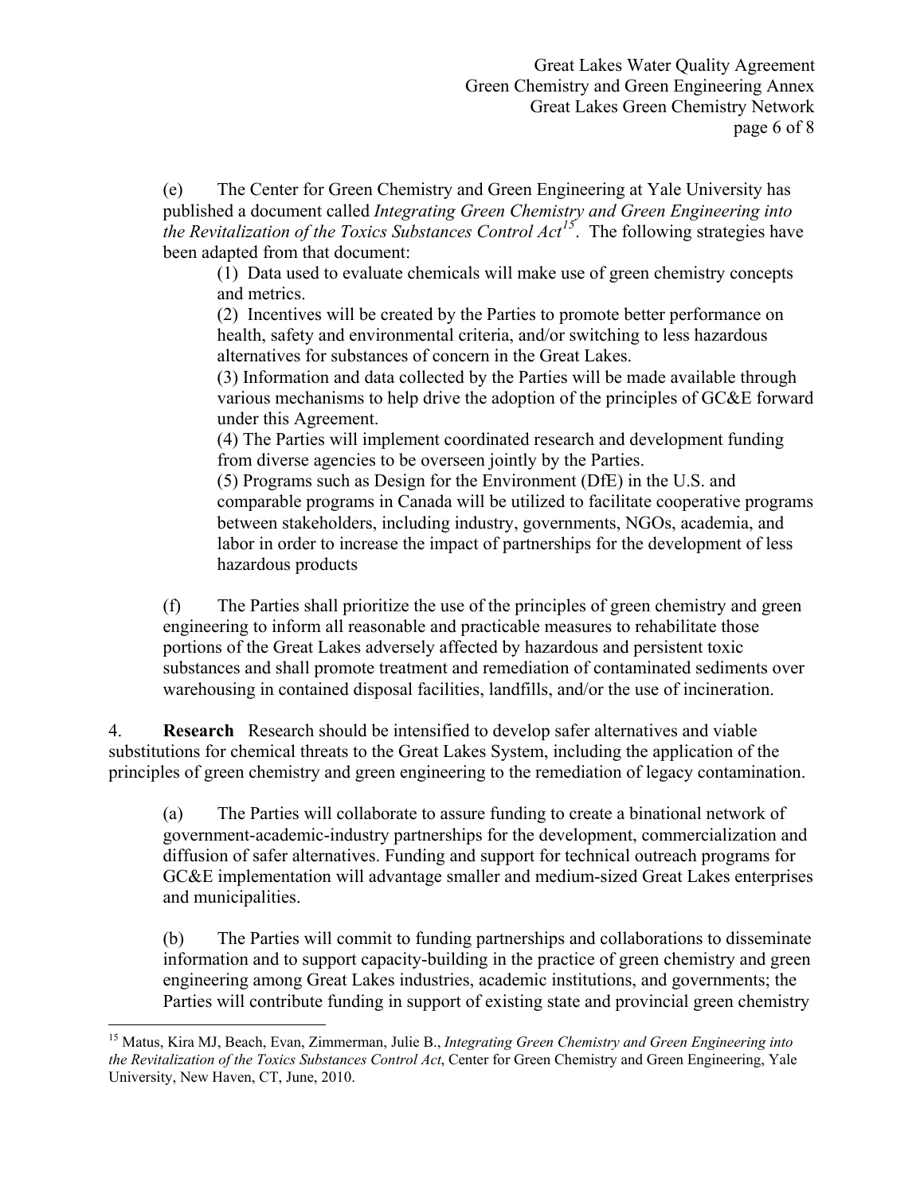(e) The Center for Green Chemistry and Green Engineering at Yale University has published a document called *Integrating Green Chemistry and Green Engineering into the Revitalization of the Toxics Substances Control Act<sup>15</sup>*. The following strategies have been adapted from that document:

 (1) Data used to evaluate chemicals will make use of green chemistry concepts and metrics.

 (2) Incentives will be created by the Parties to promote better performance on health, safety and environmental criteria, and/or switching to less hazardous alternatives for substances of concern in the Great Lakes.

 (3) Information and data collected by the Parties will be made available through various mechanisms to help drive the adoption of the principles of GC&E forward under this Agreement.

 (4) The Parties will implement coordinated research and development funding from diverse agencies to be overseen jointly by the Parties.

 (5) Programs such as Design for the Environment (DfE) in the U.S. and comparable programs in Canada will be utilized to facilitate cooperative programs between stakeholders, including industry, governments, NGOs, academia, and labor in order to increase the impact of partnerships for the development of less hazardous products

 (f) The Parties shall prioritize the use of the principles of green chemistry and green engineering to inform all reasonable and practicable measures to rehabilitate those portions of the Great Lakes adversely affected by hazardous and persistent toxic substances and shall promote treatment and remediation of contaminated sediments over warehousing in contained disposal facilities, landfills, and/or the use of incineration.

4. **Research** Research should be intensified to develop safer alternatives and viable substitutions for chemical threats to the Great Lakes System, including the application of the principles of green chemistry and green engineering to the remediation of legacy contamination.

 (a) The Parties will collaborate to assure funding to create a binational network of government-academic-industry partnerships for the development, commercialization and diffusion of safer alternatives. Funding and support for technical outreach programs for GC&E implementation will advantage smaller and medium-sized Great Lakes enterprises and municipalities.

 (b) The Parties will commit to funding partnerships and collaborations to disseminate information and to support capacity-building in the practice of green chemistry and green engineering among Great Lakes industries, academic institutions, and governments; the Parties will contribute funding in support of existing state and provincial green chemistry

 $\overline{a}$ 15 Matus, Kira MJ, Beach, Evan, Zimmerman, Julie B., *Integrating Green Chemistry and Green Engineering into the Revitalization of the Toxics Substances Control Act*, Center for Green Chemistry and Green Engineering, Yale University, New Haven, CT, June, 2010.